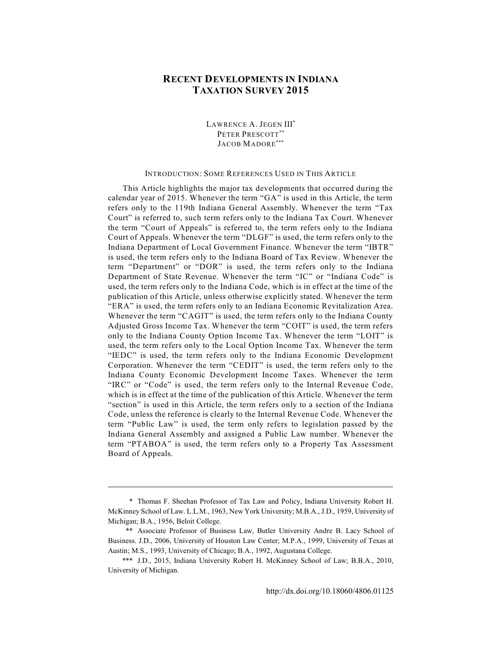# **RECENT DEVELOPMENTS IN INDIANA TAXATION SURVEY 2015**

LAWRENCE A. JEGEN III\* PETER PRESCOTT\*\* JACOB MADORE\*\*

### INTRODUCTION: SOME REFERENCES USED IN THIS ARTICLE

This Article highlights the major tax developments that occurred during the calendar year of 2015. Whenever the term "GA" is used in this Article, the term refers only to the 119th Indiana General Assembly. Whenever the term "Tax Court" is referred to, such term refers only to the Indiana Tax Court. Whenever the term "Court of Appeals" is referred to, the term refers only to the Indiana Court of Appeals. Whenever the term "DLGF" is used, the term refers only to the Indiana Department of Local Government Finance. Whenever the term "IBTR" is used, the term refers only to the Indiana Board of Tax Review. Whenever the term "Department" or "DOR" is used, the term refers only to the Indiana Department of State Revenue. Whenever the term "IC" or "Indiana Code" is used, the term refers only to the Indiana Code, which is in effect at the time of the publication of this Article, unless otherwise explicitly stated. Whenever the term "ERA" is used, the term refers only to an Indiana Economic Revitalization Area. Whenever the term "CAGIT" is used, the term refers only to the Indiana County Adjusted Gross Income Tax. Whenever the term "COIT" is used, the term refers only to the Indiana County Option Income Tax. Whenever the term "LOIT" is used, the term refers only to the Local Option Income Tax. Whenever the term "IEDC" is used, the term refers only to the Indiana Economic Development Corporation. Whenever the term "CEDIT" is used, the term refers only to the Indiana County Economic Development Income Taxes. Whenever the term "IRC" or "Code" is used, the term refers only to the Internal Revenue Code, which is in effect at the time of the publication of this Article. Whenever the term "section" is used in this Article, the term refers only to a section of the Indiana Code, unless the reference is clearly to the Internal Revenue Code. Whenever the term "Public Law" is used, the term only refers to legislation passed by the Indiana General Assembly and assigned a Public Law number. Whenever the term "PTABOA" is used, the term refers only to a Property Tax Assessment Board of Appeals.

<sup>\*</sup> Thomas F. Sheehan Professor of Tax Law and Policy, Indiana University Robert H. McKinney School of Law. L.L.M., 1963, New York University; M.B.A., J.D., 1959, University of Michigan; B.A., 1956, Beloit College.

<sup>\*\*</sup> Associate Professor of Business Law, Butler University Andre B. Lacy School of Business. J.D., 2006, University of Houston Law Center; M.P.A., 1999, University of Texas at Austin; M.S., 1993, University of Chicago; B.A., 1992, Augustana College.

<sup>\*\*\*</sup> J.D., 2015, Indiana University Robert H. McKinney School of Law; B.B.A., 2010, University of Michigan.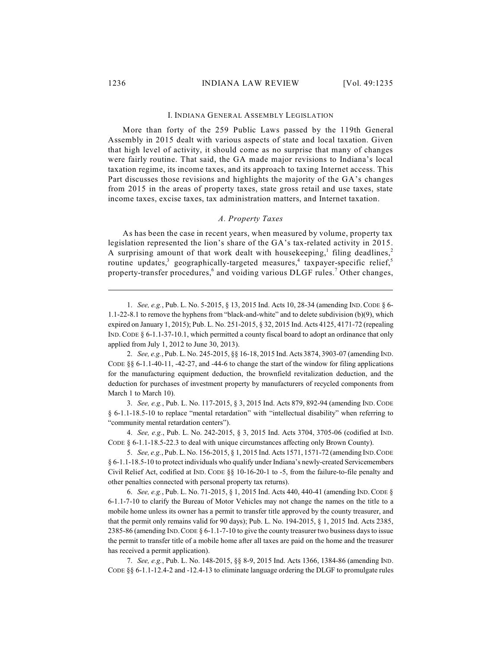#### I. INDIANA GENERAL ASSEMBLY LEGISLATION

More than forty of the 259 Public Laws passed by the 119th General Assembly in 2015 dealt with various aspects of state and local taxation. Given that high level of activity, it should come as no surprise that many of changes were fairly routine. That said, the GA made major revisions to Indiana's local taxation regime, its income taxes, and its approach to taxing Internet access. This Part discusses those revisions and highlights the majority of the GA's changes from 2015 in the areas of property taxes, state gross retail and use taxes, state income taxes, excise taxes, tax administration matters, and Internet taxation.

#### *A. Property Taxes*

As has been the case in recent years, when measured by volume, property tax legislation represented the lion's share of the GA's tax-related activity in 2015. A surprising amount of that work dealt with housekeeping,<sup>1</sup> filing deadlines,<sup>2</sup> routine updates,<sup>3</sup> geographically-targeted measures,<sup>4</sup> taxpayer-specific relief,<sup>5</sup> property-transfer procedures,  $6$  and voiding various DLGF rules.<sup>7</sup> Other changes,

3. *See, e.g.*, Pub. L. No. 117-2015, § 3, 2015 Ind. Acts 879, 892-94 (amending IND. CODE § 6-1.1-18.5-10 to replace "mental retardation" with "intellectual disability" when referring to "community mental retardation centers").

4. *See, e.g.*, Pub. L. No. 242-2015, § 3, 2015 Ind. Acts 3704, 3705-06 (codified at IND. CODE § 6-1.1-18.5-22.3 to deal with unique circumstances affecting only Brown County).

5. *See, e.g.*, Pub. L. No. 156-2015, § 1, 2015 Ind. Acts 1571, 1571-72 (amending IND.CODE § 6-1.1-18.5-10 to protect individuals who qualify under Indiana's newly-created Servicemembers Civil Relief Act, codified at IND. CODE §§ 10-16-20-1 to -5, from the failure-to-file penalty and other penalties connected with personal property tax returns).

6. *See, e.g.*, Pub. L. No. 71-2015, § 1, 2015 Ind. Acts 440, 440-41 (amending IND.CODE § 6-1.1-7-10 to clarify the Bureau of Motor Vehicles may not change the names on the title to a mobile home unless its owner has a permit to transfer title approved by the county treasurer, and that the permit only remains valid for 90 days); Pub. L. No. 194-2015, § 1, 2015 Ind. Acts 2385, 2385-86 (amending IND.CODE § 6-1.1-7-10 to give the county treasurer two business days to issue the permit to transfer title of a mobile home after all taxes are paid on the home and the treasurer has received a permit application).

7. *See, e.g.*, Pub. L. No. 148-2015, §§ 8-9, 2015 Ind. Acts 1366, 1384-86 (amending IND. CODE §§ 6-1.1-12.4-2 and -12.4-13 to eliminate language ordering the DLGF to promulgate rules

<sup>1.</sup> *See, e.g.*, Pub. L. No. 5-2015, § 13, 2015 Ind. Acts 10, 28-34 (amending IND.CODE § 6- 1.1-22-8.1 to remove the hyphens from "black-and-white" and to delete subdivision (b)(9), which expired on January 1, 2015); Pub. L. No. 251-2015, § 32, 2015 Ind. Acts 4125, 4171-72 (repealing IND. CODE § 6-1.1-37-10.1, which permitted a county fiscal board to adopt an ordinance that only applied from July 1, 2012 to June 30, 2013).

<sup>2.</sup> *See, e.g.*, Pub. L. No. 245-2015, §§ 16-18, 2015 Ind. Acts 3874, 3903-07 (amending IND. CODE §§ 6-1.1-40-11, -42-27, and -44-6 to change the start of the window for filing applications for the manufacturing equipment deduction, the brownfield revitalization deduction, and the deduction for purchases of investment property by manufacturers of recycled components from March 1 to March 10).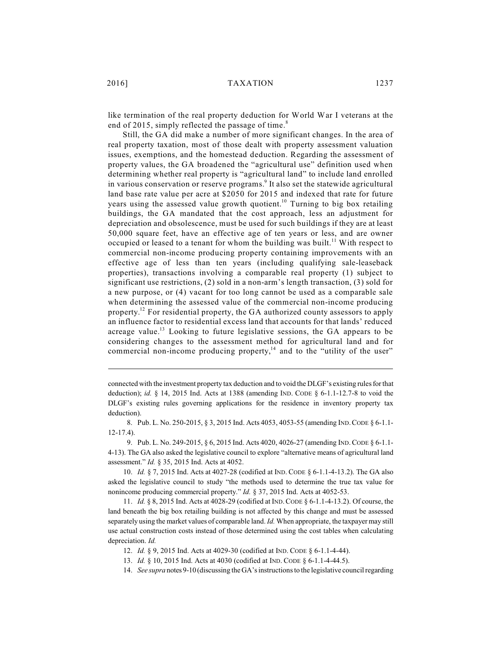like termination of the real property deduction for World War I veterans at the end of 2015, simply reflected the passage of time.<sup>8</sup>

Still, the GA did make a number of more significant changes. In the area of real property taxation, most of those dealt with property assessment valuation issues, exemptions, and the homestead deduction. Regarding the assessment of property values, the GA broadened the "agricultural use" definition used when determining whether real property is "agricultural land" to include land enrolled in various conservation or reserve programs.<sup>9</sup> It also set the statewide agricultural land base rate value per acre at \$2050 for 2015 and indexed that rate for future years using the assessed value growth quotient.<sup>10</sup> Turning to big box retailing buildings, the GA mandated that the cost approach, less an adjustment for depreciation and obsolescence, must be used for such buildings if they are at least 50,000 square feet, have an effective age of ten years or less, and are owner occupied or leased to a tenant for whom the building was built.<sup>11</sup> With respect to commercial non-income producing property containing improvements with an effective age of less than ten years (including qualifying sale-leaseback properties), transactions involving a comparable real property (1) subject to significant use restrictions, (2) sold in a non-arm's length transaction, (3) sold for a new purpose, or (4) vacant for too long cannot be used as a comparable sale when determining the assessed value of the commercial non-income producing property.<sup>12</sup> For residential property, the GA authorized county assessors to apply an influence factor to residential excess land that accounts for that lands' reduced acreage value.<sup>13</sup> Looking to future legislative sessions, the GA appears to be considering changes to the assessment method for agricultural land and for commercial non-income producing property, $14$  and to the "utility of the user"

connected with the investment property tax deduction and to void the DLGF's existing rules for that deduction); *id.* § 14, 2015 Ind. Acts at 1388 (amending IND. CODE § 6-1.1-12.7-8 to void the DLGF's existing rules governing applications for the residence in inventory property tax deduction).

<sup>8.</sup> Pub. L. No. 250-2015, § 3, 2015 Ind. Acts 4053, 4053-55 (amending IND.CODE § 6-1.1- 12-17.4).

<sup>9.</sup> Pub. L. No. 249-2015, § 6, 2015 Ind. Acts 4020, 4026-27 (amending IND.CODE § 6-1.1- 4-13). The GA also asked the legislative council to explore "alternative means of agricultural land assessment." *Id.* § 35, 2015 Ind. Acts at 4052.

<sup>10.</sup> *Id.* § 7, 2015 Ind. Acts at 4027-28 (codified at IND. CODE § 6-1.1-4-13.2). The GA also asked the legislative council to study "the methods used to determine the true tax value for nonincome producing commercial property." *Id.* § 37, 2015 Ind. Acts at 4052-53.

<sup>11.</sup> *Id.* § 8, 2015 Ind. Acts at 4028-29 (codified at IND.CODE § 6-1.1-4-13.2). Of course, the land beneath the big box retailing building is not affected by this change and must be assessed separately using the market values of comparable land. *Id.* When appropriate, the taxpayer may still use actual construction costs instead of those determined using the cost tables when calculating depreciation. *Id.*

<sup>12.</sup> *Id.* § 9, 2015 Ind. Acts at 4029-30 (codified at IND. CODE § 6-1.1-4-44).

<sup>13.</sup> *Id.* § 10, 2015 Ind. Acts at 4030 (codified at IND. CODE § 6-1.1-4-44.5).

<sup>14.</sup> *See supra* notes 9-10 (discussing the GA's instructions to the legislative council regarding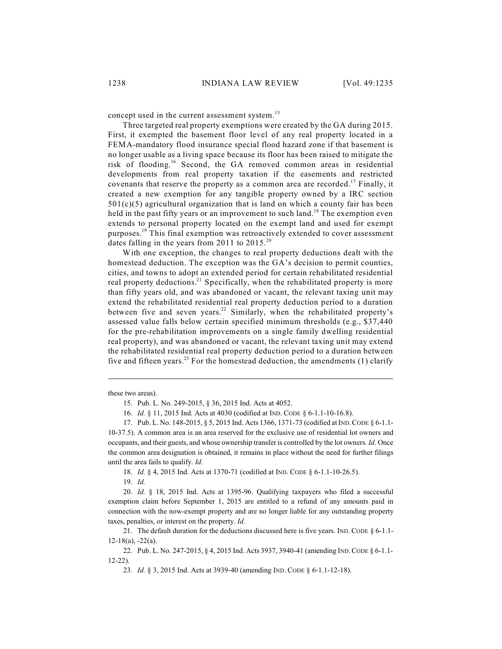concept used in the current assessment system.<sup>15</sup>

Three targeted real property exemptions were created by the GA during 2015. First, it exempted the basement floor level of any real property located in a FEMA-mandatory flood insurance special flood hazard zone if that basement is no longer usable as a living space because its floor has been raised to mitigate the risk of flooding.<sup>16</sup> Second, the GA removed common areas in residential developments from real property taxation if the easements and restricted covenants that reserve the property as a common area are recorded.<sup>17</sup> Finally, it created a new exemption for any tangible property owned by a IRC section  $501(c)(5)$  agricultural organization that is land on which a county fair has been held in the past fifty years or an improvement to such land.<sup>18</sup> The exemption even extends to personal property located on the exempt land and used for exempt purposes.<sup>19</sup> This final exemption was retroactively extended to cover assessment dates falling in the years from 2011 to  $2015.^{20}$ 

With one exception, the changes to real property deductions dealt with the homestead deduction. The exception was the GA's decision to permit counties, cities, and towns to adopt an extended period for certain rehabilitated residential real property deductions.<sup>21</sup> Specifically, when the rehabilitated property is more than fifty years old, and was abandoned or vacant, the relevant taxing unit may extend the rehabilitated residential real property deduction period to a duration between five and seven years.<sup>22</sup> Similarly, when the rehabilitated property's assessed value falls below certain specified minimum thresholds (e.g., \$37,440 for the pre-rehabilitation improvements on a single family dwelling residential real property), and was abandoned or vacant, the relevant taxing unit may extend the rehabilitated residential real property deduction period to a duration between five and fifteen years.<sup>23</sup> For the homestead deduction, the amendments (1) clarify

these two areas).

15. Pub. L. No. 249-2015, § 36, 2015 Ind. Acts at 4052.

16. *Id.* § 11, 2015 Ind. Acts at 4030 (codified at IND. CODE § 6-1.1-10-16.8).

17. Pub. L. No. 148-2015, § 5, 2015 Ind. Acts 1366, 1371-73 (codified at IND.CODE § 6-1.1-

10-37.5). A common area is an area reserved for the exclusive use of residential lot owners and occupants, and their guests, and whose ownership transfer is controlled by the lot owners. *Id*. Once the common area designation is obtained, it remains in place without the need for further filings until the area fails to qualify. *Id*.

18. *Id.* § 4, 2015 Ind. Acts at 1370-71 (codified at IND. CODE § 6-1.1-10-26.5).

19. *Id.*

20. *Id.* § 18, 2015 Ind. Acts at 1395-96. Qualifying taxpayers who filed a successful exemption claim before September 1, 2015 are entitled to a refund of any amounts paid in connection with the now-exempt property and are no longer liable for any outstanding property taxes, penalties, or interest on the property. *Id.*

21. The default duration for the deductions discussed here is five years. IND. CODE § 6-1.1-  $12-18(a)$ ,  $-22(a)$ .

22. Pub. L. No. 247-2015, § 4, 2015 Ind. Acts 3937, 3940-41 (amending IND.CODE § 6-1.1- 12-22).

23. *Id.* § 3, 2015 Ind. Acts at 3939-40 (amending IND. CODE § 6-1.1-12-18).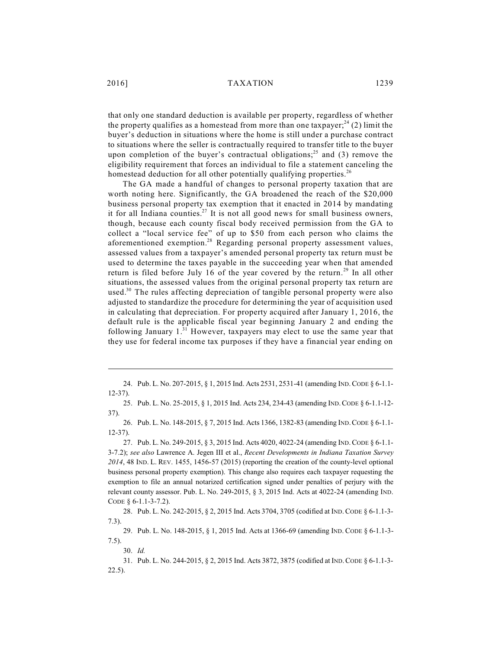that only one standard deduction is available per property, regardless of whether the property qualifies as a homestead from more than one taxpayer;<sup>24</sup> (2) limit the buyer's deduction in situations where the home is still under a purchase contract to situations where the seller is contractually required to transfer title to the buyer upon completion of the buyer's contractual obligations;<sup>25</sup> and (3) remove the eligibility requirement that forces an individual to file a statement canceling the homestead deduction for all other potentially qualifying properties.<sup>26</sup>

The GA made a handful of changes to personal property taxation that are worth noting here. Significantly, the GA broadened the reach of the \$20,000 business personal property tax exemption that it enacted in 2014 by mandating it for all Indiana counties.<sup>27</sup> It is not all good news for small business owners, though, because each county fiscal body received permission from the GA to collect a "local service fee" of up to \$50 from each person who claims the aforementioned exemption.<sup>28</sup> Regarding personal property assessment values, assessed values from a taxpayer's amended personal property tax return must be used to determine the taxes payable in the succeeding year when that amended return is filed before July 16 of the year covered by the return.<sup>29</sup> In all other situations, the assessed values from the original personal property tax return are used.<sup>30</sup> The rules affecting depreciation of tangible personal property were also adjusted to standardize the procedure for determining the year of acquisition used in calculating that depreciation. For property acquired after January 1, 2016, the default rule is the applicable fiscal year beginning January 2 and ending the following January  $1.^{31}$  However, taxpayers may elect to use the same year that they use for federal income tax purposes if they have a financial year ending on

<sup>24.</sup> Pub. L. No. 207-2015, § 1, 2015 Ind. Acts 2531, 2531-41 (amending IND.CODE § 6-1.1- 12-37).

<sup>25.</sup> Pub. L. No. 25-2015, § 1, 2015 Ind. Acts 234, 234-43 (amending IND.CODE § 6-1.1-12- 37).

<sup>26.</sup> Pub. L. No. 148-2015, § 7, 2015 Ind. Acts 1366, 1382-83 (amending IND.CODE § 6-1.1- 12-37).

<sup>27.</sup> Pub. L. No. 249-2015, § 3, 2015 Ind. Acts 4020, 4022-24 (amending IND.CODE § 6-1.1- 3-7.2); *see also* Lawrence A. Jegen III et al., *Recent Developments in Indiana Taxation Survey 2014*, 48 IND. L. REV[. 1455, 1456-57](http://dx.doi.org/10.18060/4806.0047) (2015) (reporting the creation of the county-level optional business personal property exemption). This change also requires each taxpayer requesting the exemption to file an annual notarized certification signed under penalties of perjury with the relevant county assessor. Pub. L. No. 249-2015, § 3, 2015 Ind. Acts at 4022-24 (amending IND. CODE § 6-1.1-3-7.2).

<sup>28.</sup> Pub. L. No. 242-2015, § 2, 2015 Ind. Acts 3704, 3705 (codified at IND.CODE § 6-1.1-3- 7.3).

<sup>29.</sup> Pub. L. No. 148-2015, § 1, 2015 Ind. Acts at 1366-69 (amending IND. CODE § 6-1.1-3- 7.5).

<sup>30.</sup> *Id.*

<sup>31.</sup> Pub. L. No. 244-2015, § 2, 2015 Ind. Acts 3872, 3875 (codified at IND.CODE § 6-1.1-3- 22.5).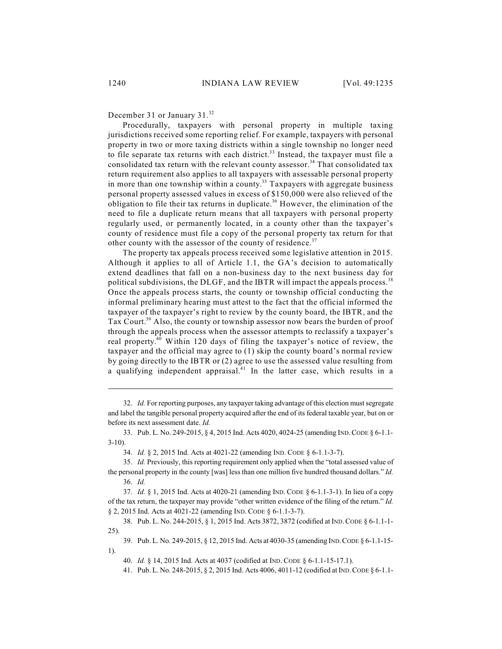December 31 or January 31.<sup>32</sup>

Procedurally, taxpayers with personal property in multiple taxing jurisdictions received some reporting relief. For example, taxpayers with personal property in two or more taxing districts within a single township no longer need to file separate tax returns with each district.<sup>33</sup> Instead, the taxpayer must file a consolidated tax return with the relevant county assessor.<sup>34</sup> That consolidated tax return requirement also applies to all taxpayers with assessable personal property in more than one township within a county.<sup>35</sup> Taxpayers with aggregate business personal property assessed values in excess of \$150,000 were also relieved of the obligation to file their tax returns in duplicate.<sup>36</sup> However, the elimination of the need to file a duplicate return means that all taxpayers with personal property regularly used, or permanently located, in a county other than the taxpayer's county of residence must file a copy of the personal property tax return for that other county with the assessor of the county of residence.<sup>37</sup>

The property tax appeals process received some legislative attention in 2015. Although it applies to all of Article 1.1, the GA's decision to automatically extend deadlines that fall on a non-business day to the next business day for political subdivisions, the DLGF, and the IBTR will impact the appeals process.<sup>38</sup> Once the appeals process starts, the county or township official conducting the informal preliminary hearing must attest to the fact that the official informed the taxpayer of the taxpayer's right to review by the county board, the IBTR, and the Tax Court.<sup>39</sup> Also, the county or township assessor now bears the burden of proof through the appeals process when the assessor attempts to reclassify a taxpayer's real property.<sup>40</sup> Within 120 days of filing the taxpayer's notice of review, the taxpayer and the official may agree to (1) skip the county board's normal review by going directly to the IBTR or (2) agree to use the assessed value resulting from a qualifying independent appraisal.<sup>41</sup> In the latter case, which results in a

32. *Id.* For reporting purposes, any taxpayer taking advantage of this election must segregate and label the tangible personal property acquired after the end of its federal taxable year, but on or before its next assessment date. *Id.*

33. Pub. L. No. 249-2015, § 4, 2015 Ind. Acts 4020, 4024-25 (amending IND.CODE § 6-1.1- 3-10).

34. *Id.* § 2, 2015 Ind. Acts at 4021-22 (amending IND. CODE § 6-1.1-3-7).

35. *Id.* Previously, this reporting requirement only applied when the "total assessed value of the personal property in the county [was] less than one million five hundred thousand dollars." *Id.* 36. *Id.*

37. *Id.* § 1, 2015 Ind. Acts at 4020-21 (amending IND. CODE § 6-1.1-3-1). In lieu of a copy of the tax return, the taxpayer may provide "other written evidence of the filing of the return." *Id.* § 2, 2015 Ind. Acts at 4021-22 (amending IND. CODE § 6-1.1-3-7).

38. Pub. L. No. 244-2015, § 1, 2015 Ind. Acts 3872, 3872 (codified at IND.CODE § 6-1.1-1- 25).

39. Pub. L. No. 249-2015, § 12, 2015 Ind. Acts at 4030-35 (amending IND.CODE § 6-1.1-15- 1).

40. *Id.* § 14, 2015 Ind. Acts at 4037 (codified at IND. CODE § 6-1.1-15-17.1).

41. Pub. L. No. 248-2015, § 2, 2015 Ind. Acts 4006, 4011-12 (codified at IND.CODE § 6-1.1-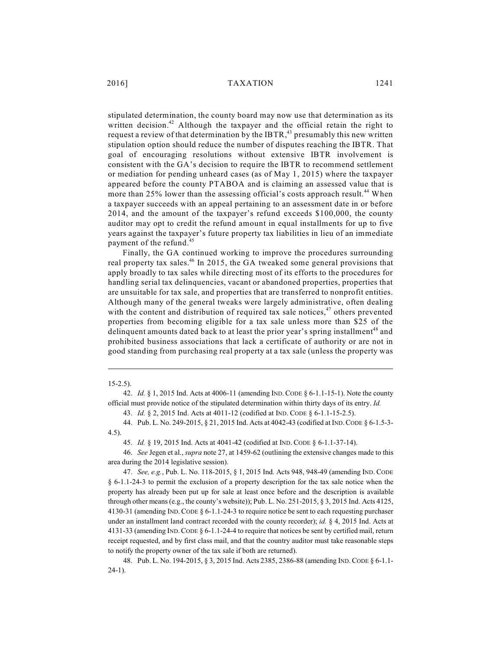stipulated determination, the county board may now use that determination as its written decision.<sup>42</sup> Although the taxpayer and the official retain the right to request a review of that determination by the IBTR,<sup>43</sup> presumably this new written stipulation option should reduce the number of disputes reaching the IBTR. That goal of encouraging resolutions without extensive IBTR involvement is consistent with the GA's decision to require the IBTR to recommend settlement or mediation for pending unheard cases (as of May 1, 2015) where the taxpayer appeared before the county PTABOA and is claiming an assessed value that is more than 25% lower than the assessing official's costs approach result.<sup>44</sup> When a taxpayer succeeds with an appeal pertaining to an assessment date in or before 2014, and the amount of the taxpayer's refund exceeds \$100,000, the county auditor may opt to credit the refund amount in equal installments for up to five years against the taxpayer's future property tax liabilities in lieu of an immediate payment of the refund.<sup>45</sup>

Finally, the GA continued working to improve the procedures surrounding real property tax sales. $46$  In 2015, the GA tweaked some general provisions that apply broadly to tax sales while directing most of its efforts to the procedures for handling serial tax delinquencies, vacant or abandoned properties, properties that are unsuitable for tax sale, and properties that are transferred to nonprofit entities. Although many of the general tweaks were largely administrative, often dealing with the content and distribution of required tax sale notices, $47$  others prevented properties from becoming eligible for a tax sale unless more than \$25 of the delinquent amounts dated back to at least the prior year's spring installment<sup>48</sup> and prohibited business associations that lack a certificate of authority or are not in good standing from purchasing real property at a tax sale (unless the property was

### 15-2.5).

43. *Id.* § 2, 2015 Ind. Acts at 4011-12 (codified at IND. CODE § 6-1.1-15-2.5).

44. Pub. L. No. 249-2015, § 21, 2015 Ind. Acts at 4042-43 (codified at IND.CODE § 6-1.5-3- 4.5).

45. *Id.* § 19, 2015 Ind. Acts at 4041-42 (codified at IND. CODE § 6-1.1-37-14).

46. *See* Jegen et al., *supra* note 27, at 1459-62 (outlining the extensive changes made to this area during the 2014 legislative session).

47. *See, e.g.*, Pub. L. No. 118-2015, § 1, 2015 Ind. Acts 948, 948-49 (amending IND. CODE § 6-1.1-24-3 to permit the exclusion of a property description for the tax sale notice when the property has already been put up for sale at least once before and the description is available through other means (e.g., the county's website)); Pub. L. No.  $251-2015$ ,  $\S$  3, 2015 Ind. Acts 4125, 4130-31 (amending IND.CODE § 6-1.1-24-3 to require notice be sent to each requesting purchaser under an installment land contract recorded with the county recorder); *id.* § 4, 2015 Ind. Acts at 4131-33 (amending IND.CODE § 6-1.1-24-4 to require that notices be sent by certified mail, return receipt requested, and by first class mail, and that the country auditor must take reasonable steps to notify the property owner of the tax sale if both are returned).

48. Pub. L. No. 194-2015, § 3, 2015 Ind. Acts 2385, 2386-88 (amending IND.CODE § 6-1.1- 24-1).

<sup>42.</sup> *Id.* § 1, 2015 Ind. Acts at 4006-11 (amending IND.CODE § 6-1.1-15-1). Note the county official must provide notice of the stipulated determination within thirty days of its entry. *Id.*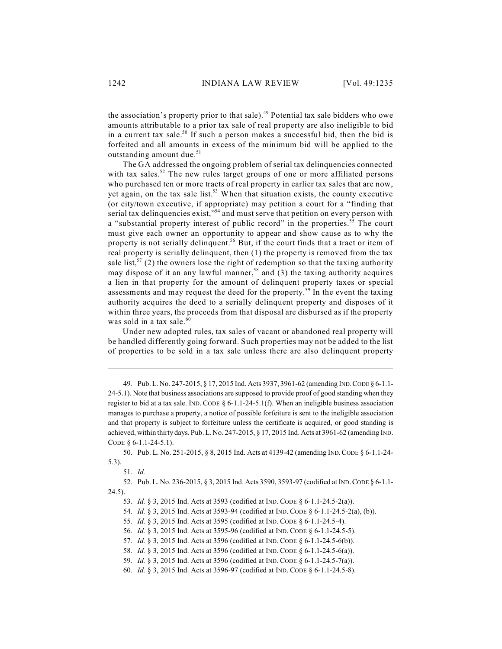the association's property prior to that sale).<sup>49</sup> Potential tax sale bidders who owe amounts attributable to a prior tax sale of real property are also ineligible to bid in a current tax sale.<sup>50</sup> If such a person makes a successful bid, then the bid is forfeited and all amounts in excess of the minimum bid will be applied to the outstanding amount due.<sup>51</sup>

The GA addressed the ongoing problem of serial tax delinquencies connected with tax sales.<sup>52</sup> The new rules target groups of one or more affiliated persons who purchased ten or more tracts of real property in earlier tax sales that are now, yet again, on the tax sale list.<sup>53</sup> When that situation exists, the county executive (or city/town executive, if appropriate) may petition a court for a "finding that serial tax delinquencies exist,"<sup>54</sup> and must serve that petition on every person with a "substantial property interest of public record" in the properties.<sup>55</sup> The court must give each owner an opportunity to appear and show cause as to why the property is not serially delinquent.<sup>56</sup> But, if the court finds that a tract or item of real property is serially delinquent, then (1) the property is removed from the tax sale list,<sup>57</sup> (2) the owners lose the right of redemption so that the taxing authority may dispose of it an any lawful manner,<sup>58</sup> and (3) the taxing authority acquires a lien in that property for the amount of delinquent property taxes or special assessments and may request the deed for the property.<sup>59</sup> In the event the taxing authority acquires the deed to a serially delinquent property and disposes of it within three years, the proceeds from that disposal are disbursed as if the property was sold in a tax sale.<sup>60</sup>

Under new adopted rules, tax sales of vacant or abandoned real property will be handled differently going forward. Such properties may not be added to the list of properties to be sold in a tax sale unless there are also delinquent property

52. Pub. L. No. 236-2015, § 3, 2015 Ind. Acts 3590, 3593-97 (codified at IND.CODE § 6-1.1- 24.5).

53. *Id.* § 3, 2015 Ind. Acts at 3593 (codified at IND. CODE § 6-1.1-24.5-2(a)).

54. *Id.* § 3, 2015 Ind. Acts at 3593-94 (codified at IND. CODE § 6-1.1-24.5-2(a), (b)).

55. *Id.* § 3, 2015 Ind. Acts at 3595 (codified at IND. CODE § 6-1.1-24.5-4).

56. *Id.* § 3, 2015 Ind. Acts at 3595-96 (codified at IND. CODE § 6-1.1-24.5-5).

57. *Id.* § 3, 2015 Ind. Acts at 3596 (codified at IND. CODE § 6-1.1-24.5-6(b)).

58. *Id.* § 3, 2015 Ind. Acts at 3596 (codified at IND. CODE § 6-1.1-24.5-6(a)).

59. *Id.* § 3, 2015 Ind. Acts at 3596 (codified at IND. CODE § 6-1.1-24.5-7(a)).

60. *Id.* § 3, 2015 Ind. Acts at 3596-97 (codified at IND. CODE § 6-1.1-24.5-8).

<sup>49.</sup> Pub. L. No. 247-2015, § 17, 2015 Ind. Acts 3937, 3961-62 (amending IND.CODE § 6-1.1- 24-5.1). Note that business associations are supposed to provide proof of good standing when they register to bid at a tax sale. IND. CODE §  $6-1.1-24-5.1(f)$ . When an ineligible business association manages to purchase a property, a notice of possible forfeiture is sent to the ineligible association and that property is subject to forfeiture unless the certificate is acquired, or good standing is achieved, within thirty days. Pub. L. No. 247-2015, § 17, 2015 Ind. Acts at 3961-62 (amending IND. CODE § 6-1.1-24-5.1).

<sup>50.</sup> Pub. L. No. 251-2015, § 8, 2015 Ind. Acts at 4139-42 (amending IND.CODE § 6-1.1-24- 5.3).

<sup>51.</sup> *Id.*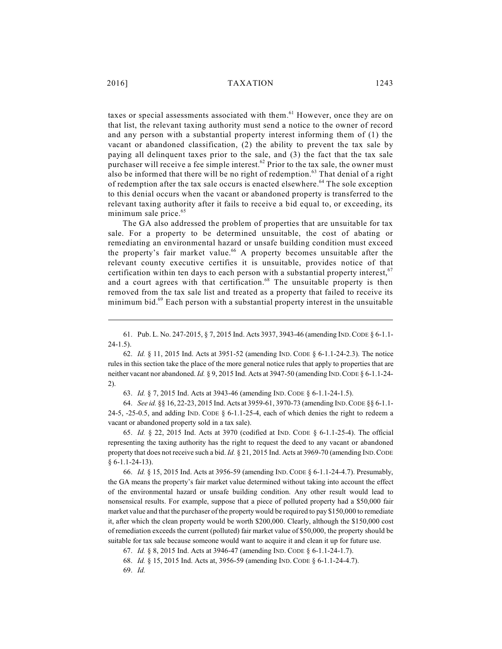taxes or special assessments associated with them. $61$  However, once they are on that list, the relevant taxing authority must send a notice to the owner of record and any person with a substantial property interest informing them of (1) the vacant or abandoned classification, (2) the ability to prevent the tax sale by paying all delinquent taxes prior to the sale, and (3) the fact that the tax sale purchaser will receive a fee simple interest.<sup>62</sup> Prior to the tax sale, the owner must also be informed that there will be no right of redemption.<sup>63</sup> That denial of a right of redemption after the tax sale occurs is enacted elsewhere.<sup>64</sup> The sole exception to this denial occurs when the vacant or abandoned property is transferred to the relevant taxing authority after it fails to receive a bid equal to, or exceeding, its minimum sale price. 65

The GA also addressed the problem of properties that are unsuitable for tax sale. For a property to be determined unsuitable, the cost of abating or remediating an environmental hazard or unsafe building condition must exceed the property's fair market value.<sup>66</sup> A property becomes unsuitable after the relevant county executive certifies it is unsuitable, provides notice of that certification within ten days to each person with a substantial property interest,  $\mathfrak{h}$ and a court agrees with that certification.<sup>68</sup> The unsuitable property is then removed from the tax sale list and treated as a property that failed to receive its minimum bid.<sup>69</sup> Each person with a substantial property interest in the unsuitable

61. Pub. L. No. 247-2015, § 7, 2015 Ind. Acts 3937, 3943-46 (amending IND.CODE § 6-1.1-  $24 - 1.5$ ).

62. *Id.* § 11, 2015 Ind. Acts at 3951-52 (amending IND. CODE § 6-1.1-24-2.3). The notice rules in this section take the place of the more general notice rules that apply to properties that are neither vacant nor abandoned. *Id.* § 9, 2015 Ind. Acts at 3947-50 (amending IND.CODE § 6-1.1-24- 2).

63. *Id.* § 7, 2015 Ind. Acts at 3943-46 (amending IND. CODE § 6-1.1-24-1.5).

64. *See id.* §§ 16, 22-23, 2015 Ind. Acts at 3959-61, 3970-73 (amending IND.CODE §§ 6-1.1- 24-5, -25-0.5, and adding IND. CODE  $\S$  6-1.1-25-4, each of which denies the right to redeem a vacant or abandoned property sold in a tax sale).

65. *Id.* § 22, 2015 Ind. Acts at 3970 (codified at IND. CODE § 6-1.1-25-4). The official representing the taxing authority has the right to request the deed to any vacant or abandoned property that does not receive such a bid. *Id.* § 21, 2015 Ind. Acts at 3969-70 (amending IND.CODE  $§ 6-1.1-24-13$ .

66. *Id.* § 15, 2015 Ind. Acts at 3956-59 (amending IND. CODE § 6-1.1-24-4.7). Presumably, the GA means the property's fair market value determined without taking into account the effect of the environmental hazard or unsafe building condition. Any other result would lead to nonsensical results. For example, suppose that a piece of polluted property had a \$50,000 fair market value and that the purchaser of the property would be required to pay \$150,000 to remediate it, after which the clean property would be worth \$200,000. Clearly, although the \$150,000 cost of remediation exceeds the current (polluted) fair market value of \$50,000, the property should be suitable for tax sale because someone would want to acquire it and clean it up for future use.

67. *Id.* § 8, 2015 Ind. Acts at 3946-47 (amending IND. CODE § 6-1.1-24-1.7).

68. *Id.* § 15, 2015 Ind. Acts at, 3956-59 (amending IND. CODE § 6-1.1-24-4.7).

69. *Id.*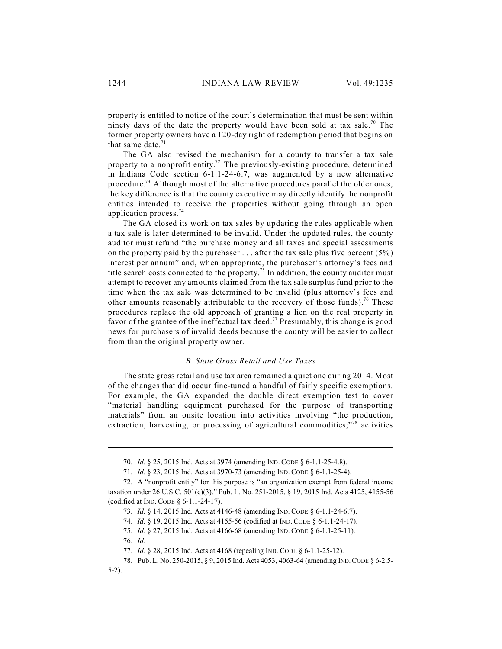property is entitled to notice of the court's determination that must be sent within ninety days of the date the property would have been sold at tax sale.<sup>70</sup> The former property owners have a 120-day right of redemption period that begins on that same date.<sup>71</sup>

The GA also revised the mechanism for a county to transfer a tax sale property to a nonprofit entity.<sup>72</sup> The previously-existing procedure, determined in Indiana Code section 6-1.1-24-6.7, was augmented by a new alternative procedure.<sup>73</sup> Although most of the alternative procedures parallel the older ones, the key difference is that the county executive may directly identify the nonprofit entities intended to receive the properties without going through an open application process. 74

The GA closed its work on tax sales by updating the rules applicable when a tax sale is later determined to be invalid. Under the updated rules, the county auditor must refund "the purchase money and all taxes and special assessments on the property paid by the purchaser  $\dots$  after the tax sale plus five percent (5%) interest per annum" and, when appropriate, the purchaser's attorney's fees and title search costs connected to the property.<sup>75</sup> In addition, the county auditor must attempt to recover any amounts claimed from the tax sale surplus fund prior to the time when the tax sale was determined to be invalid (plus attorney's fees and other amounts reasonably attributable to the recovery of those funds).<sup>76</sup> These procedures replace the old approach of granting a lien on the real property in favor of the grantee of the ineffectual tax deed.<sup>77</sup> Presumably, this change is good news for purchasers of invalid deeds because the county will be easier to collect from than the original property owner.

### *B. State Gross Retail and Use Taxes*

The state gross retail and use tax area remained a quiet one during 2014. Most of the changes that did occur fine-tuned a handful of fairly specific exemptions. For example, the GA expanded the double direct exemption test to cover "material handling equipment purchased for the purpose of transporting materials" from an onsite location into activities involving "the production, extraction, harvesting, or processing of agricultural commodities;"<sup>78</sup> activities

76. *Id.*

<sup>70.</sup> *Id.* § 25, 2015 Ind. Acts at 3974 (amending IND. CODE § 6-1.1-25-4.8).

<sup>71.</sup> *Id.* § 23, 2015 Ind. Acts at 3970-73 (amending IND. CODE § 6-1.1-25-4).

<sup>72.</sup> A "nonprofit entity" for this purpose is "an organization exempt from federal income taxation under 26 U.S.C. 501(c)(3)." Pub. L. No. 251-2015, § 19, 2015 Ind. Acts 4125, 4155-56 (codified at IND. CODE § 6-1.1-24-17).

<sup>73.</sup> *Id.* § 14, 2015 Ind. Acts at 4146-48 (amending IND. CODE § 6-1.1-24-6.7).

<sup>74.</sup> *Id.* § 19, 2015 Ind. Acts at 4155-56 (codified at IND. CODE § 6-1.1-24-17).

<sup>75.</sup> *Id.* § 27, 2015 Ind. Acts at 4166-68 (amending IND. CODE § 6-1.1-25-11).

<sup>77.</sup> *Id.* § 28, 2015 Ind. Acts at 4168 (repealing IND. CODE § 6-1.1-25-12).

<sup>78.</sup> Pub. L. No. 250-2015, § 9, 2015 Ind. Acts 4053, 4063-64 (amending IND.CODE § 6-2.5-

<sup>5-2).</sup>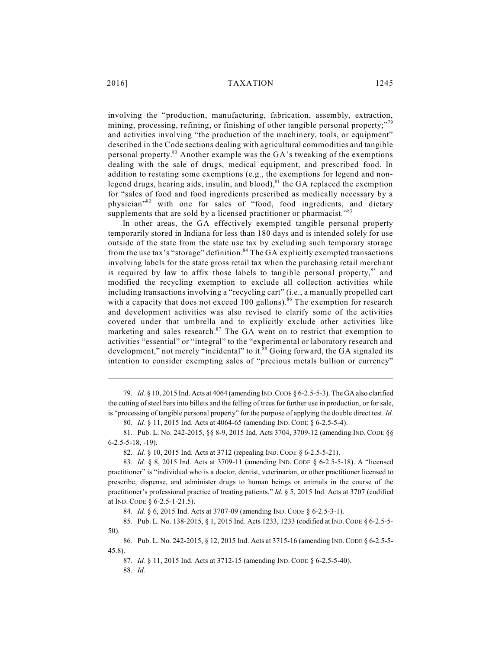involving the "production, manufacturing, fabrication, assembly, extraction, mining, processing, refining, or finishing of other tangible personal property;"<sup>79</sup> and activities involving "the production of the machinery, tools, or equipment" described in the Code sections dealing with agricultural commodities and tangible personal property. $80$  Another example was the GA's tweaking of the exemptions dealing with the sale of drugs, medical equipment, and prescribed food. In addition to restating some exemptions (e.g., the exemptions for legend and nonlegend drugs, hearing aids, insulin, and blood), $81$  the GA replaced the exemption for "sales of food and food ingredients prescribed as medically necessary by a physician"<sup>82</sup> with one for sales of "food, food ingredients, and dietary supplements that are sold by a licensed practitioner or pharmacist."<sup>83</sup>

In other areas, the GA effectively exempted tangible personal property temporarily stored in Indiana for less than 180 days and is intended solely for use outside of the state from the state use tax by excluding such temporary storage from the use tax's "storage" definition.<sup>84</sup> The GA explicitly exempted transactions involving labels for the state gross retail tax when the purchasing retail merchant is required by law to affix those labels to tangible personal property, $85$  and modified the recycling exemption to exclude all collection activities while including transactions involving a "recycling cart" (i.e., a manually propelled cart with a capacity that does not exceed 100 gallons).<sup>86</sup> The exemption for research and development activities was also revised to clarify some of the activities covered under that umbrella and to explicitly exclude other activities like marketing and sales research. $87$  The GA went on to restrict that exemption to activities "essential" or "integral" to the "experimental or laboratory research and development," not merely "incidental" to it.<sup>88</sup> Going forward, the GA signaled its intention to consider exempting sales of "precious metals bullion or currency"

<sup>79.</sup> *Id.* § 10, 2015 Ind. Acts at 4064 (amending IND.CODE § 6-2.5-5-3). The GA also clarified the cutting of steel bars into billets and the felling of trees for further use in production, or for sale, is "processing of tangible personal property" for the purpose of applying the double direct test. *Id.*

<sup>80.</sup> *Id.* § 11, 2015 Ind. Acts at 4064-65 (amending IND. CODE § 6-2.5-5-4).

<sup>81.</sup> Pub. L. No. 242-2015, §§ 8-9, 2015 Ind. Acts 3704, 3709-12 (amending IND. CODE §§ 6-2.5-5-18, -19).

<sup>82.</sup> *Id.* § 10, 2015 Ind. Acts at 3712 (repealing IND. CODE § 6-2.5-5-21).

<sup>83.</sup> *Id.* § 8, 2015 Ind. Acts at 3709-11 (amending IND. CODE § 6-2.5-5-18). A "licensed practitioner" is "individual who is a doctor, dentist, veterinarian, or other practitioner licensed to prescribe, dispense, and administer drugs to human beings or animals in the course of the practitioner's professional practice of treating patients." *Id.* § 5, 2015 Ind. Acts at 3707 (codified at IND. CODE § 6-2.5-1-21.5).

<sup>84.</sup> *Id.* § 6, 2015 Ind. Acts at 3707-09 (amending IND. CODE § 6-2.5-3-1).

<sup>85.</sup> Pub. L. No. 138-2015, § 1, 2015 Ind. Acts 1233, 1233 (codified at IND.CODE § 6-2.5-5- 50).

<sup>86.</sup> Pub. L. No. 242-2015, § 12, 2015 Ind. Acts at 3715-16 (amending IND.CODE § 6-2.5-5- 45.8).

<sup>87.</sup> *Id.* § 11, 2015 Ind. Acts at 3712-15 (amending IND. CODE § 6-2.5-5-40).

<sup>88.</sup> *Id.*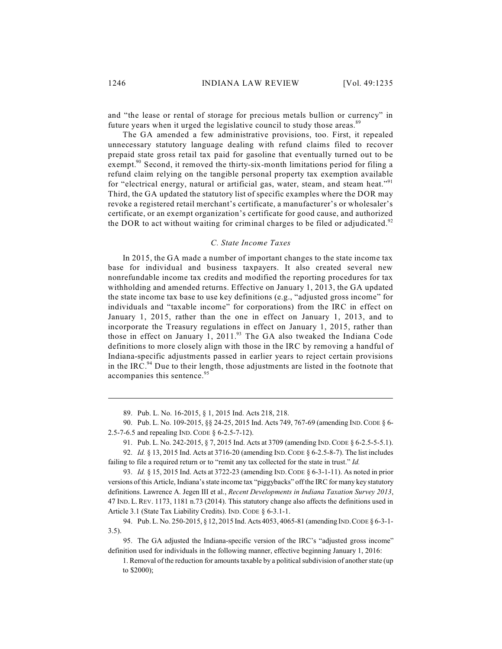and "the lease or rental of storage for precious metals bullion or currency" in future years when it urged the legislative council to study those areas.<sup>89</sup>

The GA amended a few administrative provisions, too. First, it repealed unnecessary statutory language dealing with refund claims filed to recover prepaid state gross retail tax paid for gasoline that eventually turned out to be exempt.<sup>90</sup> Second, it removed the thirty-six-month limitations period for filing a refund claim relying on the tangible personal property tax exemption available for "electrical energy, natural or artificial gas, water, steam, and steam heat."<sup>91</sup> Third, the GA updated the statutory list of specific examples where the DOR may revoke a registered retail merchant's certificate, a manufacturer's or wholesaler's certificate, or an exempt organization's certificate for good cause, and authorized the DOR to act without waiting for criminal charges to be filed or adjudicated.<sup>92</sup>

### *C. State Income Taxes*

In 2015, the GA made a number of important changes to the state income tax base for individual and business taxpayers. It also created several new nonrefundable income tax credits and modified the reporting procedures for tax withholding and amended returns. Effective on January 1, 2013, the GA updated the state income tax base to use key definitions (e.g., "adjusted gross income" for individuals and "taxable income" for corporations) from the IRC in effect on January 1, 2015, rather than the one in effect on January 1, 2013, and to incorporate the Treasury regulations in effect on January 1, 2015, rather than those in effect on January 1, 2011.<sup>93</sup> The GA also tweaked the Indiana Code definitions to more closely align with those in the IRC by removing a handful of Indiana-specific adjustments passed in earlier years to reject certain provisions in the IRC. $^{94}$  Due to their length, those adjustments are listed in the footnote that accompanies this sentence. 95

89. Pub. L. No. 16-2015, § 1, 2015 Ind. Acts 218, 218.

90. Pub. L. No. 109-2015, §§ 24-25, 2015 Ind. Acts 749, 767-69 (amending IND.CODE § 6- 2.5-7-6.5 and repealing IND. CODE § 6-2.5-7-12).

91. Pub. L. No. 242-2015, § 7, 2015 Ind. Acts at 3709 (amending IND.CODE § 6-2.5-5-5.1).

92. *Id.* § 13, 2015 Ind. Acts at 3716-20 (amending IND.CODE § 6-2.5-8-7). The list includes failing to file a required return or to "remit any tax collected for the state in trust." *Id.*

93. *Id.* § 15, 2015 Ind. Acts at 3722-23 (amending IND.CODE § 6-3-1-11). As noted in prior versions of this Article, Indiana's state income tax "piggybacks" offthe IRC for many key statutory definitions. Lawrence A. Jegen III et al., *Recent Developments in Indiana Taxation Survey 2013*, 47 IND. L.REV. 1173, 1181 n.73 (2014). This statutory change also affects the definitions used in Article 3.1 (State Tax Liability Credits). IND. CODE § 6-3.1-1.

94. Pub. L. No. 250-2015, § 12, 2015 Ind. Acts 4053, 4065-81 (amending IND.CODE § 6-3-1- 3.5).

95. The GA adjusted the Indiana-specific version of the IRC's "adjusted gross income" definition used for individuals in the following manner, effective beginning January 1, 2016:

1. Removal of the reduction for amounts taxable by a political subdivision of another state (up to \$2000);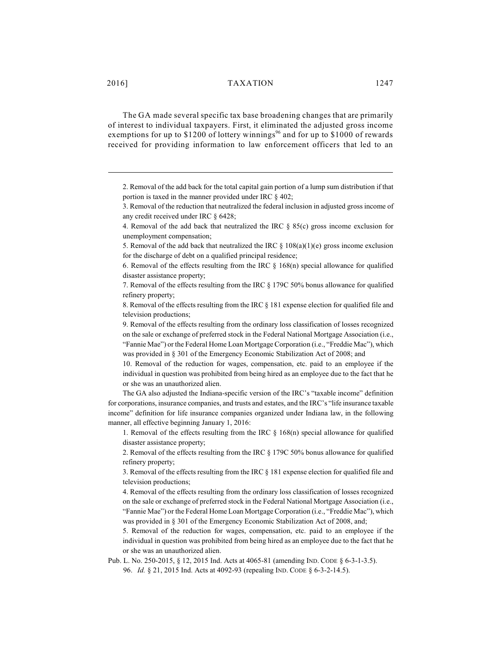The GA made several specific tax base broadening changes that are primarily of interest to individual taxpayers. First, it eliminated the adjusted gross income exemptions for up to \$1200 of lottery winnings<sup>96</sup> and for up to \$1000 of rewards received for providing information to law enforcement officers that led to an

2. Removal of the add back for the total capital gain portion of a lump sum distribution if that portion is taxed in the manner provided under IRC § 402;

7. Removal of the effects resulting from the IRC § 179C 50% bonus allowance for qualified refinery property;

8. Removal of the effects resulting from the IRC § 181 expense election for qualified file and television productions;

9. Removal of the effects resulting from the ordinary loss classification of losses recognized on the sale or exchange of preferred stock in the Federal National Mortgage Association (i.e., "Fannie Mae") or the Federal Home Loan Mortgage Corporation (i.e., "Freddie Mac"), which was provided in § 301 of the Emergency Economic Stabilization Act of 2008; and

10. Removal of the reduction for wages, compensation, etc. paid to an employee if the individual in question was prohibited from being hired as an employee due to the fact that he or she was an unauthorized alien.

The GA also adjusted the Indiana-specific version of the IRC's "taxable income" definition for corporations, insurance companies, and trusts and estates, and the IRC's "life insurance taxable income" definition for life insurance companies organized under Indiana law, in the following manner, all effective beginning January 1, 2016:

1. Removal of the effects resulting from the IRC  $\S$  168(n) special allowance for qualified disaster assistance property;

2. Removal of the effects resulting from the IRC § 179C 50% bonus allowance for qualified refinery property;

3. Removal of the effects resulting from the IRC § 181 expense election for qualified file and television productions;

4. Removal of the effects resulting from the ordinary loss classification of losses recognized on the sale or exchange of preferred stock in the Federal National Mortgage Association (i.e., "Fannie Mae") or the Federal Home Loan Mortgage Corporation (i.e., "Freddie Mac"), which was provided in § 301 of the Emergency Economic Stabilization Act of 2008, and;

5. Removal of the reduction for wages, compensation, etc. paid to an employee if the individual in question was prohibited from being hired as an employee due to the fact that he or she was an unauthorized alien.

Pub. L. No. 250-2015, § 12, 2015 Ind. Acts at 4065-81 (amending IND. CODE § 6-3-1-3.5). 96. *Id.* § 21, 2015 Ind. Acts at 4092-93 (repealing IND. CODE § 6-3-2-14.5).

<sup>3.</sup> Removal of the reduction that neutralized the federal inclusion in adjusted gross income of any credit received under IRC § 6428;

<sup>4.</sup> Removal of the add back that neutralized the IRC § 85(c) gross income exclusion for unemployment compensation;

<sup>5.</sup> Removal of the add back that neutralized the IRC  $\S 108(a)(1)(e)$  gross income exclusion for the discharge of debt on a qualified principal residence;

<sup>6.</sup> Removal of the effects resulting from the IRC  $\S$  168(n) special allowance for qualified disaster assistance property;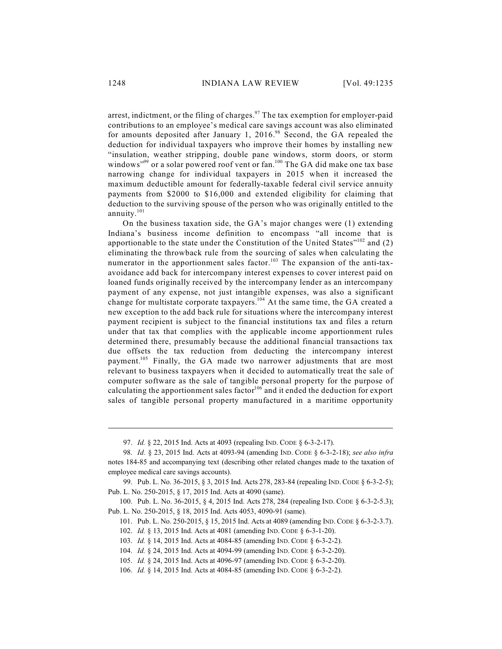arrest, indictment, or the filing of charges. $\frac{97}{2}$  The tax exemption for employer-paid contributions to an employee's medical care savings account was also eliminated for amounts deposited after January 1, 2016. $98$  Second, the GA repealed the deduction for individual taxpayers who improve their homes by installing new "insulation, weather stripping, double pane windows, storm doors, or storm windows"<sup>99</sup> or a solar powered roof vent or fan.<sup>100</sup> The GA did make one tax base narrowing change for individual taxpayers in 2015 when it increased the maximum deductible amount for federally-taxable federal civil service annuity payments from \$2000 to \$16,000 and extended eligibility for claiming that deduction to the surviving spouse of the person who was originally entitled to the annuity.<sup>101</sup>

On the business taxation side, the GA's major changes were (1) extending Indiana's business income definition to encompass "all income that is apportionable to the state under the Constitution of the United States"<sup>102</sup> and (2) eliminating the throwback rule from the sourcing of sales when calculating the numerator in the apportionment sales factor.<sup>103</sup> The expansion of the anti-taxavoidance add back for intercompany interest expenses to cover interest paid on loaned funds originally received by the intercompany lender as an intercompany payment of any expense, not just intangible expenses, was also a significant change for multistate corporate taxpayers.<sup>104</sup> At the same time, the GA created a new exception to the add back rule for situations where the intercompany interest payment recipient is subject to the financial institutions tax and files a return under that tax that complies with the applicable income apportionment rules determined there, presumably because the additional financial transactions tax due offsets the tax reduction from deducting the intercompany interest payment.<sup>105</sup> Finally, the GA made two narrower adjustments that are most relevant to business taxpayers when it decided to automatically treat the sale of computer software as the sale of tangible personal property for the purpose of calculating the apportionment sales factor<sup>106</sup> and it ended the deduction for export sales of tangible personal property manufactured in a maritime opportunity

<sup>97.</sup> *Id.* § 22, 2015 Ind. Acts at 4093 (repealing IND. CODE § 6-3-2-17).

<sup>98.</sup> *Id.* § 23, 2015 Ind. Acts at 4093-94 (amending IND. CODE § 6-3-2-18); *see also infra* notes 184-85 and accompanying text (describing other related changes made to the taxation of employee medical care savings accounts).

<sup>99.</sup> Pub. L. No. 36-2015, § 3, 2015 Ind. Acts 278, 283-84 (repealing IND. CODE § 6-3-2-5); Pub. L. No. 250-2015, § 17, 2015 Ind. Acts at 4090 (same).

<sup>100.</sup> Pub. L. No. 36-2015, § 4, 2015 Ind. Acts 278, 284 (repealing IND. CODE § 6-3-2-5.3); Pub. L. No. 250-2015, § 18, 2015 Ind. Acts 4053, 4090-91 (same).

<sup>101.</sup> Pub. L. No. 250-2015, § 15, 2015 Ind. Acts at 4089 (amending IND. CODE § 6-3-2-3.7).

<sup>102.</sup> *Id.* § 13, 2015 Ind. Acts at 4081 (amending IND. CODE § 6-3-1-20).

<sup>103.</sup> *Id.* § 14, 2015 Ind. Acts at 4084-85 (amending IND. CODE § 6-3-2-2).

<sup>104.</sup> *Id.* § 24, 2015 Ind. Acts at 4094-99 (amending IND. CODE § 6-3-2-20).

<sup>105.</sup> *Id.* § 24, 2015 Ind. Acts at 4096-97 (amending IND. CODE § 6-3-2-20).

<sup>106.</sup> *Id.* § 14, 2015 Ind. Acts at 4084-85 (amending IND. CODE § 6-3-2-2).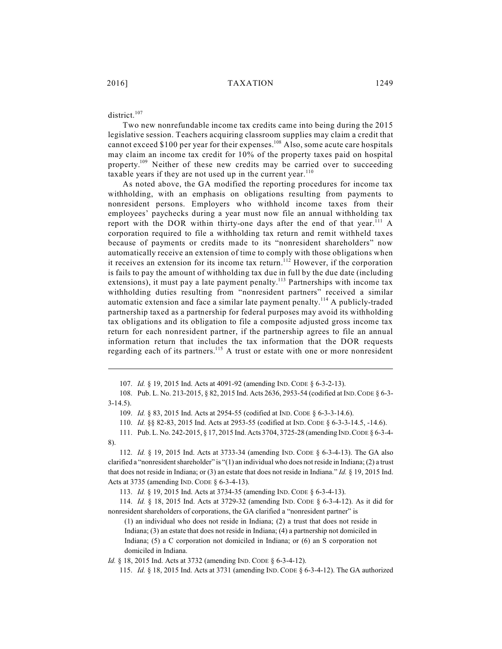## district.<sup>107</sup>

Two new nonrefundable income tax credits came into being during the 2015 legislative session. Teachers acquiring classroom supplies may claim a credit that cannot exceed \$100 per year for their expenses.<sup>108</sup> Also, some acute care hospitals may claim an income tax credit for 10% of the property taxes paid on hospital property.<sup>109</sup> Neither of these new credits may be carried over to succeeding taxable years if they are not used up in the current year. $^{110}$ 

As noted above, the GA modified the reporting procedures for income tax withholding, with an emphasis on obligations resulting from payments to nonresident persons. Employers who withhold income taxes from their employees' paychecks during a year must now file an annual withholding tax report with the DOR within thirty-one days after the end of that year.  $\frac{111}{11}$  A corporation required to file a withholding tax return and remit withheld taxes because of payments or credits made to its "nonresident shareholders" now automatically receive an extension of time to comply with those obligations when it receives an extension for its income tax return.<sup>112</sup> However, if the corporation is fails to pay the amount of withholding tax due in full by the due date (including extensions), it must pay a late payment penalty.<sup>113</sup> Partnerships with income tax withholding duties resulting from "nonresident partners" received a similar automatic extension and face a similar late payment penalty.<sup>114</sup> A publicly-traded partnership taxed as a partnership for federal purposes may avoid its withholding tax obligations and its obligation to file a composite adjusted gross income tax return for each nonresident partner, if the partnership agrees to file an annual information return that includes the tax information that the DOR requests regarding each of its partners.<sup>115</sup> A trust or estate with one or more nonresident

*Id.* § 18, 2015 Ind. Acts at 3732 (amending IND. CODE § 6-3-4-12).

115. *Id.* § 18, 2015 Ind. Acts at 3731 (amending IND. CODE § 6-3-4-12). The GA authorized

<sup>107.</sup> *Id.* § 19, 2015 Ind. Acts at 4091-92 (amending IND. CODE § 6-3-2-13).

<sup>108.</sup> Pub. L. No. 213-2015, § 82, 2015 Ind. Acts 2636, 2953-54 (codified at IND.CODE § 6-3- 3-14.5).

<sup>109.</sup> *Id.* § 83, 2015 Ind. Acts at 2954-55 (codified at IND. CODE § 6-3-3-14.6).

<sup>110.</sup> *Id.* §§ 82-83, 2015 Ind. Acts at 2953-55 (codified at IND. CODE § 6-3-3-14.5, -14.6).

<sup>111.</sup> Pub. L. No. 242-2015, § 17, 2015 Ind. Acts 3704, 3725-28 (amending IND.CODE § 6-3-4- 8).

<sup>112.</sup> *Id.* § 19, 2015 Ind. Acts at 3733-34 (amending IND. CODE § 6-3-4-13). The GA also clarified a "nonresident shareholder" is "(1) an individual who does not reside in Indiana; (2) a trust that does not reside in Indiana; or (3) an estate that does not reside in Indiana." *Id.* § 19, 2015 Ind. Acts at 3735 (amending IND. CODE § 6-3-4-13).

<sup>113.</sup> *Id.* § 19, 2015 Ind. Acts at 3734-35 (amending IND. CODE § 6-3-4-13).

<sup>114.</sup> *Id.* § 18, 2015 Ind. Acts at 3729-32 (amending IND. CODE § 6-3-4-12). As it did for nonresident shareholders of corporations, the GA clarified a "nonresident partner" is

<sup>(1)</sup> an individual who does not reside in Indiana; (2) a trust that does not reside in Indiana; (3) an estate that does not reside in Indiana; (4) a partnership not domiciled in Indiana; (5) a C corporation not domiciled in Indiana; or (6) an S corporation not domiciled in Indiana.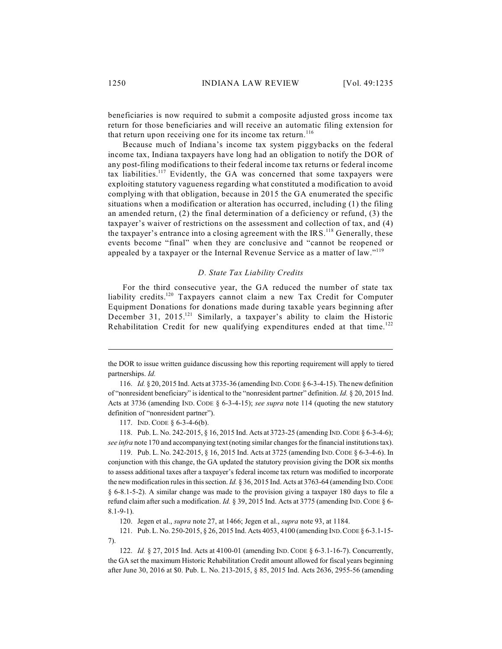beneficiaries is now required to submit a composite adjusted gross income tax return for those beneficiaries and will receive an automatic filing extension for that return upon receiving one for its income tax return.<sup>116</sup>

Because much of Indiana's income tax system piggybacks on the federal income tax, Indiana taxpayers have long had an obligation to notify the DOR of any post-filing modifications to their federal income tax returns or federal income tax liabilities.<sup>117</sup> Evidently, the GA was concerned that some taxpayers were exploiting statutory vagueness regarding what constituted a modification to avoid complying with that obligation, because in 2015 the GA enumerated the specific situations when a modification or alteration has occurred, including (1) the filing an amended return, (2) the final determination of a deficiency or refund, (3) the taxpayer's waiver of restrictions on the assessment and collection of tax, and (4) the taxpayer's entrance into a closing agreement with the IRS.<sup>118</sup> Generally, these events become "final" when they are conclusive and "cannot be reopened or appealed by a taxpayer or the Internal Revenue Service as a matter of law."<sup>119</sup>

### *D. State Tax Liability Credits*

For the third consecutive year, the GA reduced the number of state tax liability credits.<sup>120</sup> Taxpayers cannot claim a new Tax Credit for Computer Equipment Donations for donations made during taxable years beginning after December 31, 2015.<sup>121</sup> Similarly, a taxpayer's ability to claim the Historic Rehabilitation Credit for new qualifying expenditures ended at that time.<sup>122</sup>

117. IND. CODE § 6-3-4-6(b).

118. Pub. L. No. 242-2015, § 16, 2015 Ind. Acts at 3723-25 (amending IND.CODE § 6-3-4-6); *see infra* note 170 and accompanying text (noting similar changes for the financial institutions tax).

119. Pub. L. No. 242-2015, § 16, 2015 Ind. Acts at 3725 (amending IND.CODE § 6-3-4-6). In conjunction with this change, the GA updated the statutory provision giving the DOR six months to assess additional taxes after a taxpayer's federal income tax return was modified to incorporate the newmodification rules in this section. *Id.* § 36, 2015 Ind. Acts at 3763-64 (amending IND.CODE § 6-8.1-5-2). A similar change was made to the provision giving a taxpayer 180 days to file a refund claim after such a modification. *Id.* § 39, 2015 Ind. Acts at 3775 (amending IND.CODE § 6- 8.1-9-1).

120. Jegen et al., *supra* note 27, at 1466; Jegen et al., *supra* note 93, at 1184.

121. Pub. L. No. 250-2015, § 26, 2015 Ind. Acts 4053, 4100 (amending IND.CODE § 6-3.1-15- 7).

122. *Id.* § 27, 2015 Ind. Acts at 4100-01 (amending IND. CODE § 6-3.1-16-7). Concurrently, the GA set the maximum Historic Rehabilitation Credit amount allowed for fiscal years beginning after June 30, 2016 at \$0. Pub. L. No. 213-2015, § 85, 2015 Ind. Acts 2636, 2955-56 (amending

the DOR to issue written guidance discussing how this reporting requirement will apply to tiered partnerships. *Id.*

<sup>116.</sup> *Id.* § 20, 2015 Ind. Acts at 3735-36 (amending IND.CODE § 6-3-4-15). The newdefinition of "nonresident beneficiary" is identical to the "nonresident partner" definition. *Id.* § 20, 2015 Ind. Acts at 3736 (amending IND. CODE § 6-3-4-15); *see supra* note 114 (quoting the new statutory definition of "nonresident partner").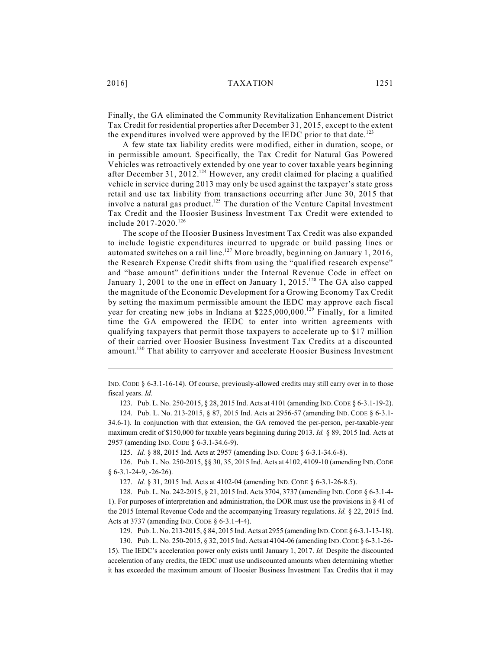2016] TAXATION 1251

Finally, the GA eliminated the Community Revitalization Enhancement District Tax Credit for residential properties after December 31, 2015, except to the extent the expenditures involved were approved by the IEDC prior to that date.<sup>123</sup>

A few state tax liability credits were modified, either in duration, scope, or in permissible amount. Specifically, the Tax Credit for Natural Gas Powered Vehicles was retroactively extended by one year to cover taxable years beginning after December 31, 2012.<sup>124</sup> However, any credit claimed for placing a qualified vehicle in service during 2013 may only be used against the taxpayer's state gross retail and use tax liability from transactions occurring after June 30, 2015 that involve a natural gas product.<sup>125</sup> The duration of the Venture Capital Investment Tax Credit and the Hoosier Business Investment Tax Credit were extended to include 2017-2020. 126

The scope of the Hoosier Business Investment Tax Credit was also expanded to include logistic expenditures incurred to upgrade or build passing lines or automated switches on a rail line.<sup>127</sup> More broadly, beginning on January 1, 2016, the Research Expense Credit shifts from using the "qualified research expense" and "base amount" definitions under the Internal Revenue Code in effect on January 1, 2001 to the one in effect on January 1, 2015.<sup>128</sup> The GA also capped the magnitude of the Economic Development for a Growing Economy Tax Credit by setting the maximum permissible amount the IEDC may approve each fiscal year for creating new jobs in Indiana at \$225,000,000.<sup>129</sup> Finally, for a limited time the GA empowered the IEDC to enter into written agreements with qualifying taxpayers that permit those taxpayers to accelerate up to \$17 million of their carried over Hoosier Business Investment Tax Credits at a discounted amount.<sup>130</sup> That ability to carryover and accelerate Hoosier Business Investment

125. *Id.* § 88, 2015 Ind. Acts at 2957 (amending IND. CODE § 6-3.1-34.6-8).

127. *Id.* § 31, 2015 Ind. Acts at 4102-04 (amending IND. CODE § 6-3.1-26-8.5).

IND. CODE § 6-3.1-16-14). Of course, previously-allowed credits may still carry over in to those fiscal years. *Id.*

<sup>123.</sup> Pub. L. No. 250-2015, § 28, 2015 Ind. Acts at 4101 (amending IND.CODE § 6-3.1-19-2).

<sup>124.</sup> Pub. L. No. 213-2015, § 87, 2015 Ind. Acts at 2956-57 (amending IND. CODE § 6-3.1- 34.6-1). In conjunction with that extension, the GA removed the per-person, per-taxable-year maximum credit of \$150,000 for taxable years beginning during 2013. *Id.* § 89, 2015 Ind. Acts at 2957 (amending IND. CODE § 6-3.1-34.6-9).

<sup>126.</sup> Pub. L. No. 250-2015, §§ 30, 35, 2015 Ind. Acts at 4102, 4109-10 (amending IND.CODE § 6-3.1-24-9, -26-26).

<sup>128.</sup> Pub. L. No. 242-2015, § 21, 2015 Ind. Acts 3704, 3737 (amending IND.CODE § 6-3.1-4- 1). For purposes of interpretation and administration, the DOR must use the provisions in § 41 of the 2015 Internal Revenue Code and the accompanying Treasury regulations. *Id.* § 22, 2015 Ind. Acts at 3737 (amending IND. CODE § 6-3.1-4-4).

<sup>129.</sup> Pub. L. No. 213-2015, § 84, 2015 Ind. Acts at 2955 (amending IND.CODE § 6-3.1-13-18).

<sup>130.</sup> Pub. L. No. 250-2015, § 32, 2015 Ind. Acts at 4104-06 (amending IND.CODE § 6-3.1-26- 15). The IEDC's acceleration power only exists until January 1, 2017. *Id.* Despite the discounted acceleration of any credits, the IEDC must use undiscounted amounts when determining whether it has exceeded the maximum amount of Hoosier Business Investment Tax Credits that it may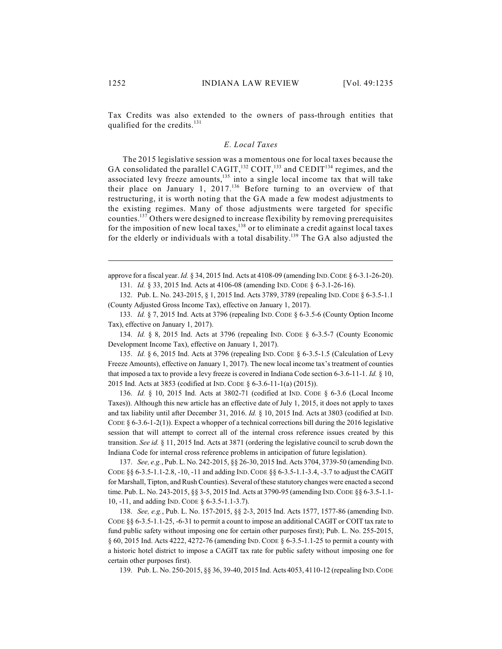Tax Credits was also extended to the owners of pass-through entities that qualified for the credits.<sup>131</sup>

### *E. Local Taxes*

The 2015 legislative session was a momentous one for local taxes because the GA consolidated the parallel CAGIT,  $^{132}$  COIT,  $^{133}$  and CEDIT<sup>134</sup> regimes, and the associated levy freeze amounts, $135$  into a single local income tax that will take their place on January 1, 2017.<sup>136</sup> Before turning to an overview of that restructuring, it is worth noting that the GA made a few modest adjustments to the existing regimes. Many of those adjustments were targeted for specific counties.<sup>137</sup> Others were designed to increase flexibility by removing prerequisites for the imposition of new local taxes,  $138$  or to eliminate a credit against local taxes for the elderly or individuals with a total disability.<sup>139</sup> The GA also adjusted the

approve for a fiscal year. *Id.* § 34, 2015 Ind. Acts at 4108-09 (amending IND.CODE § 6-3.1-26-20). 131. *Id.* § 33, 2015 Ind. Acts at 4106-08 (amending IND. CODE § 6-3.1-26-16).

132. Pub. L. No. 243-2015, § 1, 2015 Ind. Acts 3789, 3789 (repealing IND.CODE § 6-3.5-1.1 (County Adjusted Gross Income Tax), effective on January 1, 2017).

133. *Id.* § 7, 2015 Ind. Acts at 3796 (repealing IND. CODE § 6-3.5-6 (County Option Income Tax), effective on January 1, 2017).

134. *Id.* § 8, 2015 Ind. Acts at 3796 (repealing IND. CODE § 6-3.5-7 (County Economic Development Income Tax), effective on January 1, 2017).

135. *Id.* § 6, 2015 Ind. Acts at 3796 (repealing IND. CODE § 6-3.5-1.5 (Calculation of Levy Freeze Amounts), effective on January 1, 2017). The new local income tax's treatment of counties that imposed a tax to provide a levy freeze is covered in Indiana Code section 6-3.6-11-1. *Id.* § 10, 2015 Ind. Acts at 3853 (codified at IND. CODE § 6-3.6-11-1(a) (2015)).

136. *Id.* § 10, 2015 Ind. Acts at 3802-71 (codified at IND. CODE § 6-3.6 (Local Income Taxes)). Although this new article has an effective date of July 1, 2015, it does not apply to taxes and tax liability until after December 31, 2016. *Id.* § 10, 2015 Ind. Acts at 3803 (codified at IND. CODE § 6-3.6-1-2(1)). Expect a whopper of a technical corrections bill during the 2016 legislative session that will attempt to correct all of the internal cross reference issues created by this transition. *See id.* § 11, 2015 Ind. Acts at 3871 (ordering the legislative council to scrub down the Indiana Code for internal cross reference problems in anticipation of future legislation).

137. *See, e.g.*, Pub. L. No. 242-2015, §§ 26-30, 2015 Ind. Acts 3704, 3739-50 (amending IND. CODE §§ 6-3.5-1.1-2.8, -10, -11 and adding IND.CODE §§ 6-3.5-1.1-3.4, -3.7 to adjust the CAGIT for Marshall, Tipton, and Rush Counties). Several of these statutory changes were enacted a second time. Pub. L. No. 243-2015, §§ 3-5, 2015 Ind. Acts at 3790-95 (amending IND.CODE §§ 6-3.5-1.1- 10, -11, and adding IND. CODE § 6-3.5-1.1-3.7).

138. *See, e.g.*, Pub. L. No. 157-2015, §§ 2-3, 2015 Ind. Acts 1577, 1577-86 (amending IND. CODE §§ 6-3.5-1.1-25, -6-31 to permit a count to impose an additional CAGIT or COIT tax rate to fund public safety without imposing one for certain other purposes first); Pub. L. No. 255-2015, § 60, 2015 Ind. Acts 4222, 4272-76 (amending IND. CODE § 6-3.5-1.1-25 to permit a county with a historic hotel district to impose a CAGIT tax rate for public safety without imposing one for certain other purposes first).

139. Pub. L. No. 250-2015, §§ 36, 39-40, 2015 Ind. Acts 4053, 4110-12 (repealing IND.CODE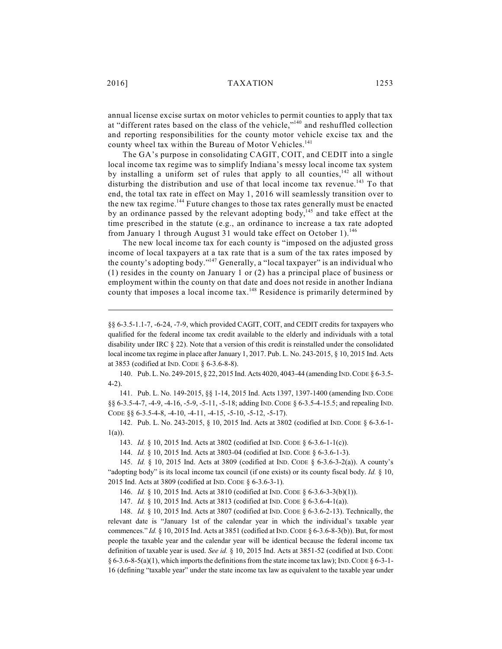annual license excise surtax on motor vehicles to permit counties to apply that tax at "different rates based on the class of the vehicle,"<sup>140</sup> and reshuffled collection and reporting responsibilities for the county motor vehicle excise tax and the county wheel tax within the Bureau of Motor Vehicles.<sup>141</sup>

The GA's purpose in consolidating CAGIT, COIT, and CEDIT into a single local income tax regime was to simplify Indiana's messy local income tax system by installing a uniform set of rules that apply to all counties,  $142$  all without disturbing the distribution and use of that local income tax revenue.<sup>143</sup> To that end, the total tax rate in effect on May 1, 2016 will seamlessly transition over to the new tax regime.<sup>144</sup> Future changes to those tax rates generally must be enacted by an ordinance passed by the relevant adopting body,  $145$  and take effect at the time prescribed in the statute (e.g., an ordinance to increase a tax rate adopted from January 1 through August 31 would take effect on October 1).<sup>146</sup>

The new local income tax for each county is "imposed on the adjusted gross income of local taxpayers at a tax rate that is a sum of the tax rates imposed by the county's adopting body."<sup>147</sup> Generally, a "local taxpayer" is an individual who (1) resides in the county on January 1 or (2) has a principal place of business or employment within the county on that date and does not reside in another Indiana county that imposes a local income  $\text{tax.}^{148}$  Residence is primarily determined by

140. Pub. L. No. 249-2015, § 22, 2015 Ind. Acts 4020, 4043-44 (amending IND.CODE § 6-3.5- 4-2).

141. Pub. L. No. 149-2015, §§ 1-14, 2015 Ind. Acts 1397, 1397-1400 (amending IND. CODE §§ 6-3.5-4-7, -4-9, -4-16, -5-9, -5-11, -5-18; adding IND. CODE § 6-3.5-4-15.5; and repealing IND. CODE §§ 6-3.5-4-8, -4-10, -4-11, -4-15, -5-10, -5-12, -5-17).

142. Pub. L. No. 243-2015, § 10, 2015 Ind. Acts at 3802 (codified at IND. CODE § 6-3.6-1- 1(a)).

143. *Id.* § 10, 2015 Ind. Acts at 3802 (codified at IND. CODE § 6-3.6-1-1(c)).

144. *Id.* § 10, 2015 Ind. Acts at 3803-04 (codified at IND. CODE § 6-3.6-1-3).

145. *Id.* § 10, 2015 Ind. Acts at 3809 (codified at IND. CODE § 6-3.6-3-2(a)). A county's "adopting body" is its local income tax council (if one exists) or its county fiscal body. *Id.* § 10, 2015 Ind. Acts at 3809 (codified at IND. CODE § 6-3.6-3-1).

146. *Id.* § 10, 2015 Ind. Acts at 3810 (codified at IND. CODE § 6-3.6-3-3(b)(1)).

147. *Id.* § 10, 2015 Ind. Acts at 3813 (codified at IND. CODE § 6-3.6-4-1(a)).

148. *Id.* § 10, 2015 Ind. Acts at 3807 (codified at IND. CODE § 6-3.6-2-13). Technically, the relevant date is "January 1st of the calendar year in which the individual's taxable year commences." *Id.* § 10, 2015 Ind. Acts at 3851 (codified at IND.CODE § 6-3.6-8-3(b)). But, for most people the taxable year and the calendar year will be identical because the federal income tax definition of taxable year is used. *See id.* § 10, 2015 Ind. Acts at 3851-52 (codified at IND. CODE  $\S 6-3.6-8-5(a)(1)$ , which imports the definitions from the state income tax law); IND. CODE  $\S 6-3-1-$ 16 (defining "taxable year" under the state income tax law as equivalent to the taxable year under

<sup>§§</sup> 6-3.5-1.1-7, -6-24, -7-9, which provided CAGIT, COIT, and CEDIT credits for taxpayers who qualified for the federal income tax credit available to the elderly and individuals with a total disability under IRC § 22). Note that a version of this credit is reinstalled under the consolidated local income tax regime in place after January 1, 2017. Pub. L. No. 243-2015, § 10, 2015 Ind. Acts at 3853 (codified at IND. CODE § 6-3.6-8-8).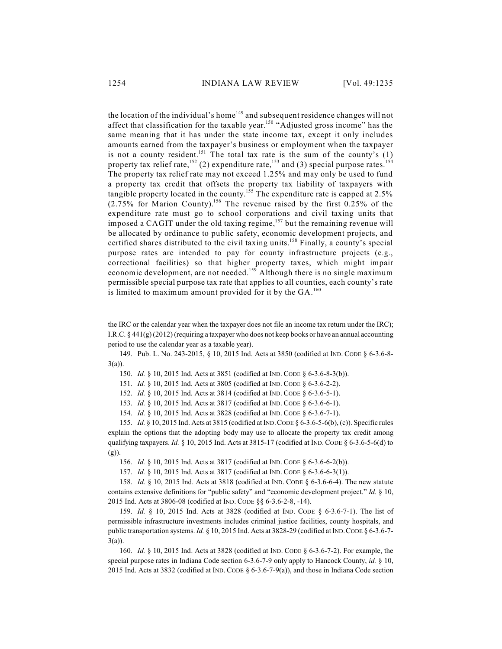the location of the individual's home<sup>149</sup> and subsequent residence changes will not affect that classification for the taxable year.<sup>150</sup> "Adjusted gross income" has the same meaning that it has under the state income tax, except it only includes amounts earned from the taxpayer's business or employment when the taxpayer is not a county resident.<sup>151</sup> The total tax rate is the sum of the county's  $(1)$ property tax relief rate,  $^{152}$  (2) expenditure rate,  $^{153}$  and (3) special purpose rates.  $^{154}$ The property tax relief rate may not exceed 1.25% and may only be used to fund a property tax credit that offsets the property tax liability of taxpayers with tangible property located in the county.<sup>155</sup> The expenditure rate is capped at 2.5%  $(2.75\%$  for Marion County).<sup>156</sup> The revenue raised by the first 0.25% of the expenditure rate must go to school corporations and civil taxing units that imposed a CAGIT under the old taxing regime,  $157$  but the remaining revenue will be allocated by ordinance to public safety, economic development projects, and certified shares distributed to the civil taxing units.<sup>158</sup> Finally, a county's special purpose rates are intended to pay for county infrastructure projects (e.g., correctional facilities) so that higher property taxes, which might impair economic development, are not needed.<sup>159</sup> Although there is no single maximum permissible special purpose tax rate that applies to all counties, each county's rate is limited to maximum amount provided for it by the  $GA$ .<sup>160</sup>

149. Pub. L. No. 243-2015, § 10, 2015 Ind. Acts at 3850 (codified at IND. CODE § 6-3.6-8- 3(a)).

150. *Id.* § 10, 2015 Ind. Acts at 3851 (codified at IND. CODE § 6-3.6-8-3(b)).

151. *Id.* § 10, 2015 Ind. Acts at 3805 (codified at IND. CODE § 6-3.6-2-2).

152. *Id.* § 10, 2015 Ind. Acts at 3814 (codified at IND. CODE § 6-3.6-5-1).

153. *Id.* § 10, 2015 Ind. Acts at 3817 (codified at IND. CODE § 6-3.6-6-1).

154. *Id.* § 10, 2015 Ind. Acts at 3828 (codified at IND. CODE § 6-3.6-7-1).

155. *Id.* § 10, 2015 Ind. Acts at 3815 (codified at IND.CODE § 6-3.6-5-6(b), (c)). Specific rules explain the options that the adopting body may use to allocate the property tax credit among qualifying taxpayers. *Id.* § 10, 2015 Ind. Acts at 3815-17 (codified at IND. CODE § 6-3.6-5-6(d) to (g)).

156. *Id.* § 10, 2015 Ind. Acts at 3817 (codified at IND. CODE § 6-3.6-6-2(b)).

157. *Id.* § 10, 2015 Ind. Acts at 3817 (codified at IND. CODE § 6-3.6-6-3(1)).

158. *Id.* § 10, 2015 Ind. Acts at 3818 (codified at IND. CODE § 6-3.6-6-4). The new statute contains extensive definitions for "public safety" and "economic development project." *Id.* § 10, 2015 Ind. Acts at 3806-08 (codified at IND. CODE §§ 6-3.6-2-8, -14).

159. *Id.* § 10, 2015 Ind. Acts at 3828 (codified at IND. CODE § 6-3.6-7-1). The list of permissible infrastructure investments includes criminal justice facilities, county hospitals, and public transportation systems. *Id.* § 10, 2015 Ind. Acts at 3828-29 (codified at IND. CODE § 6-3.6-7-3(a)).

160. *Id.* § 10, 2015 Ind. Acts at 3828 (codified at IND. CODE § 6-3.6-7-2). For example, the special purpose rates in Indiana Code section 6-3.6-7-9 only apply to Hancock County, *id.* § 10, 2015 Ind. Acts at 3832 (codified at IND. CODE § 6-3.6-7-9(a)), and those in Indiana Code section

the IRC or the calendar year when the taxpayer does not file an income tax return under the IRC); I.R.C. § 441(g) (2012) (requiring a taxpayer who does not keep books or have an annual accounting period to use the calendar year as a taxable year).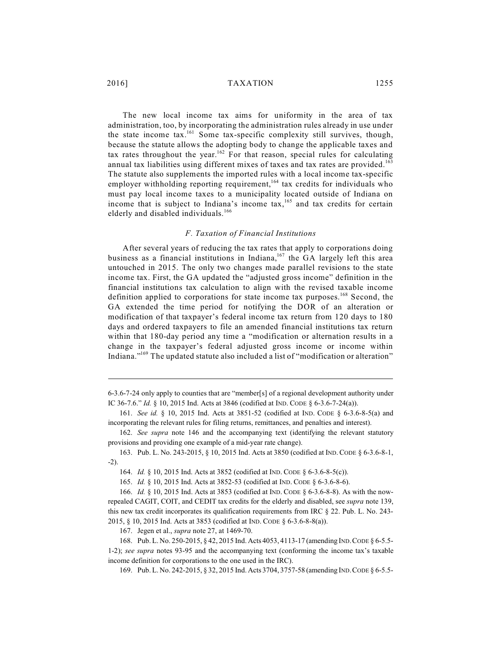### 2016] TAXATION 1255

The new local income tax aims for uniformity in the area of tax administration, too, by incorporating the administration rules already in use under the state income tax.<sup>161</sup> Some tax-specific complexity still survives, though, because the statute allows the adopting body to change the applicable taxes and tax rates throughout the year.<sup>162</sup> For that reason, special rules for calculating annual tax liabilities using different mixes of taxes and tax rates are provided. 163 The statute also supplements the imported rules with a local income tax-specific employer withholding reporting requirement,<sup>164</sup> tax credits for individuals who must pay local income taxes to a municipality located outside of Indiana on income that is subject to Indiana's income tax,  $165$  and tax credits for certain elderly and disabled individuals.<sup>166</sup>

### *F. Taxation of Financial Institutions*

After several years of reducing the tax rates that apply to corporations doing business as a financial institutions in Indiana,  $167$  the GA largely left this area untouched in 2015. The only two changes made parallel revisions to the state income tax. First, the GA updated the "adjusted gross income" definition in the financial institutions tax calculation to align with the revised taxable income definition applied to corporations for state income tax purposes.<sup>168</sup> Second, the GA extended the time period for notifying the DOR of an alteration or modification of that taxpayer's federal income tax return from 120 days to 180 days and ordered taxpayers to file an amended financial institutions tax return within that 180-day period any time a "modification or alternation results in a change in the taxpayer's federal adjusted gross income or income within Indiana."<sup>169</sup> The updated statute also included a list of "modification or alteration"

<sup>6-3.6-7-24</sup> only apply to counties that are "member[s] of a regional development authority under IC 36-7.6." *Id.* § 10, 2015 Ind. Acts at 3846 (codified at IND. CODE § 6-3.6-7-24(a)).

<sup>161.</sup> *See id.* § 10, 2015 Ind. Acts at 3851-52 (codified at IND. CODE § 6-3.6-8-5(a) and incorporating the relevant rules for filing returns, remittances, and penalties and interest).

<sup>162.</sup> *See supra* note 146 and the accompanying text (identifying the relevant statutory provisions and providing one example of a mid-year rate change).

<sup>163.</sup> Pub. L. No. 243-2015, § 10, 2015 Ind. Acts at 3850 (codified at IND.CODE § 6-3.6-8-1, -2).

<sup>164.</sup> *Id.* § 10, 2015 Ind. Acts at 3852 (codified at IND. CODE § 6-3.6-8-5(c)).

<sup>165.</sup> *Id.* § 10, 2015 Ind. Acts at 3852-53 (codified at IND. CODE § 6-3.6-8-6).

<sup>166.</sup> *Id.* § 10, 2015 Ind. Acts at 3853 (codified at IND. CODE § 6-3.6-8-8). As with the nowrepealed CAGIT, COIT, and CEDIT tax credits for the elderly and disabled, see *supra* note 139, this new tax credit incorporates its qualification requirements from IRC § 22. Pub. L. No. 243- 2015, § 10, 2015 Ind. Acts at 3853 (codified at IND. CODE § 6-3.6-8-8(a)).

<sup>167.</sup> Jegen et al., *supra* note 27, at 1469-70.

<sup>168.</sup> Pub. L. No. 250-2015, § 42, 2015 Ind. Acts 4053, 4113-17 (amending IND.CODE § 6-5.5- 1-2); *see supra* notes 93-95 and the accompanying text (conforming the income tax's taxable income definition for corporations to the one used in the IRC).

<sup>169.</sup> Pub. L. No. 242-2015, § 32, 2015 Ind. Acts 3704, 3757-58 (amending IND.CODE § 6-5.5-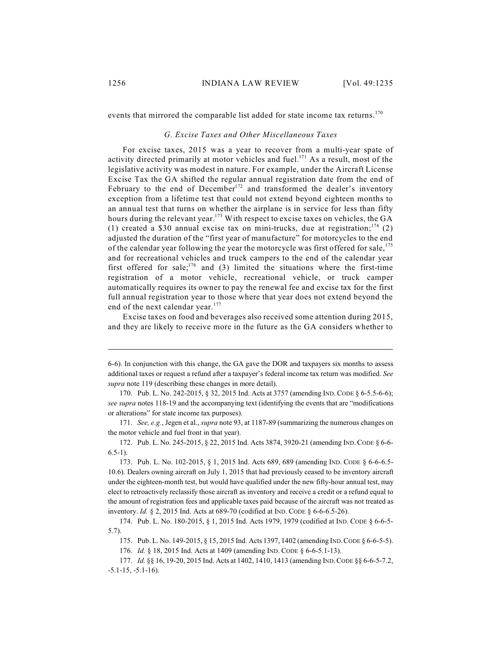events that mirrored the comparable list added for state income tax returns.<sup>170</sup>

### *G. Excise Taxes and Other Miscellaneous Taxes*

For excise taxes, 2015 was a year to recover from a multi-year spate of activity directed primarily at motor vehicles and fuel.<sup>171</sup> As a result, most of the legislative activity was modest in nature. For example, under the Aircraft License Excise Tax the GA shifted the regular annual registration date from the end of February to the end of December<sup>172</sup> and transformed the dealer's inventory exception from a lifetime test that could not extend beyond eighteen months to an annual test that turns on whether the airplane is in service for less than fifty hours during the relevant year.<sup>173</sup> With respect to excise taxes on vehicles, the GA (1) created a \$30 annual excise tax on mini-trucks, due at registration;<sup>174</sup> (2) adjusted the duration of the "first year of manufacture" for motorcycles to the end of the calendar year following the year the motorcycle was first offered for sale,<sup>175</sup> and for recreational vehicles and truck campers to the end of the calendar year first offered for sale;<sup>176</sup> and (3) limited the situations where the first-time registration of a motor vehicle, recreational vehicle, or truck camper automatically requires its owner to pay the renewal fee and excise tax for the first full annual registration year to those where that year does not extend beyond the end of the next calendar year.<sup>177</sup>

Excise taxes on food and beverages also received some attention during 2015, and they are likely to receive more in the future as the GA considers whether to

171. *See, e.g.*, Jegen et al., *supra* note 93, at 1187-89 (summarizing the numerous changes on the motor vehicle and fuel front in that year).

172. Pub. L. No. 245-2015, § 22, 2015 Ind. Acts 3874, 3920-21 (amending IND.CODE § 6-6-  $6.5-1$ ).

173. Pub. L. No. 102-2015, § 1, 2015 Ind. Acts 689, 689 (amending IND. CODE § 6-6-6.5- 10.6). Dealers owning aircraft on July 1, 2015 that had previously ceased to be inventory aircraft under the eighteen-month test, but would have qualified under the new fifty-hour annual test, may elect to retroactively reclassify those aircraft as inventory and receive a credit or a refund equal to the amount of registration fees and applicable taxes paid because of the aircraft was not treated as inventory. *Id.* § 2, 2015 Ind. Acts at 689-70 (codified at IND. CODE § 6-6-6.5-26).

<sup>6-6).</sup> In conjunction with this change, the GA gave the DOR and taxpayers six months to assess additional taxes or request a refund after a taxpayer's federal income tax return was modified. *See supra* note 119 (describing these changes in more detail).

<sup>170.</sup> Pub. L. No. 242-2015, § 32, 2015 Ind. Acts at 3757 (amending IND.CODE § 6-5.5-6-6); *see supra* notes 118-19 and the accompanying text (identifying the events that are "modifications or alterations" for state income tax purposes).

<sup>174.</sup> Pub. L. No. 180-2015, § 1, 2015 Ind. Acts 1979, 1979 (codified at IND. CODE § 6-6-5- 5.7).

<sup>175.</sup> Pub. L. No. 149-2015, § 15, 2015 Ind. Acts 1397, 1402 (amending IND.CODE § 6-6-5-5).

<sup>176.</sup> *Id.* § 18, 2015 Ind. Acts at 1409 (amending IND. CODE § 6-6-5.1-13).

<sup>177.</sup> *Id.* §§ 16, 19-20, 2015 Ind. Acts at 1402, 1410, 1413 (amending IND.CODE §§ 6-6-5-7.2, -5.1-15, -5.1-16).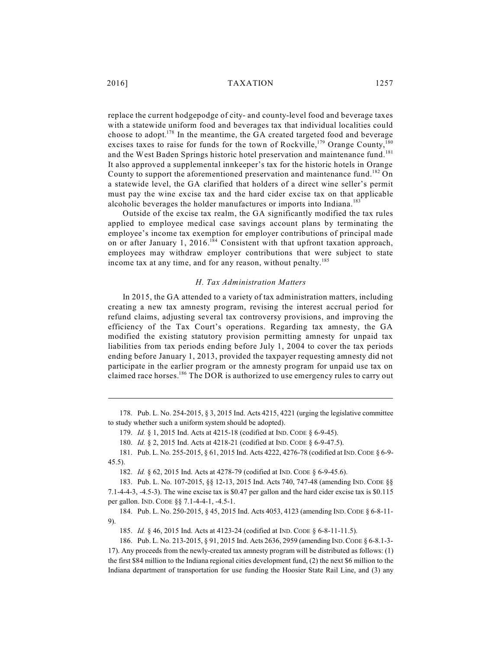replace the current hodgepodge of city- and county-level food and beverage taxes with a statewide uniform food and beverages tax that individual localities could choose to adopt.<sup>178</sup> In the meantime, the GA created targeted food and beverage excises taxes to raise for funds for the town of Rockville,  $179$  Orange County,  $180$ and the West Baden Springs historic hotel preservation and maintenance fund.<sup>181</sup> It also approved a supplemental innkeeper's tax for the historic hotels in Orange County to support the aforementioned preservation and maintenance fund.<sup>182</sup> On a statewide level, the GA clarified that holders of a direct wine seller's permit must pay the wine excise tax and the hard cider excise tax on that applicable alcoholic beverages the holder manufactures or imports into Indiana.<sup>183</sup>

Outside of the excise tax realm, the GA significantly modified the tax rules applied to employee medical case savings account plans by terminating the employee's income tax exemption for employer contributions of principal made on or after January 1, 2016.<sup>184</sup> Consistent with that upfront taxation approach, employees may withdraw employer contributions that were subject to state income tax at any time, and for any reason, without penalty.<sup>185</sup>

### *H. Tax Administration Matters*

In 2015, the GA attended to a variety of tax administration matters, including creating a new tax amnesty program, revising the interest accrual period for refund claims, adjusting several tax controversy provisions, and improving the efficiency of the Tax Court's operations. Regarding tax amnesty, the GA modified the existing statutory provision permitting amnesty for unpaid tax liabilities from tax periods ending before July 1, 2004 to cover the tax periods ending before January 1, 2013, provided the taxpayer requesting amnesty did not participate in the earlier program or the amnesty program for unpaid use tax on claimed race horses.<sup>186</sup> The DOR is authorized to use emergency rules to carry out

178. Pub. L. No. 254-2015, § 3, 2015 Ind. Acts 4215, 4221 (urging the legislative committee to study whether such a uniform system should be adopted).

179. *Id.* § 1, 2015 Ind. Acts at 4215-18 (codified at IND. CODE § 6-9-45).

180. *Id.* § 2, 2015 Ind. Acts at 4218-21 (codified at IND. CODE § 6-9-47.5).

184. Pub. L. No. 250-2015, § 45, 2015 Ind. Acts 4053, 4123 (amending IND.CODE § 6-8-11- 9).

185. *Id.* § 46, 2015 Ind. Acts at 4123-24 (codified at IND. CODE § 6-8-11-11.5).

186. Pub. L. No. 213-2015, § 91, 2015 Ind. Acts 2636, 2959 (amending IND.CODE § 6-8.1-3- 17). Any proceeds from the newly-created tax amnesty program will be distributed as follows: (1) the first \$84 million to the Indiana regional cities development fund, (2) the next \$6 million to the Indiana department of transportation for use funding the Hoosier State Rail Line, and (3) any

<sup>181.</sup> Pub. L. No. 255-2015, § 61, 2015 Ind. Acts 4222, 4276-78 (codified at IND.CODE § 6-9- 45.5).

<sup>182.</sup> *Id.* § 62, 2015 Ind. Acts at 4278-79 (codified at IND. CODE § 6-9-45.6).

<sup>183.</sup> Pub. L. No. 107-2015, §§ 12-13, 2015 Ind. Acts 740, 747-48 (amending IND. CODE §§ 7.1-4-4-3, -4.5-3). The wine excise tax is \$0.47 per gallon and the hard cider excise tax is \$0.115 per gallon. IND. CODE §§ 7.1-4-4-1, -4.5-1.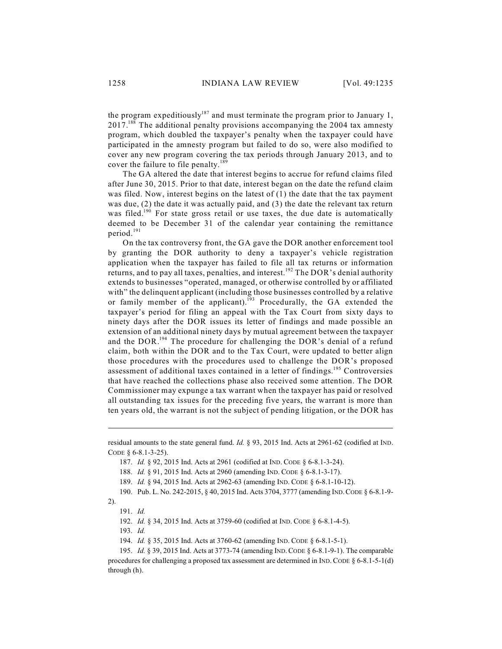the program expeditiously<sup>187</sup> and must terminate the program prior to January 1,  $2017$ .<sup>188</sup> The additional penalty provisions accompanying the 2004 tax amnesty program, which doubled the taxpayer's penalty when the taxpayer could have participated in the amnesty program but failed to do so, were also modified to cover any new program covering the tax periods through January 2013, and to cover the failure to file penalty.<sup>189</sup>

The GA altered the date that interest begins to accrue for refund claims filed after June 30, 2015. Prior to that date, interest began on the date the refund claim was filed. Now, interest begins on the latest of (1) the date that the tax payment was due, (2) the date it was actually paid, and (3) the date the relevant tax return was filed.<sup>190</sup> For state gross retail or use taxes, the due date is automatically deemed to be December 31 of the calendar year containing the remittance period. 191

On the tax controversy front, the GA gave the DOR another enforcement tool by granting the DOR authority to deny a taxpayer's vehicle registration application when the taxpayer has failed to file all tax returns or information returns, and to pay all taxes, penalties, and interest.<sup>192</sup> The DOR's denial authority extends to businesses "operated, managed, or otherwise controlled by or affiliated with" the delinquent applicant (including those businesses controlled by a relative or family member of the applicant).<sup>193</sup> Procedurally, the GA extended the taxpayer's period for filing an appeal with the Tax Court from sixty days to ninety days after the DOR issues its letter of findings and made possible an extension of an additional ninety days by mutual agreement between the taxpayer and the DOR.<sup>194</sup> The procedure for challenging the DOR's denial of a refund claim, both within the DOR and to the Tax Court, were updated to better align those procedures with the procedures used to challenge the DOR's proposed assessment of additional taxes contained in a letter of findings.<sup>195</sup> Controversies that have reached the collections phase also received some attention. The DOR Commissioner may expunge a tax warrant when the taxpayer has paid or resolved all outstanding tax issues for the preceding five years, the warrant is more than ten years old, the warrant is not the subject of pending litigation, or the DOR has

residual amounts to the state general fund. *Id.* § 93, 2015 Ind. Acts at 2961-62 (codified at IND. CODE § 6-8.1-3-25).

<sup>187.</sup> *Id.* § 92, 2015 Ind. Acts at 2961 (codified at IND. CODE § 6-8.1-3-24).

<sup>188.</sup> *Id.* § 91, 2015 Ind. Acts at 2960 (amending IND. CODE § 6-8.1-3-17).

<sup>189.</sup> *Id.* § 94, 2015 Ind. Acts at 2962-63 (amending IND. CODE § 6-8.1-10-12).

<sup>190.</sup> Pub. L. No. 242-2015, § 40, 2015 Ind. Acts 3704, 3777 (amending IND.CODE § 6-8.1-9-

<sup>2).</sup> 191. *Id.*

<sup>192.</sup> *Id.* § 34, 2015 Ind. Acts at 3759-60 (codified at IND. CODE § 6-8.1-4-5).

<sup>193.</sup> *Id.*

<sup>194.</sup> *Id.* § 35, 2015 Ind. Acts at 3760-62 (amending IND. CODE § 6-8.1-5-1).

<sup>195.</sup> *Id.* § 39, 2015 Ind. Acts at 3773-74 (amending IND.CODE § 6-8.1-9-1). The comparable procedures for challenging a proposed tax assessment are determined in IND. CODE  $\S$  6-8.1-5-1(d) through (h).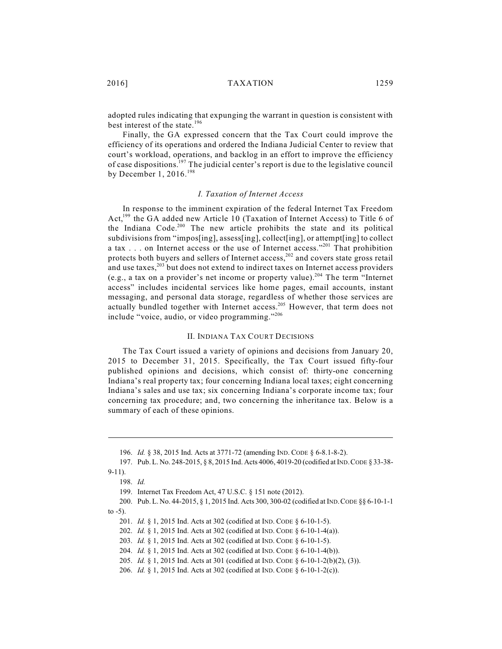2016] TAXATION 1259

adopted rules indicating that expunging the warrant in question is consistent with best interest of the state. 196

Finally, the GA expressed concern that the Tax Court could improve the efficiency of its operations and ordered the Indiana Judicial Center to review that court's workload, operations, and backlog in an effort to improve the efficiency of case dispositions.<sup>197</sup> The judicial center's report is due to the legislative council by December 1, 2016.<sup>198</sup>

### *I. Taxation of Internet Access*

In response to the imminent expiration of the federal Internet Tax Freedom Act,<sup>199</sup> the GA added new Article 10 (Taxation of Internet Access) to Title 6 of the Indiana Code.<sup>200</sup> The new article prohibits the state and its political subdivisions from "impos[ing], assess[ing], collect[ing], or attempt[ing] to collect a tax . . . on Internet access or the use of Internet access."<sup>201</sup> That prohibition protects both buyers and sellers of Internet access,  $202$  and covers state gross retail and use taxes, $203$  but does not extend to indirect taxes on Internet access providers (e.g., a tax on a provider's net income or property value).<sup>204</sup> The term "Internet access" includes incidental services like home pages, email accounts, instant messaging, and personal data storage, regardless of whether those services are actually bundled together with Internet access.<sup>205</sup> However, that term does not include "voice, audio, or video programming."206

### II. INDIANA TAX COURT DECISIONS

The Tax Court issued a variety of opinions and decisions from January 20, 2015 to December 31, 2015. Specifically, the Tax Court issued fifty-four published opinions and decisions, which consist of: thirty-one concerning Indiana's real property tax; four concerning Indiana local taxes; eight concerning Indiana's sales and use tax; six concerning Indiana's corporate income tax; four concerning tax procedure; and, two concerning the inheritance tax. Below is a summary of each of these opinions.

<sup>196.</sup> *Id.* § 38, 2015 Ind. Acts at 3771-72 (amending IND. CODE § 6-8.1-8-2).

<sup>197.</sup> Pub. L. No. 248-2015, § 8, 2015 Ind. Acts 4006, 4019-20 (codified at IND.CODE § 33-38- 9-11).

<sup>198.</sup> *Id.*

<sup>199.</sup> Internet Tax Freedom Act, 47 U.S.C. § 151 note (2012).

<sup>200.</sup> Pub. L. No. 44-2015, § 1, 2015 Ind. Acts 300, 300-02 (codified at IND.CODE §§ 6-10-1-1 to  $-5$ ).

<sup>201.</sup> *Id.* § 1, 2015 Ind. Acts at 302 (codified at IND. CODE § 6-10-1-5).

<sup>202.</sup> *Id.* § 1, 2015 Ind. Acts at 302 (codified at IND. CODE § 6-10-1-4(a)).

<sup>203.</sup> *Id.* § 1, 2015 Ind. Acts at 302 (codified at IND. CODE § 6-10-1-5).

<sup>204.</sup> *Id.* § 1, 2015 Ind. Acts at 302 (codified at IND. CODE § 6-10-1-4(b)).

<sup>205.</sup> *Id.* § 1, 2015 Ind. Acts at 301 (codified at IND. CODE § 6-10-1-2(b)(2), (3)).

<sup>206.</sup> *Id.* § 1, 2015 Ind. Acts at 302 (codified at IND. CODE § 6-10-1-2(c)).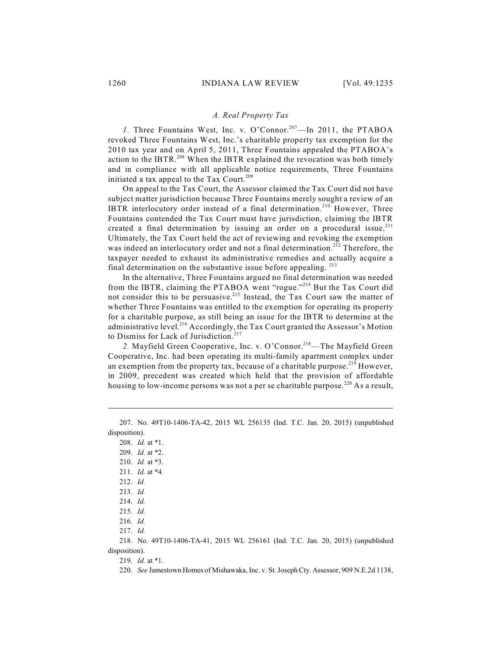### *A. Real Property Tax*

1. Three Fountains West, Inc. v. O'Connor.<sup>207</sup>—In 2011, the PTABOA revoked Three Fountains West, Inc.'s charitable property tax exemption for the 2010 tax year and on April 5, 2011, Three Fountains appealed the PTABOA's action to the IBTR.<sup>208</sup> When the IBTR explained the revocation was both timely and in compliance with all applicable notice requirements, Three Fountains initiated a tax appeal to the Tax Court.<sup>209</sup>

On appeal to the Tax Court, the Assessor claimed the Tax Court did not have subject matter jurisdiction because Three Fountains merely sought a review of an IBTR interlocutory order instead of a final determination.<sup>210</sup> However, Three Fountains contended the Tax Court must have jurisdiction, claiming the IBTR created a final determination by issuing an order on a procedural issue.<sup>211</sup> Ultimately, the Tax Court held the act of reviewing and revoking the exemption was indeed an interlocutory order and not a final determination.<sup>212</sup> Therefore, the taxpayer needed to exhaust its administrative remedies and actually acquire a final determination on the substantive issue before appealing.<sup>213</sup>

In the alternative, Three Fountains argued no final determination was needed from the IBTR, claiming the PTABOA went "rogue."<sup>214</sup> But the Tax Court did not consider this to be persuasive. $215$  Instead, the Tax Court saw the matter of whether Three Fountains was entitled to the exemption for operating its property for a charitable purpose, as still being an issue for the IBTR to determine at the administrative level.<sup>216</sup> Accordingly, the Tax Court granted the Assessor's Motion to Dismiss for Lack of Jurisdiction. 217

2. Mayfield Green Cooperative, Inc. v. O'Connor.<sup>218</sup>—The Mayfield Green Cooperative, Inc. had been operating its multi-family apartment complex under an exemption from the property tax, because of a charitable purpose.<sup>219</sup> However, in 2009, precedent was created which held that the provision of affordable housing to low-income persons was not a per se charitable purpose.<sup>220</sup> As a result,

<sup>207.</sup> No. 49T10-1406-TA-42, 2015 WL 256135 (Ind. T.C. Jan. 20, 2015) (unpublished disposition).

<sup>208.</sup> *Id.* at \*1.

<sup>209.</sup> *Id.* at \*2.

<sup>210.</sup> *Id.* at \*3.

<sup>211.</sup> *Id.* at \*4.

<sup>212.</sup> *Id.*

<sup>213.</sup> *Id.*

<sup>214.</sup> *Id.*

<sup>215.</sup> *Id.*

<sup>216.</sup> *Id.*

<sup>217.</sup> *Id.*

<sup>218.</sup> No. 49T10-1406-TA-41, 2015 WL 256161 (Ind. T.C. Jan. 20, 2015) (unpublished disposition).

<sup>219.</sup> *Id.* at \*1.

<sup>220.</sup> *See* Jamestown Homes of Mishawaka, Inc. v. St. JosephCty. Assessor, 909 N.E.2d 1138,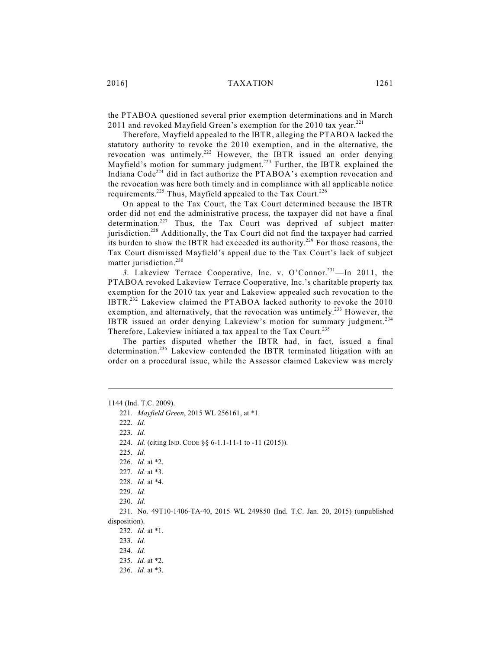the PTABOA questioned several prior exemption determinations and in March 2011 and revoked Mayfield Green's exemption for the 2010 tax year. $^{221}$ 

Therefore, Mayfield appealed to the IBTR, alleging the PTABOA lacked the statutory authority to revoke the 2010 exemption, and in the alternative, the revocation was untimely.<sup>222</sup> However, the IBTR issued an order denying Mayfield's motion for summary judgment.<sup>223</sup> Further, the IBTR explained the Indiana Code<sup>224</sup> did in fact authorize the PTABOA's exemption revocation and the revocation was here both timely and in compliance with all applicable notice requirements.<sup>225</sup> Thus, Mayfield appealed to the Tax Court.<sup>226</sup>

On appeal to the Tax Court, the Tax Court determined because the IBTR order did not end the administrative process, the taxpayer did not have a final determination.<sup>227</sup> Thus, the Tax Court was deprived of subject matter jurisdiction.<sup>228</sup> Additionally, the Tax Court did not find the taxpayer had carried its burden to show the IBTR had exceeded its authority.<sup>229</sup> For those reasons, the Tax Court dismissed Mayfield's appeal due to the Tax Court's lack of subject matter jurisdiction.<sup>230</sup>

3. Lakeview Terrace Cooperative, Inc. v. O'Connor.<sup>231</sup>—In 2011, the PTABOA revoked Lakeview Terrace Cooperative, Inc.'s charitable property tax exemption for the 2010 tax year and Lakeview appealed such revocation to the IBTR. $^{232}$  Lakeview claimed the PTABOA lacked authority to revoke the 2010 exemption, and alternatively, that the revocation was untimely.<sup>233</sup> However, the IBTR issued an order denying Lakeview's motion for summary judgment.<sup>234</sup> Therefore, Lakeview initiated a tax appeal to the Tax Court.<sup>235</sup>

The parties disputed whether the IBTR had, in fact, issued a final determination.<sup>236</sup> Lakeview contended the IBTR terminated litigation with an order on a procedural issue, while the Assessor claimed Lakeview was merely

1144 (Ind. T.C. 2009).

221. *Mayfield Green*, 2015 WL 256161, at \*1. 222. *Id.* 223. *Id.* 224. *Id.* (citing IND. CODE §§ 6-1.1-11-1 to -11 (2015)). 225. *Id.* 226. *Id.* at \*2. 227. *Id.* at \*3. 228. *Id.* at \*4. 229. *Id.* 230. *Id.* 231. No. 49T10-1406-TA-40, 2015 WL 249850 (Ind. T.C. Jan. 20, 2015) (unpublished disposition). 232. *Id.* at \*1. 233. *Id.* 234. *Id.* 235. *Id.* at \*2. 236. *Id.* at \*3.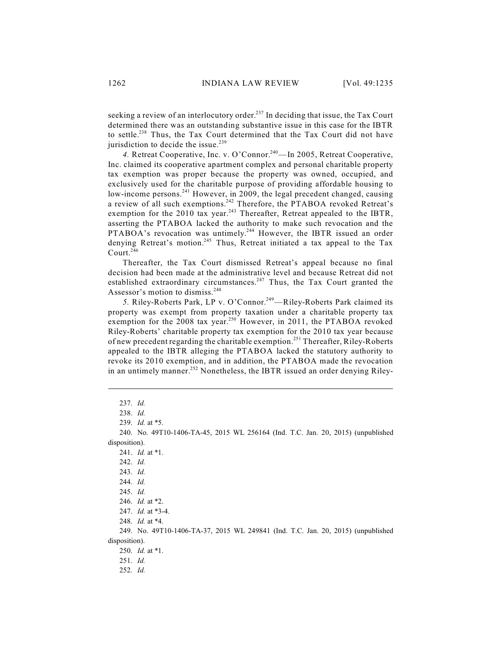seeking a review of an interlocutory order.<sup>237</sup> In deciding that issue, the Tax Court determined there was an outstanding substantive issue in this case for the IBTR to settle.<sup>238</sup> Thus, the Tax Court determined that the Tax Court did not have jurisdiction to decide the issue.<sup>239</sup>

4. Retreat Cooperative, Inc. v. O'Connor.<sup>240</sup>—In 2005, Retreat Cooperative, Inc. claimed its cooperative apartment complex and personal charitable property tax exemption was proper because the property was owned, occupied, and exclusively used for the charitable purpose of providing affordable housing to low-income persons.<sup>241</sup> However, in 2009, the legal precedent changed, causing a review of all such exemptions.<sup>242</sup> Therefore, the PTABOA revoked Retreat's exemption for the 2010 tax year.<sup>243</sup> Thereafter, Retreat appealed to the IBTR, asserting the PTABOA lacked the authority to make such revocation and the PTABOA's revocation was untimely.<sup>244</sup> However, the IBTR issued an order denying Retreat's motion.<sup>245</sup> Thus, Retreat initiated a tax appeal to the Tax Court. 246

Thereafter, the Tax Court dismissed Retreat's appeal because no final decision had been made at the administrative level and because Retreat did not established extraordinary circumstances.<sup>247</sup> Thus, the Tax Court granted the Assessor's motion to dismiss. 248

5. Riley-Roberts Park, LP v. O'Connor.<sup>249</sup>—Riley-Roberts Park claimed its property was exempt from property taxation under a charitable property tax exemption for the 2008 tax year.<sup>250</sup> However, in 2011, the PTABOA revoked Riley-Roberts' charitable property tax exemption for the 2010 tax year because of new precedent regarding the charitable exemption.<sup>251</sup> Thereafter, Riley-Roberts appealed to the IBTR alleging the PTABOA lacked the statutory authority to revoke its 2010 exemption, and in addition, the PTABOA made the revocation in an untimely manner.<sup>252</sup> Nonetheless, the IBTR issued an order denying Riley-

249. No. 49T10-1406-TA-37, 2015 WL 249841 (Ind. T.C. Jan. 20, 2015) (unpublished disposition).

250. *Id.* at \*1.

252. *Id.*

<sup>237.</sup> *Id.*

<sup>238.</sup> *Id.*

<sup>239.</sup> *Id.* at \*5.

<sup>240.</sup> No. 49T10-1406-TA-45, 2015 WL 256164 (Ind. T.C. Jan. 20, 2015) (unpublished disposition).

<sup>241.</sup> *Id.* at \*1.

<sup>242.</sup> *Id.*

<sup>243.</sup> *Id.*

<sup>244.</sup> *Id.*

<sup>245.</sup> *Id.*

<sup>246.</sup> *Id.* at \*2.

<sup>247.</sup> *Id.* at \*3-4.

<sup>248.</sup> *Id.* at \*4.

<sup>251.</sup> *Id.*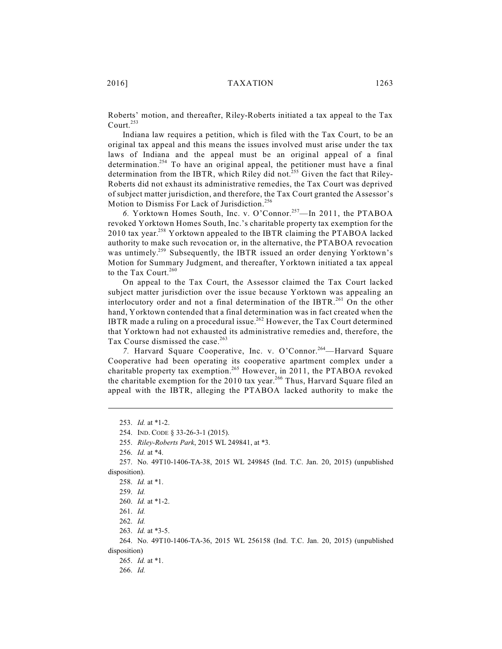Roberts' motion, and thereafter, Riley-Roberts initiated a tax appeal to the Tax Court. 253

Indiana law requires a petition, which is filed with the Tax Court, to be an original tax appeal and this means the issues involved must arise under the tax laws of Indiana and the appeal must be an original appeal of a final determination.<sup>254</sup> To have an original appeal, the petitioner must have a final determination from the IBTR, which Riley did not.<sup>255</sup> Given the fact that Riley-Roberts did not exhaust its administrative remedies, the Tax Court was deprived of subject matter jurisdiction, and therefore, the Tax Court granted the Assessor's Motion to Dismiss For Lack of Jurisdiction. 256

6. Yorktown Homes South, Inc. v. O'Connor.<sup>257</sup>—In 2011, the PTABOA revoked Yorktown Homes South, Inc.'s charitable property tax exemption for the 2010 tax year.<sup>258</sup> Yorktown appealed to the IBTR claiming the PTABOA lacked authority to make such revocation or, in the alternative, the PTABOA revocation was untimely.<sup>259</sup> Subsequently, the IBTR issued an order denying Yorktown's Motion for Summary Judgment, and thereafter, Yorktown initiated a tax appeal to the Tax Court.<sup>260</sup>

On appeal to the Tax Court, the Assessor claimed the Tax Court lacked subject matter jurisdiction over the issue because Yorktown was appealing an interlocutory order and not a final determination of the IBTR.<sup>261</sup> On the other hand, Yorktown contended that a final determination was in fact created when the IBTR made a ruling on a procedural issue.<sup>262</sup> However, the Tax Court determined that Yorktown had not exhausted its administrative remedies and, therefore, the Tax Course dismissed the case. 263

7. Harvard Square Cooperative, Inc. v. O'Connor.<sup>264</sup>—Harvard Square Cooperative had been operating its cooperative apartment complex under a charitable property tax exemption.<sup>265</sup> However, in 2011, the PTABOA revoked the charitable exemption for the 2010 tax year.<sup>266</sup> Thus, Harvard Square filed an appeal with the IBTR, alleging the PTABOA lacked authority to make the

<sup>253.</sup> *Id.* at \*1-2.

<sup>254.</sup> IND. CODE § 33-26-3-1 (2015).

<sup>255.</sup> *Riley-Roberts Park*, 2015 WL 249841, at \*3.

<sup>256.</sup> *Id.* at \*4.

<sup>257.</sup> No. 49T10-1406-TA-38, 2015 WL 249845 (Ind. T.C. Jan. 20, 2015) (unpublished disposition).

<sup>258.</sup> *Id.* at \*1.

<sup>259.</sup> *Id.*

<sup>260.</sup> *Id.* at \*1-2.

<sup>261.</sup> *Id.*

<sup>262.</sup> *Id.* 

<sup>263.</sup> *Id.* at \*3-5.

<sup>264.</sup> No. 49T10-1406-TA-36, 2015 WL 256158 (Ind. T.C. Jan. 20, 2015) (unpublished disposition)

<sup>265.</sup> *Id.* at \*1.

<sup>266.</sup> *Id.*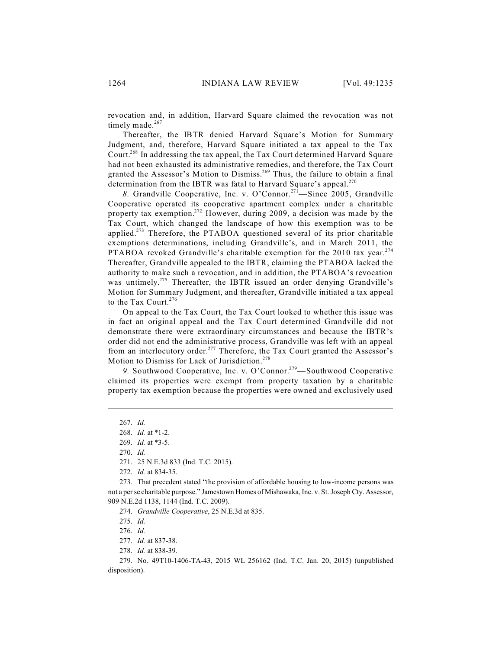revocation and, in addition, Harvard Square claimed the revocation was not timely made.<sup>267</sup>

Thereafter, the IBTR denied Harvard Square's Motion for Summary Judgment, and, therefore, Harvard Square initiated a tax appeal to the Tax Court.<sup>268</sup> In addressing the tax appeal, the Tax Court determined Harvard Square had not been exhausted its administrative remedies, and therefore, the Tax Court granted the Assessor's Motion to Dismiss.<sup>269</sup> Thus, the failure to obtain a final determination from the IBTR was fatal to Harvard Square's appeal.<sup>270</sup>

8. Grandville Cooperative, Inc. v. O'Connor.<sup>271</sup>—Since 2005, Grandville Cooperative operated its cooperative apartment complex under a charitable property tax exemption.<sup>272</sup> However, during 2009, a decision was made by the Tax Court, which changed the landscape of how this exemption was to be applied.<sup>273</sup> Therefore, the PTABOA questioned several of its prior charitable exemptions determinations, including Grandville's, and in March 2011, the PTABOA revoked Grandville's charitable exemption for the 2010 tax year.<sup>274</sup> Thereafter, Grandville appealed to the IBTR, claiming the PTABOA lacked the authority to make such a revocation, and in addition, the PTABOA's revocation was untimely.<sup>275</sup> Thereafter, the IBTR issued an order denying Grandville's Motion for Summary Judgment, and thereafter, Grandville initiated a tax appeal to the Tax Court.<sup>276</sup>

On appeal to the Tax Court, the Tax Court looked to whether this issue was in fact an original appeal and the Tax Court determined Grandville did not demonstrate there were extraordinary circumstances and because the IBTR's order did not end the administrative process, Grandville was left with an appeal from an interlocutory order.<sup>277</sup> Therefore, the Tax Court granted the Assessor's Motion to Dismiss for Lack of Jurisdiction. 278

9. Southwood Cooperative, Inc. v. O'Connor.<sup>279</sup>—Southwood Cooperative claimed its properties were exempt from property taxation by a charitable property tax exemption because the properties were owned and exclusively used

274. *Grandville Cooperative*, 25 N.E.3d at 835.

275. *Id.*

276. *Id.*

<sup>267.</sup> *Id.*

<sup>268.</sup> *Id.* at \*1-2.

<sup>269.</sup> *Id.* at \*3-5.

<sup>270.</sup> *Id.*

<sup>271.</sup> 25 N.E.3d 833 (Ind. T.C. 2015).

<sup>272.</sup> *Id.* at 834-35.

<sup>273.</sup> That precedent stated "the provision of affordable housing to low-income persons was not a per se charitable purpose." Jamestown Homes of Mishawaka, Inc. v. St. Joseph Cty. Assessor, 909 N.E.2d 1138, 1144 (Ind. T.C. 2009).

<sup>277.</sup> *Id.* at 837-38.

<sup>278.</sup> *Id.* at 838-39.

<sup>279.</sup> No. 49T10-1406-TA-43, 2015 WL 256162 (Ind. T.C. Jan. 20, 2015) (unpublished disposition).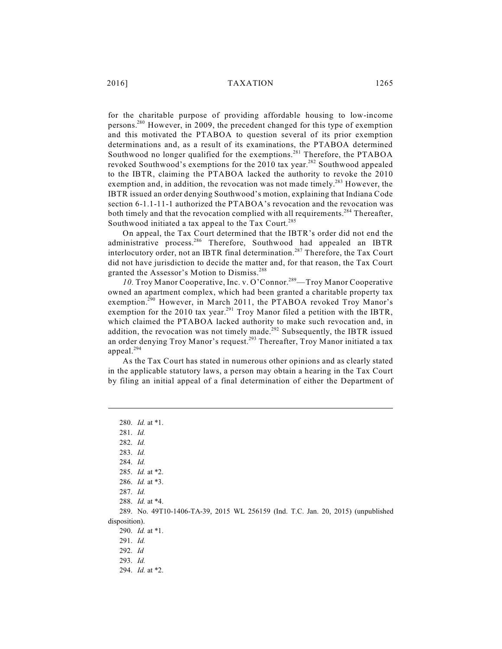for the charitable purpose of providing affordable housing to low-income persons.<sup>280</sup> However, in 2009, the precedent changed for this type of exemption and this motivated the PTABOA to question several of its prior exemption determinations and, as a result of its examinations, the PTABOA determined Southwood no longer qualified for the exemptions.<sup>281</sup> Therefore, the PTABOA revoked Southwood's exemptions for the 2010 tax year.<sup>282</sup> Southwood appealed to the IBTR, claiming the PTABOA lacked the authority to revoke the 2010 exemption and, in addition, the revocation was not made timely.<sup>283</sup> However, the IBTR issued an order denying Southwood's motion, explaining that Indiana Code section 6-1.1-11-1 authorized the PTABOA's revocation and the revocation was both timely and that the revocation complied with all requirements.<sup>284</sup> Thereafter, Southwood initiated a tax appeal to the Tax Court.<sup>285</sup>

On appeal, the Tax Court determined that the IBTR's order did not end the administrative process.<sup>286</sup> Therefore, Southwood had appealed an IBTR interlocutory order, not an IBTR final determination.<sup>287</sup> Therefore, the Tax Court did not have jurisdiction to decide the matter and, for that reason, the Tax Court granted the Assessor's Motion to Dismiss. 288

10. Troy Manor Cooperative, Inc. v. O'Connor.<sup>289</sup>—Troy Manor Cooperative owned an apartment complex, which had been granted a charitable property tax exemption.<sup>290</sup> However, in March 2011, the PTABOA revoked Troy Manor's exemption for the 2010 tax year.<sup>291</sup> Troy Manor filed a petition with the IBTR, which claimed the PTABOA lacked authority to make such revocation and, in addition, the revocation was not timely made.<sup>292</sup> Subsequently, the IBTR issued an order denying Troy Manor's request.<sup>293</sup> Thereafter, Troy Manor initiated a tax appeal. 294

As the Tax Court has stated in numerous other opinions and as clearly stated in the applicable statutory laws, a person may obtain a hearing in the Tax Court by filing an initial appeal of a final determination of either the Department of

280. *Id.* at \*1. 281. *Id.* 282. *Id.* 283. *Id.*  284. *Id.* 285. *Id.* at \*2. 286. *Id.* at \*3. 287. *Id.* 288. *Id.* at \*4. 289. No. 49T10-1406-TA-39, 2015 WL 256159 (Ind. T.C. Jan. 20, 2015) (unpublished disposition). 290. *Id.* at \*1. 291. *Id.* 292. *Id* 293. *Id.* 294. *Id.* at \*2.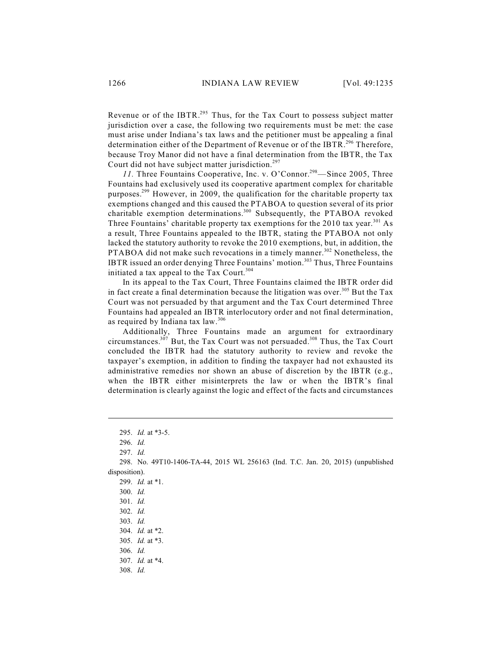Revenue or of the IBTR. $^{295}$  Thus, for the Tax Court to possess subject matter jurisdiction over a case, the following two requirements must be met: the case must arise under Indiana's tax laws and the petitioner must be appealing a final determination either of the Department of Revenue or of the IBTR.<sup>296</sup> Therefore, because Troy Manor did not have a final determination from the IBTR, the Tax Court did not have subject matter jurisdiction.<sup>297</sup>

11. Three Fountains Cooperative, Inc. v. O'Connor.<sup>298</sup>—Since 2005, Three Fountains had exclusively used its cooperative apartment complex for charitable purposes.<sup>299</sup> However, in 2009, the qualification for the charitable property tax exemptions changed and this caused the PTABOA to question several of its prior charitable exemption determinations.<sup>300</sup> Subsequently, the PTABOA revoked Three Fountains' charitable property tax exemptions for the  $2010$  tax year.<sup>301</sup> As a result, Three Fountains appealed to the IBTR, stating the PTABOA not only lacked the statutory authority to revoke the 2010 exemptions, but, in addition, the PTABOA did not make such revocations in a timely manner.<sup>302</sup> Nonetheless, the IBTR issued an order denying Three Fountains' motion.<sup>303</sup> Thus, Three Fountains initiated a tax appeal to the Tax Court.<sup>304</sup>

In its appeal to the Tax Court, Three Fountains claimed the IBTR order did in fact create a final determination because the litigation was over.<sup>305</sup> But the Tax Court was not persuaded by that argument and the Tax Court determined Three Fountains had appealed an IBTR interlocutory order and not final determination, as required by Indiana tax law.<sup>306</sup>

Additionally, Three Fountains made an argument for extraordinary circumstances.<sup>307</sup> But, the Tax Court was not persuaded.<sup>308</sup> Thus, the Tax Court concluded the IBTR had the statutory authority to review and revoke the taxpayer's exemption, in addition to finding the taxpayer had not exhausted its administrative remedies nor shown an abuse of discretion by the IBTR (e.g., when the IBTR either misinterprets the law or when the IBTR's final determination is clearly against the logic and effect of the facts and circumstances

<sup>295.</sup> *Id.* at \*3-5.

<sup>296.</sup> *Id.*

<sup>297.</sup> *Id.*

<sup>298.</sup> No. 49T10-1406-TA-44, 2015 WL 256163 (Ind. T.C. Jan. 20, 2015) (unpublished disposition).

<sup>299.</sup> *Id.* at \*1.

<sup>300.</sup> *Id.*

<sup>301.</sup> *Id.*

<sup>302.</sup> *Id.* 

<sup>303.</sup> *Id.*

<sup>304.</sup> *Id.* at \*2.

<sup>305.</sup> *Id.* at \*3.

<sup>306.</sup> *Id.*

<sup>307.</sup> *Id.* at \*4.

<sup>308.</sup> *Id.*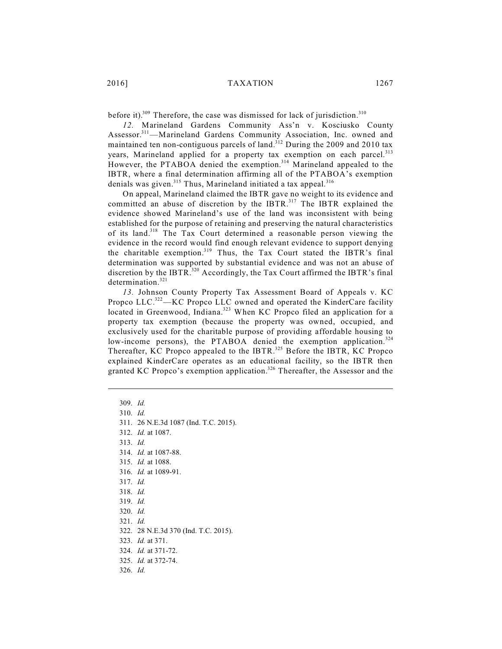before it).<sup>309</sup> Therefore, the case was dismissed for lack of jurisdiction.<sup>310</sup>

*12.* Marineland Gardens Community Ass'n v. Kosciusko County Assessor.<sup>311</sup>—Marineland Gardens Community Association, Inc. owned and maintained ten non-contiguous parcels of land.<sup>312</sup> During the 2009 and 2010 tax years, Marineland applied for a property tax exemption on each parcel.<sup>313</sup> However, the PTABOA denied the exemption.<sup>314</sup> Marineland appealed to the IBTR, where a final determination affirming all of the PTABOA's exemption denials was given.<sup>315</sup> Thus, Marineland initiated a tax appeal.<sup>316</sup>

On appeal, Marineland claimed the IBTR gave no weight to its evidence and committed an abuse of discretion by the IBTR.<sup>317</sup> The IBTR explained the evidence showed Marineland's use of the land was inconsistent with being established for the purpose of retaining and preserving the natural characteristics of its land.<sup>318</sup> The Tax Court determined a reasonable person viewing the evidence in the record would find enough relevant evidence to support denying the charitable exemption.<sup>319</sup> Thus, the Tax Court stated the IBTR's final determination was supported by substantial evidence and was not an abuse of discretion by the IBTR.<sup>320</sup> Accordingly, the Tax Court affirmed the IBTR's final determination. 321

*13.* Johnson County Property Tax Assessment Board of Appeals v. KC Propco LLC.<sup>322</sup>—KC Propco LLC owned and operated the KinderCare facility located in Greenwood, Indiana.<sup>323</sup> When KC Propco filed an application for a property tax exemption (because the property was owned, occupied, and exclusively used for the charitable purpose of providing affordable housing to low-income persons), the PTABOA denied the exemption application.<sup>324</sup> Thereafter, KC Propco appealed to the IBTR.<sup>325</sup> Before the IBTR, KC Propco explained KinderCare operates as an educational facility, so the IBTR then granted KC Propco's exemption application.<sup>326</sup> Thereafter, the Assessor and the

- 309. *Id.* 310. *Id.*
- 311. 26 N.E.3d 1087 (Ind. T.C. 2015).
- 312. *Id.* at 1087.
- 313. *Id.*
- 314. *Id.* at 1087-88.
- 315. *Id.* at 1088.
- 316. *Id.* at 1089-91.
- 317. *Id.*
- 318. *Id.*
- 319. *Id.*
- 320. *Id.*
- 321. *Id.*

326. *Id.*

- 322. 28 N.E.3d 370 (Ind. T.C. 2015).
- 323. *Id.* at 371.
- 324. *Id.* at 371-72.
- 325. *Id.* at 372-74.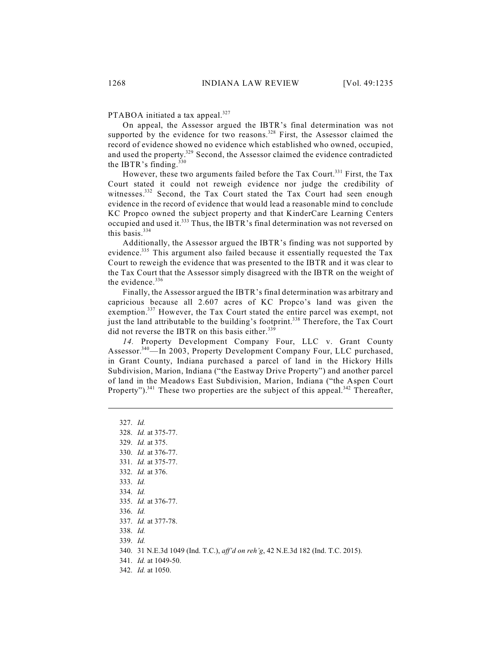PTABOA initiated a tax appeal.<sup>327</sup>

On appeal, the Assessor argued the IBTR's final determination was not supported by the evidence for two reasons.<sup>328</sup> First, the Assessor claimed the record of evidence showed no evidence which established who owned, occupied, and used the property.<sup>329</sup> Second, the Assessor claimed the evidence contradicted the IBTR's finding. $330$ 

However, these two arguments failed before the Tax Court.<sup>331</sup> First, the Tax Court stated it could not reweigh evidence nor judge the credibility of witnesses.<sup>332</sup> Second, the Tax Court stated the Tax Court had seen enough evidence in the record of evidence that would lead a reasonable mind to conclude KC Propco owned the subject property and that KinderCare Learning Centers occupied and used it.<sup>333</sup> Thus, the IBTR's final determination was not reversed on this basis. 334

Additionally, the Assessor argued the IBTR's finding was not supported by evidence.<sup>335</sup> This argument also failed because it essentially requested the Tax Court to reweigh the evidence that was presented to the IBTR and it was clear to the Tax Court that the Assessor simply disagreed with the IBTR on the weight of the evidence.<sup>336</sup>

Finally, the Assessor argued the IBTR's final determination was arbitrary and capricious because all 2.607 acres of KC Propco's land was given the exemption.<sup>337</sup> However, the Tax Court stated the entire parcel was exempt, not just the land attributable to the building's footprint.<sup>338</sup> Therefore, the Tax Court did not reverse the IBTR on this basis either.<sup>339</sup>

*14.* Property Development Company Four, LLC v. Grant County Assessor.<sup>340</sup>—In 2003, Property Development Company Four, LLC purchased, in Grant County, Indiana purchased a parcel of land in the Hickory Hills Subdivision, Marion, Indiana ("the Eastway Drive Property") and another parcel of land in the Meadows East Subdivision, Marion, Indiana ("the Aspen Court Property").<sup>341</sup> These two properties are the subject of this appeal.<sup>342</sup> Thereafter,

327. *Id.* 328. *Id.* at 375-77. 329. *Id.* at 375. 330. *Id.* at 376-77. 331. *Id.* at 375-77. 332. *Id.* at 376. 333. *Id.* 334. *Id.* 335. *Id.* at 376-77. 336. *Id.* 337. *Id.* at 377-78. 338. *Id.* 339. *Id.* 340. 31 N.E.3d 1049 (Ind. T.C.), *aff'd on reh'g*, 42 N.E.3d 182 (Ind. T.C. 2015). 341. *Id.* at 1049-50. 342. *Id.* at 1050.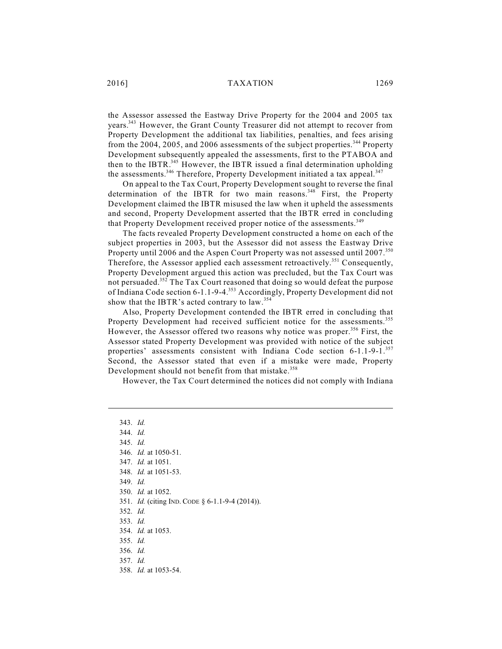the Assessor assessed the Eastway Drive Property for the 2004 and 2005 tax years.<sup>343</sup> However, the Grant County Treasurer did not attempt to recover from Property Development the additional tax liabilities, penalties, and fees arising from the 2004, 2005, and 2006 assessments of the subject properties.<sup>344</sup> Property Development subsequently appealed the assessments, first to the PTABOA and then to the IBTR.<sup>345</sup> However, the IBTR issued a final determination upholding the assessments.<sup>346</sup> Therefore, Property Development initiated a tax appeal.<sup>347</sup>

On appeal to the Tax Court, Property Development sought to reverse the final determination of the IBTR for two main reasons.<sup>348</sup> First, the Property Development claimed the IBTR misused the law when it upheld the assessments and second, Property Development asserted that the IBTR erred in concluding that Property Development received proper notice of the assessments.<sup>349</sup>

The facts revealed Property Development constructed a home on each of the subject properties in 2003, but the Assessor did not assess the Eastway Drive Property until 2006 and the Aspen Court Property was not assessed until 2007.<sup>350</sup> Therefore, the Assessor applied each assessment retroactively.<sup>351</sup> Consequently, Property Development argued this action was precluded, but the Tax Court was not persuaded.<sup>352</sup> The Tax Court reasoned that doing so would defeat the purpose of Indiana Code section 6-1.1-9-4.<sup>353</sup> Accordingly, Property Development did not show that the IBTR's acted contrary to law.<sup>354</sup>

Also, Property Development contended the IBTR erred in concluding that Property Development had received sufficient notice for the assessments.<sup>355</sup> However, the Assessor offered two reasons why notice was proper.<sup>356</sup> First, the Assessor stated Property Development was provided with notice of the subject properties' assessments consistent with Indiana Code section 6-1.1-9-1.<sup>357</sup> Second, the Assessor stated that even if a mistake were made, Property Development should not benefit from that mistake. 358

However, the Tax Court determined the notices did not comply with Indiana

343. *Id.*  344. *Id.* 345. *Id.* 346. *Id.* at 1050-51. 347. *Id.* at 1051. 348. *Id.* at 1051-53. 349. *Id.* 350. *Id.* at 1052. 351. *Id.* (citing IND. CODE § 6-1.1-9-4 (2014)). 352. *Id.* 353. *Id.* 354. *Id.* at 1053. 355. *Id.* 356. *Id.* 357. *Id.* 358. *Id.* at 1053-54.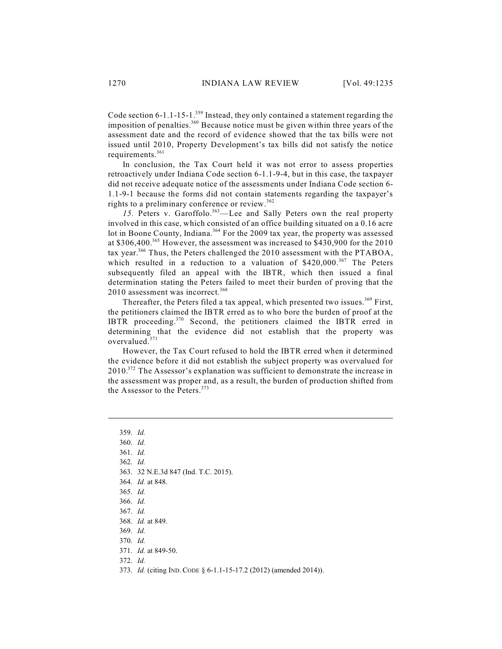Code section 6-1.1-15-1.<sup>359</sup> Instead, they only contained a statement regarding the imposition of penalties. $360$  Because notice must be given within three years of the assessment date and the record of evidence showed that the tax bills were not issued until 2010, Property Development's tax bills did not satisfy the notice requirements. 361

In conclusion, the Tax Court held it was not error to assess properties retroactively under Indiana Code section 6-1.1-9-4, but in this case, the taxpayer did not receive adequate notice of the assessments under Indiana Code section 6- 1.1-9-1 because the forms did not contain statements regarding the taxpayer's rights to a preliminary conference or review. 362

15. Peters v. Garoffolo.<sup>363</sup>—Lee and Sally Peters own the real property involved in this case, which consisted of an office building situated on a 0.16 acre lot in Boone County, Indiana.<sup>364</sup> For the 2009 tax year, the property was assessed at \$306,400.<sup>365</sup> However, the assessment was increased to \$430,900 for the 2010 tax year.<sup>366</sup> Thus, the Peters challenged the 2010 assessment with the PTABOA, which resulted in a reduction to a valuation of  $$420,000.^{367}$  The Peters subsequently filed an appeal with the IBTR, which then issued a final determination stating the Peters failed to meet their burden of proving that the 2010 assessment was incorrect.<sup>368</sup>

Thereafter, the Peters filed a tax appeal, which presented two issues.<sup>369</sup> First, the petitioners claimed the IBTR erred as to who bore the burden of proof at the IBTR proceeding. $370$  Second, the petitioners claimed the IBTR erred in determining that the evidence did not establish that the property was overvalued. 371

However, the Tax Court refused to hold the IBTR erred when it determined the evidence before it did not establish the subject property was overvalued for  $2010^{372}$  The Assessor's explanation was sufficient to demonstrate the increase in the assessment was proper and, as a result, the burden of production shifted from the Assessor to the Peters. 373

359. *Id.* 360. *Id.* 361. *Id.* 362. *Id.* 363. 32 N.E.3d 847 (Ind. T.C. 2015). 364. *Id.* at 848. 365. *Id.* 366. *Id.* 367. *Id.* 368. *Id.* at 849. 369. *Id.* 370. *Id.* 371. *Id.* at 849-50.

373. *Id.* (citing IND. CODE § 6-1.1-15-17.2 (2012) (amended 2014)).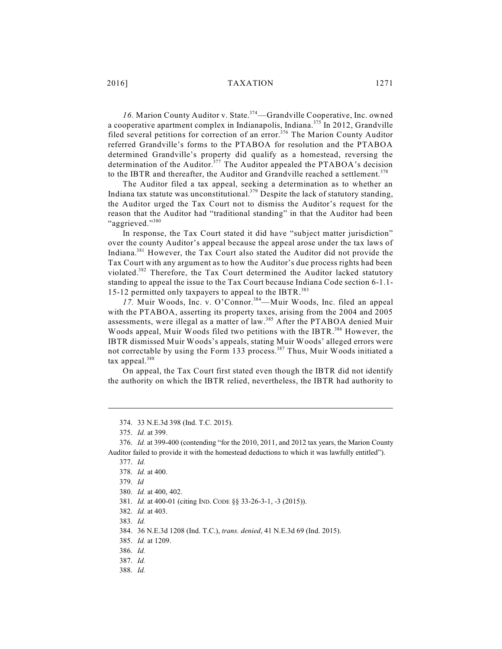16. Marion County Auditor v. State.<sup>374</sup>—Grandville Cooperative, Inc. owned a cooperative apartment complex in Indianapolis, Indiana.<sup>375</sup> In 2012, Grandville filed several petitions for correction of an error.<sup>376</sup> The Marion County Auditor referred Grandville's forms to the PTABOA for resolution and the PTABOA determined Grandville's property did qualify as a homestead, reversing the determination of the Auditor.<sup>377</sup> The Auditor appealed the PTABOA's decision to the IBTR and thereafter, the Auditor and Grandville reached a settlement.<sup>378</sup>

The Auditor filed a tax appeal, seeking a determination as to whether an Indiana tax statute was unconstitutional.<sup>379</sup> Despite the lack of statutory standing, the Auditor urged the Tax Court not to dismiss the Auditor's request for the reason that the Auditor had "traditional standing" in that the Auditor had been "aggrieved."<sup>380</sup>

In response, the Tax Court stated it did have "subject matter jurisdiction" over the county Auditor's appeal because the appeal arose under the tax laws of Indiana.<sup>381</sup> However, the Tax Court also stated the Auditor did not provide the Tax Court with any argument as to how the Auditor's due process rights had been violated.<sup>382</sup> Therefore, the Tax Court determined the Auditor lacked statutory standing to appeal the issue to the Tax Court because Indiana Code section 6-1.1- 15-12 permitted only taxpayers to appeal to the IBTR. 383

17. Muir Woods, Inc. v. O'Connor.<sup>384</sup>—Muir Woods, Inc. filed an appeal with the PTABOA, asserting its property taxes, arising from the 2004 and 2005 assessments, were illegal as a matter of law.<sup>385</sup> After the PTABOA denied Muir Woods appeal, Muir Woods filed two petitions with the IBTR.<sup>386</sup> However, the IBTR dismissed Muir Woods's appeals, stating Muir Woods' alleged errors were not correctable by using the Form 133 process.<sup>387</sup> Thus, Muir Woods initiated a tax appeal.<sup>388</sup>

On appeal, the Tax Court first stated even though the IBTR did not identify the authority on which the IBTR relied, nevertheless, the IBTR had authority to

<sup>374.</sup> 33 N.E.3d 398 (Ind. T.C. 2015).

<sup>375.</sup> *Id.* at 399.

<sup>376.</sup> *Id.* at 399-400 (contending "for the 2010, 2011, and 2012 tax years, the Marion County Auditor failed to provide it with the homestead deductions to which it was lawfully entitled").

<sup>377.</sup> *Id.*

<sup>378.</sup> *Id.* at 400.

<sup>379.</sup> *Id*

<sup>380.</sup> *Id.* at 400, 402.

<sup>381.</sup> *Id.* at 400-01 (citing IND. CODE §§ 33-26-3-1, -3 (2015)).

<sup>382.</sup> *Id.* at 403.

<sup>383.</sup> *Id.*

<sup>384.</sup> 36 N.E.3d 1208 (Ind. T.C.), *trans. denied*, 41 N.E.3d 69 (Ind. 2015).

<sup>385.</sup> *Id.* at 1209.

<sup>386.</sup> *Id.*

<sup>387.</sup> *Id.*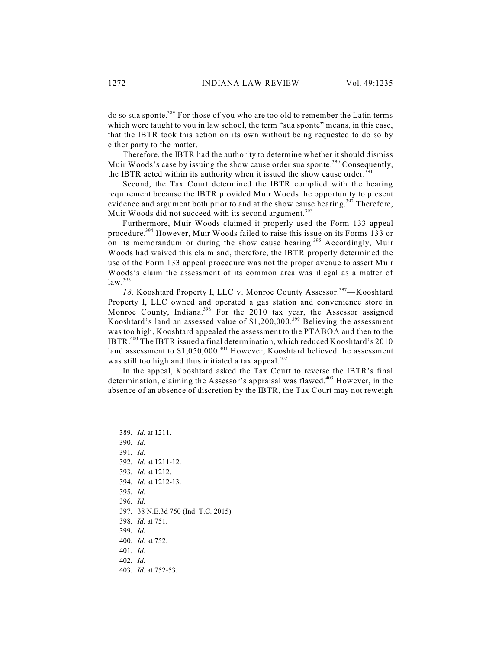do so sua sponte.<sup>389</sup> For those of you who are too old to remember the Latin terms which were taught to you in law school, the term "sua sponte" means, in this case, that the IBTR took this action on its own without being requested to do so by either party to the matter.

Therefore, the IBTR had the authority to determine whether it should dismiss Muir Woods's case by issuing the show cause order sua sponte.<sup>390</sup> Consequently, the IBTR acted within its authority when it issued the show cause order.<sup>391</sup>

Second, the Tax Court determined the IBTR complied with the hearing requirement because the IBTR provided Muir Woods the opportunity to present evidence and argument both prior to and at the show cause hearing.<sup>392</sup> Therefore, Muir Woods did not succeed with its second argument.<sup>393</sup>

Furthermore, Muir Woods claimed it properly used the Form 133 appeal procedure.<sup>394</sup> However, Muir Woods failed to raise this issue on its Forms 133 or on its memorandum or during the show cause hearing.<sup>395</sup> Accordingly, Muir Woods had waived this claim and, therefore, the IBTR properly determined the use of the Form 133 appeal procedure was not the proper avenue to assert Muir Woods's claim the assessment of its common area was illegal as a matter of law. 396

18. Kooshtard Property I, LLC v. Monroe County Assessor.<sup>397</sup>-Kooshtard Property I, LLC owned and operated a gas station and convenience store in Monroe County, Indiana.<sup>398</sup> For the 2010 tax year, the Assessor assigned Kooshtard's land an assessed value of \$1,200,000.<sup>399</sup> Believing the assessment was too high, Kooshtard appealed the assessment to the PTABOA and then to the IBTR. $^{400}$  The IBTR issued a final determination, which reduced Kooshtard's 2010 land assessment to  $$1,050,000.<sup>401</sup>$  However, Kooshtard believed the assessment was still too high and thus initiated a tax appeal.<sup>402</sup>

In the appeal, Kooshtard asked the Tax Court to reverse the IBTR's final determination, claiming the Assessor's appraisal was flawed.<sup>403</sup> However, in the absence of an absence of discretion by the IBTR, the Tax Court may not reweigh

389. *Id.* at 1211. 390. *Id.* 391. *Id.* 392. *Id.* at 1211-12. 393. *Id.* at 1212. 394. *Id.* at 1212-13. 395. *Id.* 396. *Id.* 397. 38 N.E.3d 750 (Ind. T.C. 2015). 398. *Id.* at 751. 399. *Id.* 400. *Id.* at 752. 401. *Id.* 402. *Id.* 403. *Id.* at 752-53.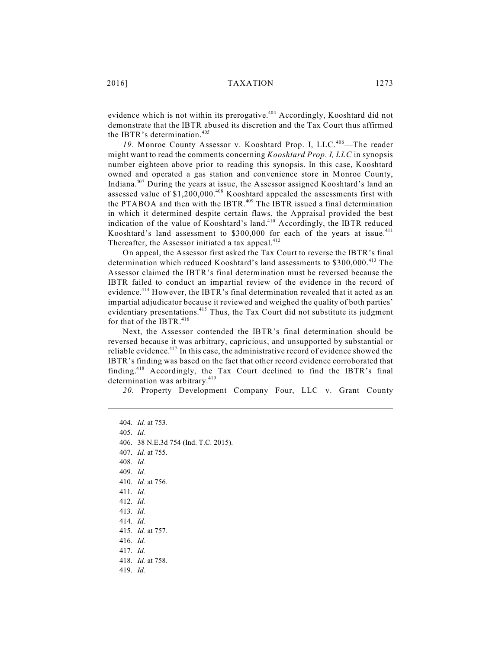evidence which is not within its prerogative. $404$  Accordingly, Kooshtard did not demonstrate that the IBTR abused its discretion and the Tax Court thus affirmed the IBTR's determination. 405

19. Monroe County Assessor v. Kooshtard Prop. I, LLC.<sup>406</sup>—The reader might want to read the comments concerning *Kooshtard Prop. I, LLC* in synopsis number eighteen above prior to reading this synopsis. In this case, Kooshtard owned and operated a gas station and convenience store in Monroe County, Indiana.<sup>407</sup> During the years at issue, the Assessor assigned Kooshtard's land an assessed value of  $$1,200,000.<sup>408</sup>$  Kooshtard appealed the assessments first with the PTABOA and then with the IBTR.<sup>409</sup> The IBTR issued a final determination in which it determined despite certain flaws, the Appraisal provided the best indication of the value of Kooshtard's land.<sup>410</sup> Accordingly, the IBTR reduced Kooshtard's land assessment to \$300,000 for each of the years at issue.<sup>411</sup> Thereafter, the Assessor initiated a tax appeal.<sup>412</sup>

On appeal, the Assessor first asked the Tax Court to reverse the IBTR's final determination which reduced Kooshtard's land assessments to \$300,000.<sup>413</sup> The Assessor claimed the IBTR's final determination must be reversed because the IBTR failed to conduct an impartial review of the evidence in the record of evidence.<sup>414</sup> However, the IBTR's final determination revealed that it acted as an impartial adjudicator because it reviewed and weighed the quality of both parties' evidentiary presentations.<sup>415</sup> Thus, the Tax Court did not substitute its judgment for that of the IBTR.<sup>416</sup>

Next, the Assessor contended the IBTR's final determination should be reversed because it was arbitrary, capricious, and unsupported by substantial or reliable evidence.<sup>417</sup> In this case, the administrative record of evidence showed the IBTR's finding was based on the fact that other record evidence corroborated that finding.<sup>418</sup> Accordingly, the Tax Court declined to find the IBTR's final determination was arbitrary.<sup>419</sup>

*20.* Property Development Company Four, LLC v. Grant County

404. *Id.* at 753. 405. *Id.* 406. 38 N.E.3d 754 (Ind. T.C. 2015). 407. *Id.* at 755. 408. *Id.* 409. *Id.* 410. *Id.* at 756. 411. *Id.* 412. *Id.* 413. *Id.* 414. *Id.* 415. *Id.* at 757. 416. *Id.* 417. *Id.* 418. *Id.* at 758. 419. *Id.*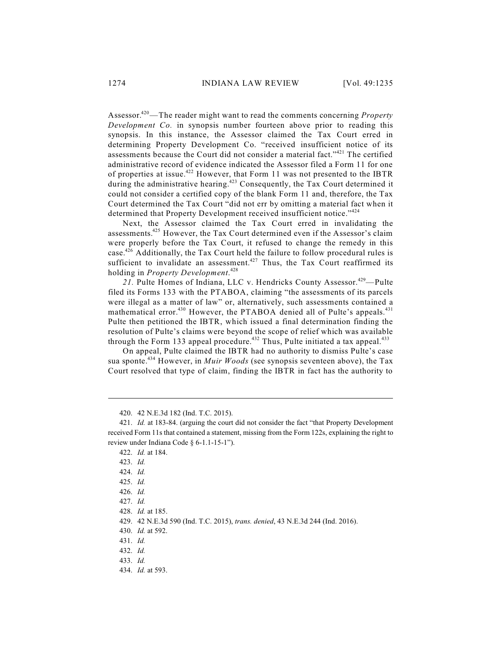Assessor.<sup>420</sup>—The reader might want to read the comments concerning *Property Development Co.* in synopsis number fourteen above prior to reading this synopsis. In this instance, the Assessor claimed the Tax Court erred in determining Property Development Co. "received insufficient notice of its assessments because the Court did not consider a material fact."<sup>421</sup> The certified administrative record of evidence indicated the Assessor filed a Form 11 for one of properties at issue.<sup>422</sup> However, that Form 11 was not presented to the IBTR during the administrative hearing.<sup>423</sup> Consequently, the Tax Court determined it could not consider a certified copy of the blank Form 11 and, therefore, the Tax Court determined the Tax Court "did not err by omitting a material fact when it determined that Property Development received insufficient notice."<sup>424</sup>

Next, the Assessor claimed the Tax Court erred in invalidating the assessments.<sup>425</sup> However, the Tax Court determined even if the Assessor's claim were properly before the Tax Court, it refused to change the remedy in this case.<sup>426</sup> Additionally, the Tax Court held the failure to follow procedural rules is sufficient to invalidate an assessment.<sup>427</sup> Thus, the Tax Court reaffirmed its holding in *Property Development*. 428

21. Pulte Homes of Indiana, LLC v. Hendricks County Assessor.<sup>429</sup>—Pulte filed its Forms 133 with the PTABOA, claiming "the assessments of its parcels were illegal as a matter of law" or, alternatively, such assessments contained a mathematical error.<sup>430</sup> However, the PTABOA denied all of Pulte's appeals.<sup>431</sup> Pulte then petitioned the IBTR, which issued a final determination finding the resolution of Pulte's claims were beyond the scope of relief which was available through the Form 133 appeal procedure.<sup>432</sup> Thus, Pulte initiated a tax appeal.<sup>433</sup>

On appeal, Pulte claimed the IBTR had no authority to dismiss Pulte's case sua sponte.<sup>434</sup> However, in *Muir Woods* (see synopsis seventeen above), the Tax Court resolved that type of claim, finding the IBTR in fact has the authority to

430. *Id.* at 592.

434. *Id.* at 593.

<sup>420.</sup> 42 N.E.3d 182 (Ind. T.C. 2015).

<sup>421.</sup> *Id.* at 183-84. (arguing the court did not consider the fact "that Property Development received Form 11s that contained a statement, missing from the Form 122s, explaining the right to review under Indiana Code § 6-1.1-15-1").

<sup>422.</sup> *Id.* at 184.

<sup>423.</sup> *Id.*

<sup>424.</sup> *Id.*

<sup>425.</sup> *Id.*

<sup>426.</sup> *Id.*

<sup>427.</sup> *Id.*

<sup>428.</sup> *Id.* at 185.

<sup>429.</sup> 42 N.E.3d 590 (Ind. T.C. 2015), *trans. denied*, 43 N.E.3d 244 (Ind. 2016).

<sup>431.</sup> *Id.*

<sup>432.</sup> *Id.*

<sup>433.</sup> *Id.*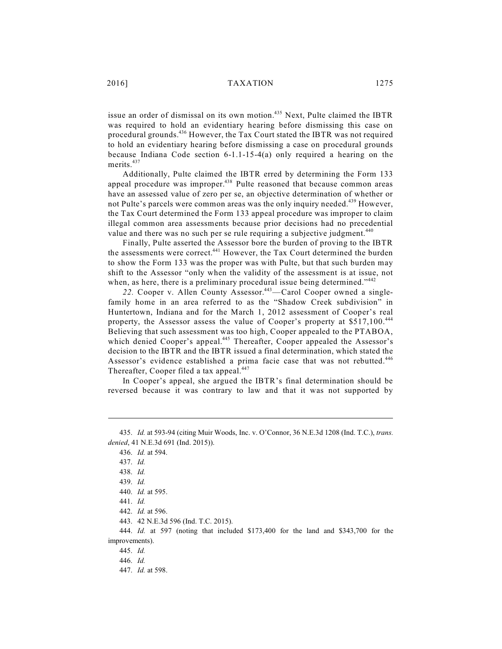issue an order of dismissal on its own motion.<sup>435</sup> Next, Pulte claimed the IBTR was required to hold an evidentiary hearing before dismissing this case on procedural grounds.<sup>436</sup> However, the Tax Court stated the IBTR was not required to hold an evidentiary hearing before dismissing a case on procedural grounds because Indiana Code section 6-1.1-15-4(a) only required a hearing on the merits. 437

Additionally, Pulte claimed the IBTR erred by determining the Form 133 appeal procedure was improper.<sup>438</sup> Pulte reasoned that because common areas have an assessed value of zero per se, an objective determination of whether or not Pulte's parcels were common areas was the only inquiry needed.<sup>439</sup> However, the Tax Court determined the Form 133 appeal procedure was improper to claim illegal common area assessments because prior decisions had no precedential value and there was no such per se rule requiring a subjective judgment.<sup>440</sup>

Finally, Pulte asserted the Assessor bore the burden of proving to the IBTR the assessments were correct.<sup>441</sup> However, the Tax Court determined the burden to show the Form 133 was the proper was with Pulte, but that such burden may shift to the Assessor "only when the validity of the assessment is at issue, not when, as here, there is a preliminary procedural issue being determined."<sup>442</sup>

22. Cooper v. Allen County Assessor.<sup>443</sup>—Carol Cooper owned a singlefamily home in an area referred to as the "Shadow Creek subdivision" in Huntertown, Indiana and for the March 1, 2012 assessment of Cooper's real property, the Assessor assess the value of Cooper's property at \$517,100.<sup>444</sup> Believing that such assessment was too high, Cooper appealed to the PTABOA, which denied Cooper's appeal.<sup>445</sup> Thereafter, Cooper appealed the Assessor's decision to the IBTR and the IBTR issued a final determination, which stated the Assessor's evidence established a prima facie case that was not rebutted.<sup>446</sup> Thereafter, Cooper filed a tax appeal.<sup>447</sup>

In Cooper's appeal, she argued the IBTR's final determination should be reversed because it was contrary to law and that it was not supported by

<sup>435.</sup> *Id.* at 593-94 (citing Muir Woods, Inc. v. O'Connor, 36 N.E.3d 1208 (Ind. T.C.), *trans. denied*, 41 N.E.3d 691 (Ind. 2015)).

<sup>436.</sup> *Id.* at 594.

<sup>437.</sup> *Id.*

<sup>438.</sup> *Id.*

<sup>439.</sup> *Id.*

<sup>440.</sup> *Id.* at 595.

<sup>441.</sup> *Id.*

<sup>442.</sup> *Id.* at 596.

<sup>443.</sup> 42 N.E.3d 596 (Ind. T.C. 2015).

<sup>444.</sup> *Id.* at 597 (noting that included \$173,400 for the land and \$343,700 for the improvements).

<sup>445.</sup> *Id.*

<sup>446.</sup> *Id.*

<sup>447.</sup> *Id.* at 598.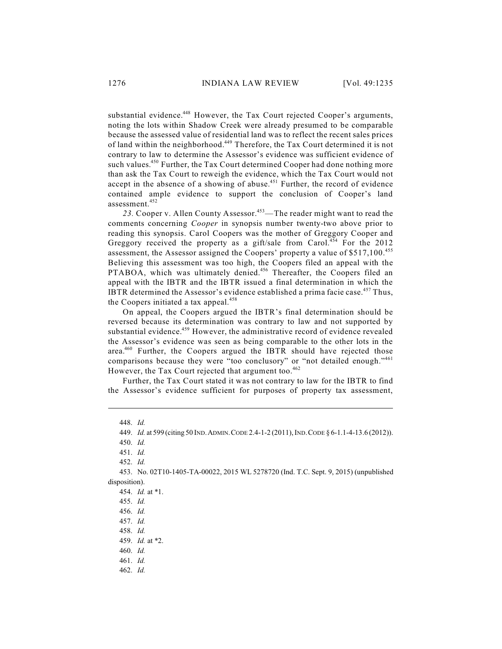substantial evidence.<sup>448</sup> However, the Tax Court rejected Cooper's arguments, noting the lots within Shadow Creek were already presumed to be comparable because the assessed value of residential land was to reflect the recent sales prices of land within the neighborhood.<sup>449</sup> Therefore, the Tax Court determined it is not contrary to law to determine the Assessor's evidence was sufficient evidence of such values.<sup>450</sup> Further, the Tax Court determined Cooper had done nothing more than ask the Tax Court to reweigh the evidence, which the Tax Court would not accept in the absence of a showing of abuse.<sup>451</sup> Further, the record of evidence contained ample evidence to support the conclusion of Cooper's land assessment. 452

23. Cooper v. Allen County Assessor.<sup>453</sup>—The reader might want to read the comments concerning *Cooper* in synopsis number twenty-two above prior to reading this synopsis. Carol Coopers was the mother of Greggory Cooper and Greggory received the property as a gift/sale from Carol.<sup>454</sup> For the 2012 assessment, the Assessor assigned the Coopers' property a value of \$517,100.<sup>455</sup> Believing this assessment was too high, the Coopers filed an appeal with the PTABOA, which was ultimately denied.<sup>456</sup> Thereafter, the Coopers filed an appeal with the IBTR and the IBTR issued a final determination in which the IBTR determined the Assessor's evidence established a prima facie case. $457$  Thus, the Coopers initiated a tax appeal. 458

On appeal, the Coopers argued the IBTR's final determination should be reversed because its determination was contrary to law and not supported by substantial evidence.<sup>459</sup> However, the administrative record of evidence revealed the Assessor's evidence was seen as being comparable to the other lots in the area.<sup>460</sup> Further, the Coopers argued the IBTR should have rejected those comparisons because they were "too conclusory" or "not detailed enough."<sup>461</sup> However, the Tax Court rejected that argument too.<sup>462</sup>

Further, the Tax Court stated it was not contrary to law for the IBTR to find the Assessor's evidence sufficient for purposes of property tax assessment,

<sup>448.</sup> *Id.*

<sup>449.</sup> *Id.* at 599 (citing 50 IND.ADMIN.CODE 2.4-1-2 (2011), IND.CODE § 6-1.1-4-13.6 (2012)).

<sup>450.</sup> *Id.*

<sup>451.</sup> *Id.*

<sup>452.</sup> *Id.*

<sup>453.</sup> No. 02T10-1405-TA-00022, 2015 WL 5278720 (Ind. T.C. Sept. 9, 2015) (unpublished disposition).

<sup>454.</sup> *Id.* at \*1.

<sup>455.</sup> *Id.*

<sup>456.</sup> *Id.*

<sup>457.</sup> *Id.*

<sup>458.</sup> *Id.*

<sup>459.</sup> *Id.* at \*2.

<sup>460.</sup> *Id.*

<sup>461.</sup> *Id.*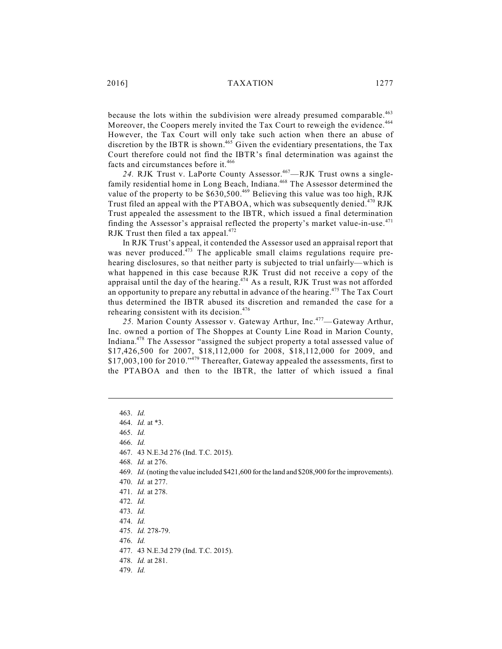2016] TAXATION 1277

because the lots within the subdivision were already presumed comparable.<sup>463</sup> Moreover, the Coopers merely invited the Tax Court to reweigh the evidence.<sup>464</sup> However, the Tax Court will only take such action when there an abuse of discretion by the IBTR is shown.<sup>465</sup> Given the evidentiary presentations, the Tax Court therefore could not find the IBTR's final determination was against the facts and circumstances before it.<sup>466</sup>

24. RJK Trust v. LaPorte County Assessor.<sup>467</sup>—RJK Trust owns a singlefamily residential home in Long Beach, Indiana.<sup>468</sup> The Assessor determined the value of the property to be  $$630,500.<sup>469</sup>$  Believing this value was too high, RJK Trust filed an appeal with the PTABOA, which was subsequently denied.<sup>470</sup> RJK Trust appealed the assessment to the IBTR, which issued a final determination finding the Assessor's appraisal reflected the property's market value-in-use. $471$ RJK Trust then filed a tax appeal.<sup>472</sup>

In RJK Trust's appeal, it contended the Assessor used an appraisal report that was never produced. $473$  The applicable small claims regulations require prehearing disclosures, so that neither party is subjected to trial unfairly—which is what happened in this case because RJK Trust did not receive a copy of the appraisal until the day of the hearing. $474$  As a result, RJK Trust was not afforded an opportunity to prepare any rebuttal in advance of the hearing.<sup>475</sup> The Tax Court thus determined the IBTR abused its discretion and remanded the case for a rehearing consistent with its decision.<sup>476</sup>

25. Marion County Assessor v. Gateway Arthur, Inc.<sup>477</sup>—Gateway Arthur, Inc. owned a portion of The Shoppes at County Line Road in Marion County, Indiana.<sup>478</sup> The Assessor "assigned the subject property a total assessed value of \$17,426,500 for 2007, \$18,112,000 for 2008, \$18,112,000 for 2009, and  $$17,003,100$  for 2010."<sup>479</sup> Thereafter, Gateway appealed the assessments, first to the PTABOA and then to the IBTR, the latter of which issued a final

466. *Id.*

470. *Id.* at 277.

- 477. 43 N.E.3d 279 (Ind. T.C. 2015).
- 478. *Id.* at 281.
- 479. *Id.*

<sup>463.</sup> *Id.*

<sup>464.</sup> *Id.* at \*3.

<sup>465.</sup> *Id.*

<sup>467.</sup> 43 N.E.3d 276 (Ind. T.C. 2015).

<sup>468.</sup> *Id.* at 276.

<sup>469.</sup> *Id.* (noting the value included \$421,600 for the land and \$208,900 for the improvements).

<sup>471.</sup> *Id.* at 278.

<sup>472.</sup> *Id.*

<sup>473.</sup> *Id.*

<sup>474.</sup> *Id.*

<sup>475.</sup> *Id.* 278-79.

<sup>476.</sup> *Id.*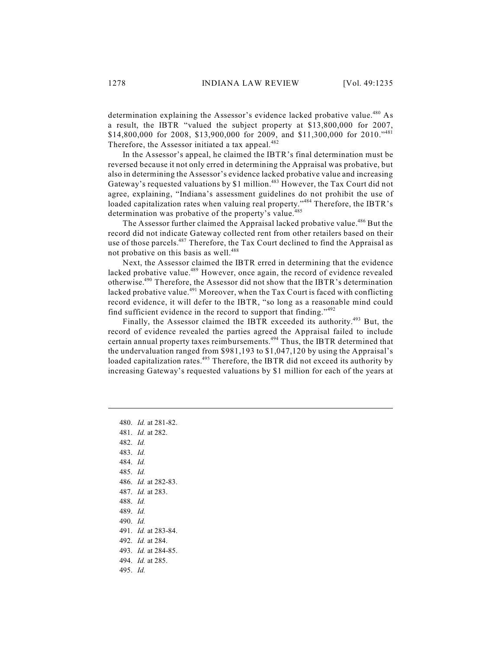determination explaining the Assessor's evidence lacked probative value.<sup>480</sup> As a result, the IBTR "valued the subject property at \$13,800,000 for 2007, \$14,800,000 for 2008, \$13,900,000 for 2009, and \$11,300,000 for 2010."<sup>481</sup> Therefore, the Assessor initiated a tax appeal.<sup>482</sup>

In the Assessor's appeal, he claimed the IBTR's final determination must be reversed because it not only erred in determining the Appraisal was probative, but also in determining the Assessor's evidence lacked probative value and increasing Gateway's requested valuations by \$1 million.<sup>483</sup> However, the Tax Court did not agree, explaining, "Indiana's assessment guidelines do not prohibit the use of loaded capitalization rates when valuing real property."<sup>484</sup> Therefore, the IBTR's determination was probative of the property's value.<sup>485</sup>

The Assessor further claimed the Appraisal lacked probative value.<sup>486</sup> But the record did not indicate Gateway collected rent from other retailers based on their use of those parcels.<sup>487</sup> Therefore, the Tax Court declined to find the Appraisal as not probative on this basis as well.<sup>488</sup>

Next, the Assessor claimed the IBTR erred in determining that the evidence lacked probative value.<sup>489</sup> However, once again, the record of evidence revealed otherwise.<sup>490</sup> Therefore, the Assessor did not show that the IBTR's determination lacked probative value.<sup>491</sup> Moreover, when the Tax Court is faced with conflicting record evidence, it will defer to the IBTR, "so long as a reasonable mind could find sufficient evidence in the record to support that finding." $492$ 

Finally, the Assessor claimed the IBTR exceeded its authority.<sup>493</sup> But, the record of evidence revealed the parties agreed the Appraisal failed to include certain annual property taxes reimbursements.<sup>494</sup> Thus, the IBTR determined that the undervaluation ranged from \$981,193 to \$1,047,120 by using the Appraisal's loaded capitalization rates.<sup>495</sup> Therefore, the IBTR did not exceed its authority by increasing Gateway's requested valuations by \$1 million for each of the years at

480. *Id.* at 281-82. 481. *Id.* at 282. 482. *Id.* 483. *Id.* 484. *Id.* 485. *Id.* 486. *Id.* at 282-83. 487. *Id.* at 283. 488. *Id.* 489. *Id.* 490. *Id.* 491. *Id.* at 283-84. 492. *Id.* at 284. 493. *Id.* at 284-85. 494. *Id.* at 285. 495. *Id.*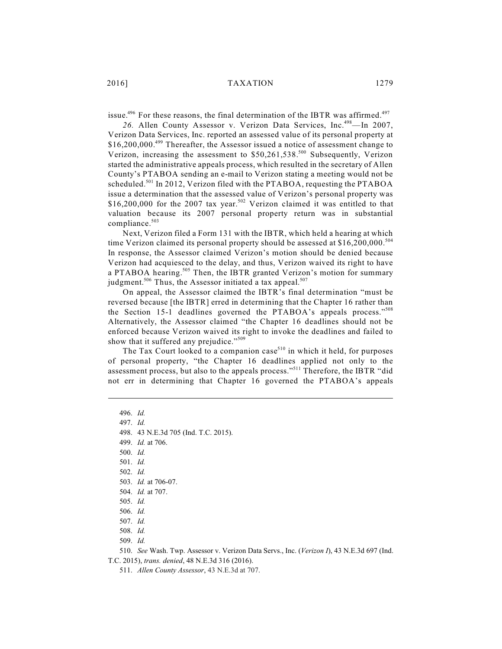issue.<sup>496</sup> For these reasons, the final determination of the IBTR was affirmed.<sup>497</sup>

26. Allen County Assessor v. Verizon Data Services, Inc.<sup>498</sup>-In 2007, Verizon Data Services, Inc. reported an assessed value of its personal property at  $$16,200,000.<sup>499</sup>$  Thereafter, the Assessor issued a notice of assessment change to Verizon, increasing the assessment to  $$50,261,538.^{500}$  Subsequently, Verizon started the administrative appeals process, which resulted in the secretary of Allen County's PTABOA sending an e-mail to Verizon stating a meeting would not be scheduled.<sup>501</sup> In 2012, Verizon filed with the PTABOA, requesting the PTABOA issue a determination that the assessed value of Verizon's personal property was \$16,200,000 for the 2007 tax year.<sup>502</sup> Verizon claimed it was entitled to that valuation because its 2007 personal property return was in substantial compliance. 503

Next, Verizon filed a Form 131 with the IBTR, which held a hearing at which time Verizon claimed its personal property should be assessed at \$16,200,000.<sup>504</sup> In response, the Assessor claimed Verizon's motion should be denied because Verizon had acquiesced to the delay, and thus, Verizon waived its right to have a PTABOA hearing.<sup>505</sup> Then, the IBTR granted Verizon's motion for summary judgment.<sup>506</sup> Thus, the Assessor initiated a tax appeal.<sup>507</sup>

On appeal, the Assessor claimed the IBTR's final determination "must be reversed because [the IBTR] erred in determining that the Chapter 16 rather than the Section 15-1 deadlines governed the PTABOA's appeals process."<sup>508</sup> Alternatively, the Assessor claimed "the Chapter 16 deadlines should not be enforced because Verizon waived its right to invoke the deadlines and failed to show that it suffered any prejudice."<sup>509</sup>

The Tax Court looked to a companion case<sup>510</sup> in which it held, for purposes of personal property, "the Chapter 16 deadlines applied not only to the assessment process, but also to the appeals process."<sup>511</sup> Therefore, the IBTR "did not err in determining that Chapter 16 governed the PTABOA's appeals

496. *Id.*

- 497. *Id.*
- 498. 43 N.E.3d 705 (Ind. T.C. 2015).

499. *Id.* at 706.

500. *Id.*

501. *Id.*

502. *Id.*

503. *Id.* at 706-07.

505. *Id.*

506. *Id.*

507. *Id.*

508. *Id.*

509. *Id.*

510. *See* Wash. Twp. Assessor v. Verizon Data Servs., Inc. (*Verizon I*), 43 N.E.3d 697 (Ind. T.C. 2015), *trans. denied*, 48 N.E.3d 316 (2016).

511. *Allen County Assessor*, 43 N.E.3d at 707.

<sup>504.</sup> *Id.* at 707.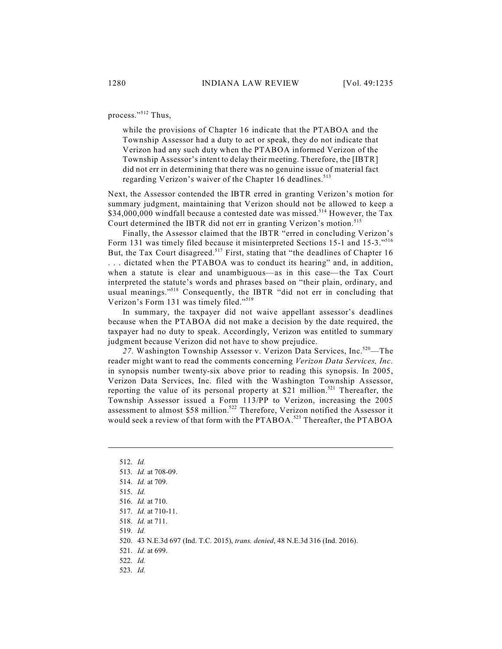process."<sup>512</sup> Thus,

while the provisions of Chapter 16 indicate that the PTABOA and the Township Assessor had a duty to act or speak, they do not indicate that Verizon had any such duty when the PTABOA informed Verizon of the Township Assessor's intent to delay their meeting. Therefore, the [IBTR] did not err in determining that there was no genuine issue of material fact regarding Verizon's waiver of the Chapter 16 deadlines.<sup>513</sup>

Next, the Assessor contended the IBTR erred in granting Verizon's motion for summary judgment, maintaining that Verizon should not be allowed to keep a  $$34,000,000$  windfall because a contested date was missed.<sup>514</sup> However, the Tax Court determined the IBTR did not err in granting Verizon's motion. 515

Finally, the Assessor claimed that the IBTR "erred in concluding Verizon's Form 131 was timely filed because it misinterpreted Sections 15-1 and 15-3."<sup>516</sup> But, the Tax Court disagreed.<sup>517</sup> First, stating that "the deadlines of Chapter 16 . . . dictated when the PTABOA was to conduct its hearing" and, in addition, when a statute is clear and unambiguous—as in this case—the Tax Court interpreted the statute's words and phrases based on "their plain, ordinary, and usual meanings."<sup>518</sup> Consequently, the IBTR "did not err in concluding that Verizon's Form 131 was timely filed."<sup>519</sup>

In summary, the taxpayer did not waive appellant assessor's deadlines because when the PTABOA did not make a decision by the date required, the taxpayer had no duty to speak. Accordingly, Verizon was entitled to summary judgment because Verizon did not have to show prejudice.

27. Washington Township Assessor v. Verizon Data Services, Inc.<sup>520</sup>—The reader might want to read the comments concerning *Verizon Data Services, Inc*. in synopsis number twenty-six above prior to reading this synopsis. In 2005, Verizon Data Services, Inc. filed with the Washington Township Assessor, reporting the value of its personal property at \$21 million.<sup>521</sup> Thereafter, the Township Assessor issued a Form 113/PP to Verizon, increasing the 2005 assessment to almost \$58 million.<sup>522</sup> Therefore, Verizon notified the Assessor it would seek a review of that form with the PTABOA.<sup>523</sup> Thereafter, the PTABOA

<sup>512.</sup> *Id.* 513. *Id.* at 708-09. 514. *Id.* at 709. 515. *Id.* 516. *Id.* at 710. 517. *Id.* at 710-11. 518. *Id.* at 711. 519. *Id.*

<sup>520.</sup> 43 N.E.3d 697 (Ind. T.C. 2015), *trans. denied*, 48 N.E.3d 316 (Ind. 2016).

<sup>521.</sup> *Id.* at 699.

<sup>522.</sup> *Id.*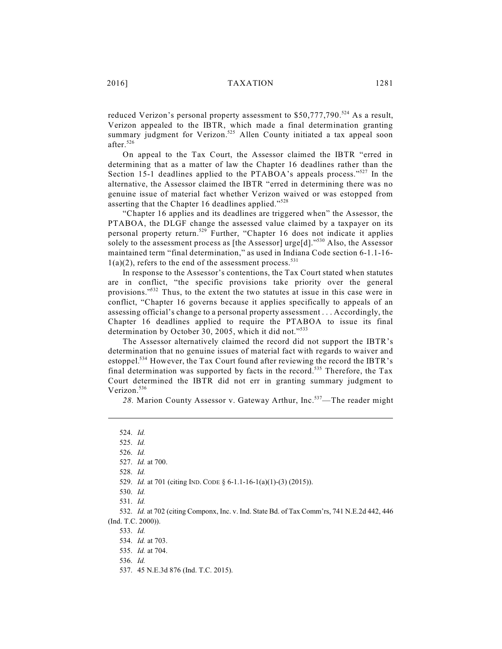reduced Verizon's personal property assessment to  $$50,777,790.^{524}$  As a result, Verizon appealed to the IBTR, which made a final determination granting summary judgment for Verizon.<sup>525</sup> Allen County initiated a tax appeal soon after. 526

On appeal to the Tax Court, the Assessor claimed the IBTR "erred in determining that as a matter of law the Chapter 16 deadlines rather than the Section 15-1 deadlines applied to the PTABOA's appeals process."<sup>527</sup> In the alternative, the Assessor claimed the IBTR "erred in determining there was no genuine issue of material fact whether Verizon waived or was estopped from asserting that the Chapter 16 deadlines applied."<sup>528</sup>

"Chapter 16 applies and its deadlines are triggered when" the Assessor, the PTABOA, the DLGF change the assessed value claimed by a taxpayer on its personal property return.<sup>529</sup> Further, "Chapter 16 does not indicate it applies solely to the assessment process as [the Assessor]  $\mathrm{urge[d]}."^{530}$  Also, the Assessor maintained term "final determination," as used in Indiana Code section 6-1.1-16-  $1(a)(2)$ , refers to the end of the assessment process.<sup>531</sup>

In response to the Assessor's contentions, the Tax Court stated when statutes are in conflict, "the specific provisions take priority over the general provisions."<sup>532</sup> Thus, to the extent the two statutes at issue in this case were in conflict, "Chapter 16 governs because it applies specifically to appeals of an assessing official's change to a personal property assessment . . . Accordingly, the Chapter 16 deadlines applied to require the PTABOA to issue its final determination by October 30, 2005, which it did not."<sup>533</sup>

The Assessor alternatively claimed the record did not support the IBTR's determination that no genuine issues of material fact with regards to waiver and estoppel.<sup>534</sup> However, the Tax Court found after reviewing the record the IBTR's final determination was supported by facts in the record.<sup>535</sup> Therefore, the Tax Court determined the IBTR did not err in granting summary judgment to Verizon. 536

28. Marion County Assessor v. Gateway Arthur, Inc.<sup>537</sup>—The reader might

528. *Id.*

<sup>524.</sup> *Id.*

<sup>525.</sup> *Id.*

<sup>526.</sup> *Id.*

<sup>527.</sup> *Id.* at 700.

<sup>529.</sup> *Id.* at 701 (citing IND. CODE § 6-1.1-16-1(a)(1)-(3) (2015)).

<sup>530.</sup> *Id.*

<sup>531.</sup> *Id.*

<sup>532.</sup> *Id.* at 702 (citing Componx, Inc. v. Ind. State Bd. of Tax Comm'rs, 741 N.E.2d 442, 446 (Ind. T.C. 2000)).

<sup>534.</sup> *Id.* at 703.

<sup>535.</sup> *Id.* at 704.

<sup>536.</sup> *Id.*

<sup>537.</sup> 45 N.E.3d 876 (Ind. T.C. 2015).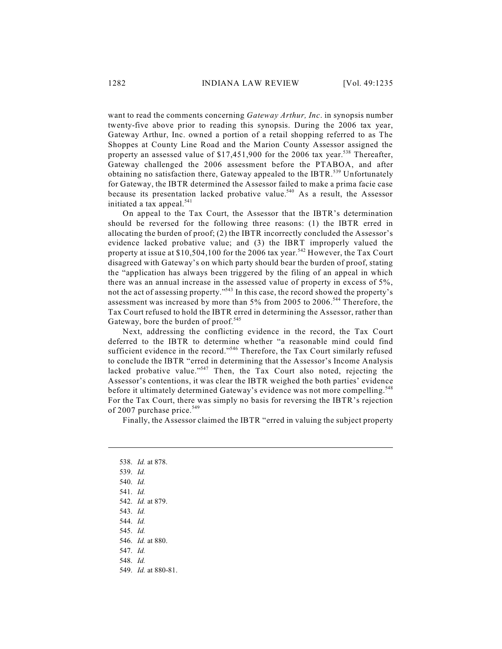want to read the comments concerning *Gateway Arthur, Inc*. in synopsis number twenty-five above prior to reading this synopsis. During the 2006 tax year, Gateway Arthur, Inc. owned a portion of a retail shopping referred to as The Shoppes at County Line Road and the Marion County Assessor assigned the property an assessed value of \$17,451,900 for the 2006 tax year.<sup>538</sup> Thereafter, Gateway challenged the 2006 assessment before the PTABOA, and after obtaining no satisfaction there, Gateway appealed to the IBTR.<sup>539</sup> Unfortunately for Gateway, the IBTR determined the Assessor failed to make a prima facie case because its presentation lacked probative value.<sup>540</sup> As a result, the Assessor initiated a tax appeal.<sup>541</sup>

On appeal to the Tax Court, the Assessor that the IBTR's determination should be reversed for the following three reasons: (1) the IBTR erred in allocating the burden of proof; (2) the IBTR incorrectly concluded the Assessor's evidence lacked probative value; and (3) the IBRT improperly valued the property at issue at \$10,504,100 for the 2006 tax year.<sup>542</sup> However, the Tax Court disagreed with Gateway's on which party should bear the burden of proof, stating the "application has always been triggered by the filing of an appeal in which there was an annual increase in the assessed value of property in excess of 5%, not the act of assessing property."<sup>543</sup> In this case, the record showed the property's assessment was increased by more than 5% from 2005 to 2006.<sup>544</sup> Therefore, the Tax Court refused to hold the IBTR erred in determining the Assessor, rather than Gateway, bore the burden of proof.<sup>545</sup>

Next, addressing the conflicting evidence in the record, the Tax Court deferred to the IBTR to determine whether "a reasonable mind could find sufficient evidence in the record."<sup>546</sup> Therefore, the Tax Court similarly refused to conclude the IBTR "erred in determining that the Assessor's Income Analysis lacked probative value."<sup>547</sup> Then, the Tax Court also noted, rejecting the Assessor's contentions, it was clear the IBTR weighed the both parties' evidence before it ultimately determined Gateway's evidence was not more compelling. 548 For the Tax Court, there was simply no basis for reversing the IBTR's rejection of 2007 purchase price.<sup>549</sup>

Finally, the Assessor claimed the IBTR "erred in valuing the subject property

<sup>538.</sup> *Id.* at 878. 539. *Id.* 540. *Id.* 541. *Id.*

<sup>542.</sup> *Id.* at 879.

<sup>543.</sup> *Id.*

<sup>544.</sup> *Id.*

<sup>545.</sup> *Id.*

<sup>546.</sup> *Id.* at 880.

<sup>547.</sup> *Id.*

<sup>548.</sup> *Id.*

<sup>549.</sup> *Id.* at 880-81.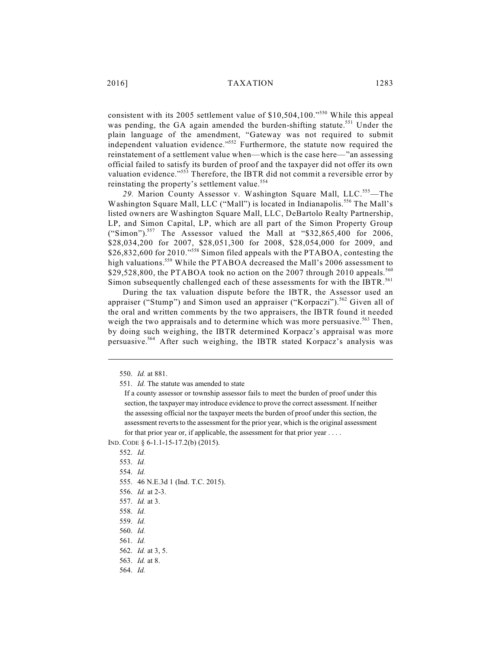consistent with its 2005 settlement value of \$10,504,100."<sup>550</sup> While this appeal was pending, the GA again amended the burden-shifting statute.<sup>551</sup> Under the plain language of the amendment, "Gateway was not required to submit independent valuation evidence."<sup>552</sup> Furthermore, the statute now required the reinstatement of a settlement value when—which is the case here—"an assessing official failed to satisfy its burden of proof and the taxpayer did not offer its own valuation evidence."<sup>553</sup> Therefore, the IBTR did not commit a reversible error by reinstating the property's settlement value.<sup>554</sup>

29. Marion County Assessor v. Washington Square Mall, LLC.<sup>555</sup>—The Washington Square Mall, LLC ("Mall") is located in Indianapolis.<sup>556</sup> The Mall's listed owners are Washington Square Mall, LLC, DeBartolo Realty Partnership, LP, and Simon Capital, LP, which are all part of the Simon Property Group ("Simon").<sup>557</sup> The Assessor valued the Mall at "\$32,865,400 for 2006, \$28,034,200 for 2007, \$28,051,300 for 2008, \$28,054,000 for 2009, and \$26,832,600 for 2010."<sup>558</sup> Simon filed appeals with the PTABOA, contesting the high valuations.<sup>559</sup> While the PTABOA decreased the Mall's 2006 assessment to \$29,528,800, the PTABOA took no action on the 2007 through 2010 appeals.<sup>560</sup> Simon subsequently challenged each of these assessments for with the IBTR.<sup>561</sup>

During the tax valuation dispute before the IBTR, the Assessor used an appraiser ("Stump") and Simon used an appraiser ("Korpaczi").<sup>562</sup> Given all of the oral and written comments by the two appraisers, the IBTR found it needed weigh the two appraisals and to determine which was more persuasive.<sup>563</sup> Then, by doing such weighing, the IBTR determined Korpacz's appraisal was more persuasive.<sup>564</sup> After such weighing, the IBTR stated Korpacz's analysis was

IND. CODE § 6-1.1-15-17.2(b) (2015).

<sup>550.</sup> *Id.* at 881.

<sup>551.</sup> *Id.* The statute was amended to state

If a county assessor or township assessor fails to meet the burden of proof under this section, the taxpayer may introduce evidence to prove the correct assessment. If neither the assessing official nor the taxpayer meets the burden of proof under this section, the assessment reverts to the assessment for the prior year, which is the original assessment for that prior year or, if applicable, the assessment for that prior year . . . .

<sup>552.</sup> *Id.*

<sup>553.</sup> *Id.*

<sup>555.</sup> 46 N.E.3d 1 (Ind. T.C. 2015).

<sup>556.</sup> *Id.* at 2-3.

<sup>557.</sup> *Id.* at 3.

<sup>558.</sup> *Id.*

<sup>559.</sup> *Id.*

<sup>560.</sup> *Id.*

<sup>561.</sup> *Id.*

<sup>562.</sup> *Id.* at 3, 5.

<sup>563.</sup> *Id.* at 8.

<sup>564.</sup> *Id.*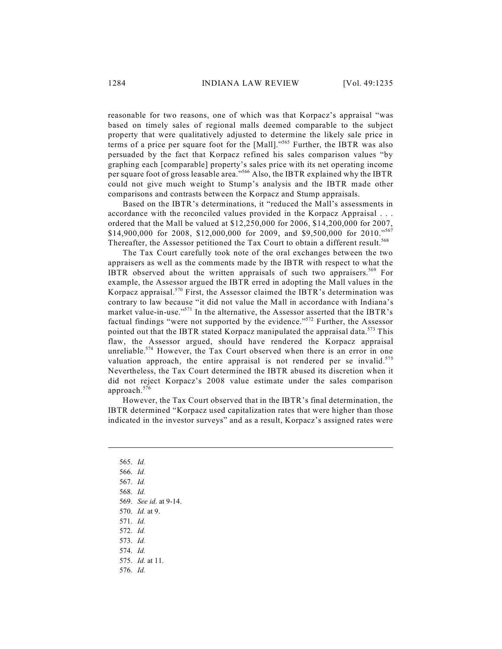reasonable for two reasons, one of which was that Korpacz's appraisal "was based on timely sales of regional malls deemed comparable to the subject property that were qualitatively adjusted to determine the likely sale price in terms of a price per square foot for the  $[Mall]$ ."<sup>565</sup> Further, the IBTR was also persuaded by the fact that Korpacz refined his sales comparison values "by graphing each [comparable] property's sales price with its net operating income per square foot of gross leasable area."<sup>566</sup> Also, the IBTR explained why the IBTR could not give much weight to Stump's analysis and the IBTR made other comparisons and contrasts between the Korpacz and Stump appraisals.

Based on the IBTR's determinations, it "reduced the Mall's assessments in accordance with the reconciled values provided in the Korpacz Appraisal . . . ordered that the Mall be valued at \$12,250,000 for 2006, \$14,200,000 for 2007, \$14,900,000 for 2008, \$12,000,000 for 2009, and \$9,500,000 for 2010."567 Thereafter, the Assessor petitioned the Tax Court to obtain a different result.<sup>568</sup>

The Tax Court carefully took note of the oral exchanges between the two appraisers as well as the comments made by the IBTR with respect to what the IBTR observed about the written appraisals of such two appraisers.<sup>569</sup> For example, the Assessor argued the IBTR erred in adopting the Mall values in the Korpacz appraisal.<sup>570</sup> First, the Assessor claimed the IBTR's determination was contrary to law because "it did not value the Mall in accordance with Indiana's market value-in-use."<sup>571</sup> In the alternative, the Assessor asserted that the IBTR's factual findings "were not supported by the evidence."<sup>572</sup> Further, the Assessor pointed out that the IBTR stated Korpacz manipulated the appraisal data.<sup>573</sup> This flaw, the Assessor argued, should have rendered the Korpacz appraisal unreliable.<sup>574</sup> However, the Tax Court observed when there is an error in one valuation approach, the entire appraisal is not rendered per se invalid.<sup>575</sup> Nevertheless, the Tax Court determined the IBTR abused its discretion when it did not reject Korpacz's 2008 value estimate under the sales comparison approach. 576

However, the Tax Court observed that in the IBTR's final determination, the IBTR determined "Korpacz used capitalization rates that were higher than those indicated in the investor surveys" and as a result, Korpacz's assigned rates were

- 565. *Id.* 566. *Id.* 567. *Id.* 568. *Id.* 569. *See id*. at 9-14. 570. *Id.* at 9. 571. *Id.* 572. *Id.*
- 573. *Id.*
- 574. *Id.*
- 575. *Id.* at 11.
- 576. *Id.*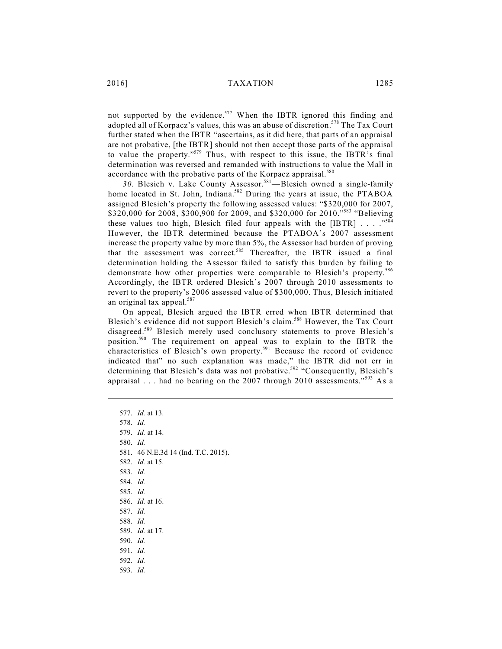not supported by the evidence.<sup>577</sup> When the IBTR ignored this finding and adopted all of Korpacz's values, this was an abuse of discretion.<sup>578</sup> The Tax Court further stated when the IBTR "ascertains, as it did here, that parts of an appraisal are not probative, [the IBTR] should not then accept those parts of the appraisal to value the property."<sup>579</sup> Thus, with respect to this issue, the IBTR's final determination was reversed and remanded with instructions to value the Mall in accordance with the probative parts of the Korpacz appraisal.<sup>580</sup>

30. Blesich v. Lake County Assessor.<sup>581</sup>—Blesich owned a single-family home located in St. John, Indiana.<sup>582</sup> During the years at issue, the PTABOA assigned Blesich's property the following assessed values: "\$320,000 for 2007, \$320,000 for 2008, \$300,900 for 2009, and \$320,000 for 2010."<sup>583</sup> "Believing these values too high, Blesich filed four appeals with the [IBTR]  $\ldots$  ..."<sup>584</sup> However, the IBTR determined because the PTABOA's 2007 assessment increase the property value by more than 5%, the Assessor had burden of proving that the assessment was correct.<sup>585</sup> Thereafter, the IBTR issued a final determination holding the Assessor failed to satisfy this burden by failing to demonstrate how other properties were comparable to Blesich's property. 586 Accordingly, the IBTR ordered Blesich's 2007 through 2010 assessments to revert to the property's 2006 assessed value of \$300,000. Thus, Blesich initiated an original tax appeal.<sup>587</sup>

On appeal, Blesich argued the IBTR erred when IBTR determined that Blesich's evidence did not support Blesich's claim.<sup>588</sup> However, the Tax Court disagreed.<sup>589</sup> Blesich merely used conclusory statements to prove Blesich's position.<sup>590</sup> The requirement on appeal was to explain to the IBTR the characteristics of Blesich's own property.<sup>591</sup> Because the record of evidence indicated that" no such explanation was made," the IBTR did not err in determining that Blesich's data was not probative.<sup>592</sup> "Consequently, Blesich's appraisal . . . had no bearing on the 2007 through 2010 assessments."<sup>593</sup> As a

577. *Id.* at 13. 578. *Id.* 579. *Id.* at 14. 580. *Id.* 581. 46 N.E.3d 14 (Ind. T.C. 2015). 582. *Id.* at 15. 583. *Id.* 584. *Id.* 585. *Id.* 586. *Id.* at 16. 587. *Id.* 588. *Id.* 589. *Id.* at 17. 590. *Id.* 591. *Id.* 592. *Id.* 593. *Id.*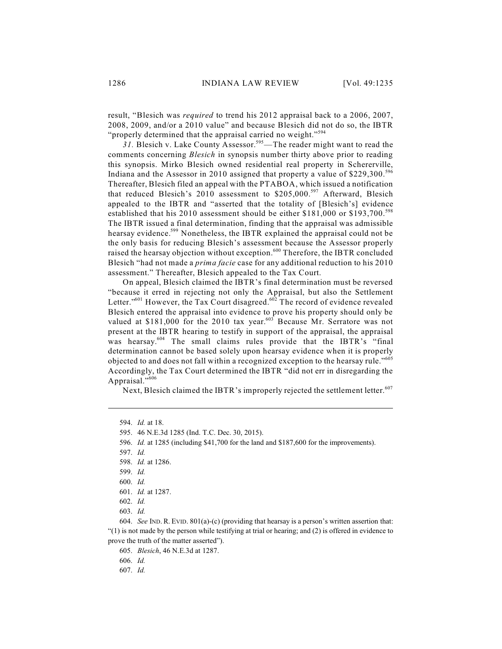result, "Blesich was *required* to trend his 2012 appraisal back to a 2006, 2007, 2008, 2009, and/or a 2010 value" and because Blesich did not do so, the IBTR "properly determined that the appraisal carried no weight."<sup>594</sup>

31. Blesich v. Lake County Assessor.<sup>595</sup>—The reader might want to read the comments concerning *Blesich* in synopsis number thirty above prior to reading this synopsis. Mirko Blesich owned residential real property in Schererville, Indiana and the Assessor in 2010 assigned that property a value of \$229,300.<sup>596</sup> Thereafter, Blesich filed an appeal with the PTABOA, which issued a notification that reduced Blesich's 2010 assessment to \$205,000.<sup>597</sup> Afterward, Blesich appealed to the IBTR and "asserted that the totality of [Blesich's] evidence established that his 2010 assessment should be either \$181,000 or \$193,700. 598 The IBTR issued a final determination, finding that the appraisal was admissible hearsay evidence.<sup>599</sup> Nonetheless, the IBTR explained the appraisal could not be the only basis for reducing Blesich's assessment because the Assessor properly raised the hearsay objection without exception.<sup>600</sup> Therefore, the IBTR concluded Blesich "had not made a *prima facie* case for any additional reduction to his 2010 assessment." Thereafter, Blesich appealed to the Tax Court.

On appeal, Blesich claimed the IBTR's final determination must be reversed "because it erred in rejecting not only the Appraisal, but also the Settlement Letter."<sup>601</sup> However, the Tax Court disagreed.<sup>602</sup> The record of evidence revealed Blesich entered the appraisal into evidence to prove his property should only be valued at \$181,000 for the 2010 tax year.<sup>603</sup> Because Mr. Serratore was not present at the IBTR hearing to testify in support of the appraisal, the appraisal was hearsay.<sup>604</sup> The small claims rules provide that the IBTR's "final determination cannot be based solely upon hearsay evidence when it is properly objected to and does not fall within a recognized exception to the hearsay rule."<sup>605</sup> Accordingly, the Tax Court determined the IBTR "did not err in disregarding the Appraisal."<sup>606</sup>

Next, Blesich claimed the IBTR's improperly rejected the settlement letter.<sup>607</sup>

605. *Blesich*, 46 N.E.3d at 1287.

606. *Id.*

<sup>594.</sup> *Id.* at 18.

<sup>595.</sup> 46 N.E.3d 1285 (Ind. T.C. Dec. 30, 2015).

<sup>596.</sup> *Id.* at 1285 (including \$41,700 for the land and \$187,600 for the improvements).

<sup>597.</sup> *Id.*

<sup>598.</sup> *Id.* at 1286.

<sup>599.</sup> *Id.*

<sup>600.</sup> *Id.*

<sup>601.</sup> *Id.* at 1287.

<sup>602.</sup> *Id.*

<sup>603.</sup> *Id.*

<sup>604.</sup> *See* IND. R. EVID. 801(a)-(c) (providing that hearsay is a person's written assertion that: "(1) is not made by the person while testifying at trial or hearing; and (2) is offered in evidence to prove the truth of the matter asserted").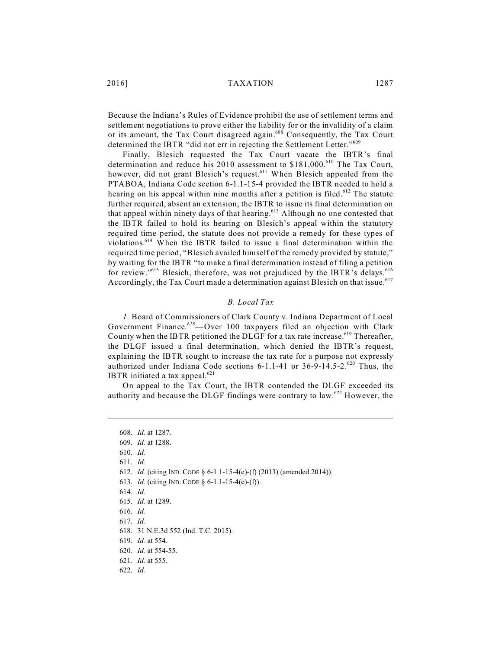2016] TAXATION 1287

Because the Indiana's Rules of Evidence prohibit the use of settlement terms and settlement negotiations to prove either the liability for or the invalidity of a claim or its amount, the Tax Court disagreed again.<sup>608</sup> Consequently, the Tax Court determined the IBTR "did not err in rejecting the Settlement Letter."<sup>609</sup>

Finally, Blesich requested the Tax Court vacate the IBTR's final determination and reduce his 2010 assessment to \$181,000.<sup>610</sup> The Tax Court, however, did not grant Blesich's request.<sup>611</sup> When Blesich appealed from the PTABOA, Indiana Code section 6-1.1-15-4 provided the IBTR needed to hold a hearing on his appeal within nine months after a petition is filed.<sup>612</sup> The statute further required, absent an extension, the IBTR to issue its final determination on that appeal within ninety days of that hearing.<sup>613</sup> Although no one contested that the IBTR failed to hold its hearing on Blesich's appeal within the statutory required time period, the statute does not provide a remedy for these types of violations.<sup>614</sup> When the IBTR failed to issue a final determination within the required time period, "Blesich availed himself of the remedy provided by statute," by waiting for the IBTR "to make a final determination instead of filing a petition for review."<sup>615</sup> Blesich, therefore, was not prejudiced by the IBTR's delays.<sup>616</sup> Accordingly, the Tax Court made a determination against Blesich on that issue.<sup>617</sup>

## *B. Local Tax*

*1.* Board of Commissioners of Clark County v. Indiana Department of Local Government Finance.<sup>618</sup>—Over 100 taxpayers filed an objection with Clark County when the IBTR petitioned the DLGF for a tax rate increase.<sup>619</sup> Thereafter, the DLGF issued a final determination, which denied the IBTR's request, explaining the IBTR sought to increase the tax rate for a purpose not expressly authorized under Indiana Code sections  $6-1.1-41$  or  $36-9-14.5-2.$ <sup>620</sup> Thus, the IBTR initiated a tax appeal. $621$ 

On appeal to the Tax Court, the IBTR contended the DLGF exceeded its authority and because the DLGF findings were contrary to law.  $622$  However, the

<sup>608.</sup> *Id.* at 1287. 609. *Id.* at 1288. 610. *Id.* 611. *Id.* 612. *Id.* (citing IND. CODE § 6-1.1-15-4(e)-(f) (2013) (amended 2014)). 613. *Id.* (citing IND. CODE § 6-1.1-15-4(e)-(f)). 614. *Id.* 615. *Id.* at 1289. 616. *Id.* 617. *Id.* 618. 31 N.E.3d 552 (Ind. T.C. 2015). 619. *Id.* at 554. 620. *Id.* at 554-55. 621. *Id.* at 555. 622. *Id.*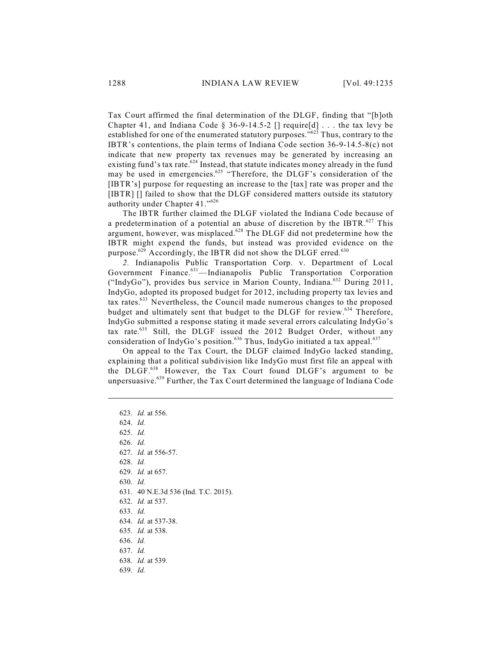Tax Court affirmed the final determination of the DLGF, finding that "[b]oth Chapter 41, and Indiana Code § 36-9-14.5-2  $\lceil \cdot \rceil$  require [d] ... the tax levy be established for one of the enumerated statutory purposes."<sup>623</sup> Thus, contrary to the IBTR's contentions, the plain terms of Indiana Code section 36-9-14.5-8(c) not indicate that new property tax revenues may be generated by increasing an existing fund's tax rate.<sup>624</sup> Instead, that statute indicates money already in the fund may be used in emergencies.<sup>625</sup> "Therefore, the DLGF's consideration of the [IBTR's] purpose for requesting an increase to the [tax] rate was proper and the [IBTR] [] failed to show that the DLGF considered matters outside its statutory authority under Chapter 41."<sup>626</sup>

The IBTR further claimed the DLGF violated the Indiana Code because of a predetermination of a potential an abuse of discretion by the IBTR. $^{627}$  This argument, however, was misplaced.<sup>628</sup> The DLGF did not predetermine how the IBTR might expend the funds, but instead was provided evidence on the purpose.<sup>629</sup> Accordingly, the IBTR did not show the DLGF erred.<sup>630</sup>

*2.* Indianapolis Public Transportation Corp. v. Department of Local Government Finance.<sup>631</sup>—Indianapolis Public Transportation Corporation ("IndyGo"), provides bus service in Marion County, Indiana.<sup>632</sup> During 2011, IndyGo, adopted its proposed budget for 2012, including property tax levies and tax rates.<sup>633</sup> Nevertheless, the Council made numerous changes to the proposed budget and ultimately sent that budget to the DLGF for review.<sup>634</sup> Therefore, IndyGo submitted a response stating it made several errors calculating IndyGo's tax rate. $635$  Still, the DLGF issued the 2012 Budget Order, without any consideration of IndyGo's position.<sup>636</sup> Thus, IndyGo initiated a tax appeal.<sup>637</sup>

On appeal to the Tax Court, the DLGF claimed IndyGo lacked standing, explaining that a political subdivision like IndyGo must first file an appeal with the DLGF.<sup>638</sup> However, the Tax Court found DLGF's argument to be unpersuasive.<sup>639</sup> Further, the Tax Court determined the language of Indiana Code

623. *Id.* at 556. 624. *Id.* 625. *Id.* 626. *Id.* 627. *Id.* at 556-57. 628. *Id.* 629. *Id.* at 657. 630. *Id.* 631. 40 N.E.3d 536 (Ind. T.C. 2015). 632. *Id.* at 537. 633. *Id.* 634. *Id.* at 537-38. 635. *Id.* at 538. 636. *Id.* 637. *Id.* 638. *Id.* at 539. 639. *Id.*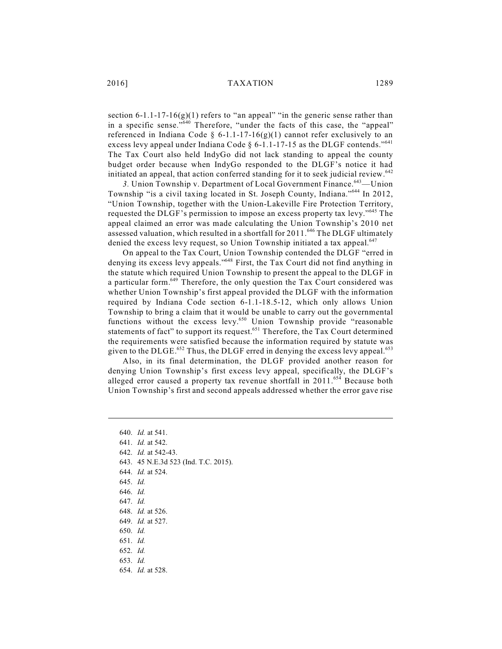section  $6-1.1-17-16(g)(1)$  refers to "an appeal" "in the generic sense rather than in a specific sense." Therefore, "under the facts of this case, the "appeal" referenced in Indiana Code § 6-1.1-17-16(g)(1) cannot refer exclusively to an excess levy appeal under Indiana Code  $\S$  6-1.1-17-15 as the DLGF contends."<sup>641</sup> The Tax Court also held IndyGo did not lack standing to appeal the county budget order because when IndyGo responded to the DLGF's notice it had initiated an appeal, that action conferred standing for it to seek judicial review.<sup>642</sup>

3. Union Township v. Department of Local Government Finance.<sup>643</sup>—Union Township "is a civil taxing located in St. Joseph County, Indiana."<sup>644</sup> In 2012, "Union Township, together with the Union-Lakeville Fire Protection Territory, requested the DLGF's permission to impose an excess property tax levy."<sup>645</sup> The appeal claimed an error was made calculating the Union Township's 2010 net assessed valuation, which resulted in a shortfall for 2011. $^{646}$  The DLGF ultimately denied the excess levy request, so Union Township initiated a tax appeal.<sup>647</sup>

On appeal to the Tax Court, Union Township contended the DLGF "erred in denying its excess levy appeals."<sup>648</sup> First, the Tax Court did not find anything in the statute which required Union Township to present the appeal to the DLGF in a particular form.<sup>649</sup> Therefore, the only question the Tax Court considered was whether Union Township's first appeal provided the DLGF with the information required by Indiana Code section 6-1.1-18.5-12, which only allows Union Township to bring a claim that it would be unable to carry out the governmental functions without the excess levy.<sup>650</sup> Union Township provide "reasonable statements of fact" to support its request.<sup>651</sup> Therefore, the Tax Court determined the requirements were satisfied because the information required by statute was given to the DLGE.<sup>652</sup> Thus, the DLGF erred in denying the excess levy appeal.<sup>653</sup>

Also, in its final determination, the DLGF provided another reason for denying Union Township's first excess levy appeal, specifically, the DLGF's alleged error caused a property tax revenue shortfall in  $2011.^{654}$  Because both Union Township's first and second appeals addressed whether the error gave rise

640. *Id.* at 541. 641. *Id.* at 542. 642. *Id.* at 542-43. 643. 45 N.E.3d 523 (Ind. T.C. 2015). 644. *Id.* at 524. 645. *Id.* 646. *Id.* 647. *Id.* 648. *Id.* at 526. 649. *Id.* at 527. 650. *Id.* 651. *Id.* 652. *Id.* 653. *Id.* 654. *Id.* at 528.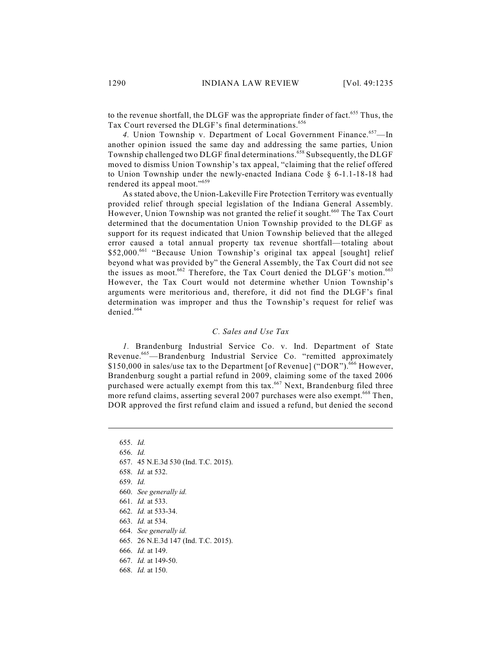to the revenue shortfall, the DLGF was the appropriate finder of fact.<sup>655</sup> Thus, the Tax Court reversed the DLGF's final determinations. 656

4. Union Township v. Department of Local Government Finance.<sup>657</sup>—In another opinion issued the same day and addressing the same parties, Union Township challenged two DLGF final determinations.<sup>658</sup> Subsequently, the DLGF moved to dismiss Union Township's tax appeal, "claiming that the relief offered to Union Township under the newly-enacted Indiana Code § 6-1.1-18-18 had rendered its appeal moot."<sup>659</sup>

As stated above, the Union-Lakeville Fire Protection Territory was eventually provided relief through special legislation of the Indiana General Assembly. However, Union Township was not granted the relief it sought.<sup>660</sup> The Tax Court determined that the documentation Union Township provided to the DLGF as support for its request indicated that Union Township believed that the alleged error caused a total annual property tax revenue shortfall—totaling about \$52,000.<sup>661</sup> "Because Union Township's original tax appeal [sought] relief beyond what was provided by" the General Assembly, the Tax Court did not see the issues as moot.<sup>662</sup> Therefore, the Tax Court denied the DLGF's motion.<sup>663</sup> However, the Tax Court would not determine whether Union Township's arguments were meritorious and, therefore, it did not find the DLGF's final determination was improper and thus the Township's request for relief was denied. 664

#### *C. Sales and Use Tax*

*1.* Brandenburg Industrial Service Co. v. Ind. Department of State Revenue.<sup>665</sup>—Brandenburg Industrial Service Co. "remitted approximately \$150,000 in sales/use tax to the Department [of Revenue] ("DOR").<sup>666</sup> However, Brandenburg sought a partial refund in 2009, claiming some of the taxed 2006 purchased were actually exempt from this tax.<sup>667</sup> Next, Brandenburg filed three more refund claims, asserting several 2007 purchases were also exempt.<sup>668</sup> Then, DOR approved the first refund claim and issued a refund, but denied the second

657. 45 N.E.3d 530 (Ind. T.C. 2015).

- 660. *See generally id.*
- 661. *Id.* at 533.
- 662. *Id.* at 533-34.
- 663. *Id.* at 534.
- 664. *See generally id.*
- 665. 26 N.E.3d 147 (Ind. T.C. 2015).
- 666. *Id.* at 149.
- 667. *Id.* at 149-50.
- 668. *Id.* at 150.

<sup>655.</sup> *Id.*

<sup>656.</sup> *Id.*

<sup>658.</sup> *Id.* at 532.

<sup>659.</sup> *Id.*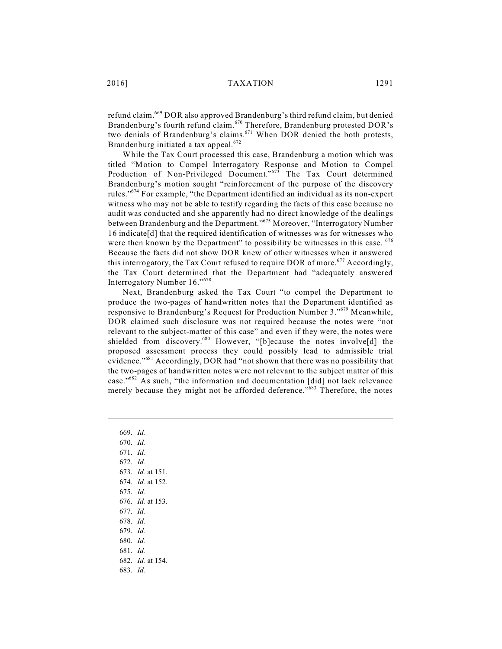refund claim.<sup>669</sup> DOR also approved Brandenburg's third refund claim, but denied Brandenburg's fourth refund claim. <sup>670</sup> Therefore, Brandenburg protested DOR's two denials of Brandenburg's claims.<sup>671</sup> When DOR denied the both protests, Brandenburg initiated a tax appeal.<sup>672</sup>

While the Tax Court processed this case, Brandenburg a motion which was titled "Motion to Compel Interrogatory Response and Motion to Compel Production of Non-Privileged Document."<sup>673</sup> The Tax Court determined Brandenburg's motion sought "reinforcement of the purpose of the discovery rules."<sup>674</sup> For example, "the Department identified an individual as its non-expert witness who may not be able to testify regarding the facts of this case because no audit was conducted and she apparently had no direct knowledge of the dealings between Brandenburg and the Department."<sup>675</sup> Moreover, "Interrogatory Number 16 indicate[d] that the required identification of witnesses was for witnesses who were then known by the Department" to possibility be witnesses in this case. <sup>676</sup> Because the facts did not show DOR knew of other witnesses when it answered this interrogatory, the Tax Court refused to require DOR of more.<sup>677</sup> Accordingly, the Tax Court determined that the Department had "adequately answered Interrogatory Number 16." 678

Next, Brandenburg asked the Tax Court "to compel the Department to produce the two-pages of handwritten notes that the Department identified as responsive to Brandenburg's Request for Production Number 3."<sup>679</sup> Meanwhile, DOR claimed such disclosure was not required because the notes were "not relevant to the subject-matter of this case" and even if they were, the notes were shielded from discovery.<sup>680</sup> However, "[b]ecause the notes involve[d] the proposed assessment process they could possibly lead to admissible trial evidence."<sup>681</sup> Accordingly, DOR had "not shown that there was no possibility that the two-pages of handwritten notes were not relevant to the subject matter of this case."<sup>682</sup> As such, "the information and documentation [did] not lack relevance merely because they might not be afforded deference."<sup>683</sup> Therefore, the notes

669. *Id.* 670. *Id.* 671. *Id.* 672. *Id.* 673. *Id.* at 151. 674. *Id.* at 152. 675. *Id.* 676. *Id.* at 153. 677. *Id.* 678. *Id.* 679. *Id.* 680. *Id.* 681. *Id.* 682. *Id.* at 154. 683. *Id.*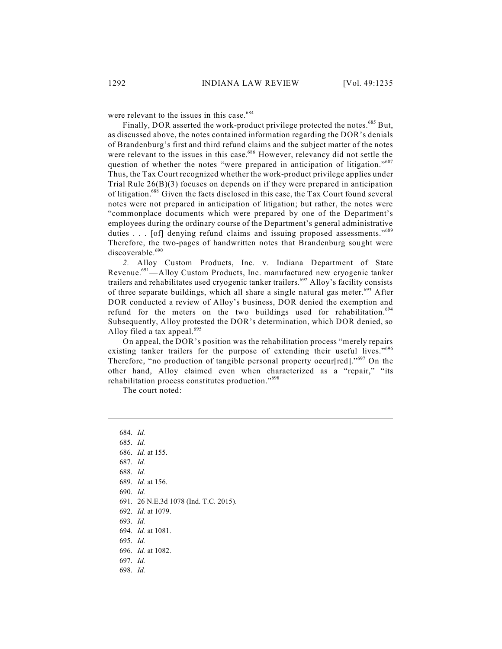were relevant to the issues in this case.<sup>684</sup>

Finally, DOR asserted the work-product privilege protected the notes.<sup>685</sup> But, as discussed above, the notes contained information regarding the DOR's denials of Brandenburg's first and third refund claims and the subject matter of the notes were relevant to the issues in this case.<sup>686</sup> However, relevancy did not settle the question of whether the notes "were prepared in anticipation of litigation."<sup>687</sup> Thus, the Tax Court recognized whether the work-product privilege applies under Trial Rule 26(B)(3) focuses on depends on if they were prepared in anticipation of litigation.<sup>688</sup> Given the facts disclosed in this case, the Tax Court found several notes were not prepared in anticipation of litigation; but rather, the notes were "commonplace documents which were prepared by one of the Department's employees during the ordinary course of the Department's general administrative duties . . . [of] denying refund claims and issuing proposed assessments."<sup>689</sup> Therefore, the two-pages of handwritten notes that Brandenburg sought were discoverable.<sup>690</sup>

*2.* Alloy Custom Products, Inc. v. Indiana Department of State Revenue.<sup>691</sup>—Alloy Custom Products, Inc. manufactured new cryogenic tanker trailers and rehabilitates used cryogenic tanker trailers.<sup>692</sup> Alloy's facility consists of three separate buildings, which all share a single natural gas meter.<sup>693</sup> After DOR conducted a review of Alloy's business, DOR denied the exemption and refund for the meters on the two buildings used for rehabilitation.<sup>694</sup> Subsequently, Alloy protested the DOR's determination, which DOR denied, so Alloy filed a tax appeal.<sup>695</sup>

On appeal, the DOR's position was the rehabilitation process "merely repairs existing tanker trailers for the purpose of extending their useful lives."<sup>696</sup> Therefore, "no production of tangible personal property occur[red]."<sup>697</sup> On the other hand, Alloy claimed even when characterized as a "repair," "its rehabilitation process constitutes production."<sup>698</sup>

The court noted:

684. *Id.* 685. *Id.* 686. *Id.* at 155. 687. *Id.* 688. *Id.* 689. *Id.* at 156. 690. *Id.* 691. 26 N.E.3d 1078 (Ind. T.C. 2015). 692. *Id.* at 1079. 693. *Id.* 694. *Id.* at 1081. 695. *Id.* 696. *Id.* at 1082. 697. *Id.* 698. *Id.*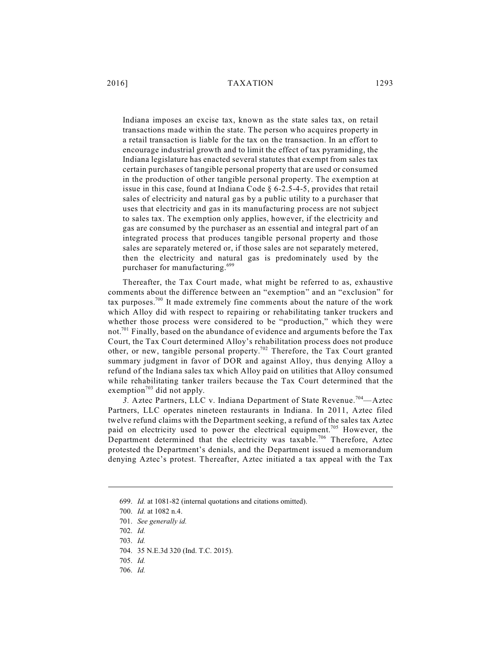## 2016] TAXATION 1293

Indiana imposes an excise tax, known as the state sales tax, on retail transactions made within the state. The person who acquires property in a retail transaction is liable for the tax on the transaction. In an effort to encourage industrial growth and to limit the effect of tax pyramiding, the Indiana legislature has enacted several statutes that exempt from sales tax certain purchases of tangible personal property that are used or consumed in the production of other tangible personal property. The exemption at issue in this case, found at Indiana Code § 6-2.5-4-5, provides that retail sales of electricity and natural gas by a public utility to a purchaser that uses that electricity and gas in its manufacturing process are not subject to sales tax. The exemption only applies, however, if the electricity and gas are consumed by the purchaser as an essential and integral part of an integrated process that produces tangible personal property and those sales are separately metered or, if those sales are not separately metered, then the electricity and natural gas is predominately used by the purchaser for manufacturing.<sup>699</sup>

Thereafter, the Tax Court made, what might be referred to as, exhaustive comments about the difference between an "exemption" and an "exclusion" for tax purposes.<sup>700</sup> It made extremely fine comments about the nature of the work which Alloy did with respect to repairing or rehabilitating tanker truckers and whether those process were considered to be "production," which they were not.<sup>701</sup> Finally, based on the abundance of evidence and arguments before the Tax Court, the Tax Court determined Alloy's rehabilitation process does not produce other, or new, tangible personal property.<sup>702</sup> Therefore, the Tax Court granted summary judgment in favor of DOR and against Alloy, thus denying Alloy a refund of the Indiana sales tax which Alloy paid on utilities that Alloy consumed while rehabilitating tanker trailers because the Tax Court determined that the exemption<sup>703</sup> did not apply.

3. Aztec Partners, LLC v. Indiana Department of State Revenue.<sup>704</sup>—Aztec Partners, LLC operates nineteen restaurants in Indiana. In 2011, Aztec filed twelve refund claims with the Department seeking, a refund of the sales tax Aztec paid on electricity used to power the electrical equipment.<sup>705</sup> However, the Department determined that the electricity was taxable.<sup>706</sup> Therefore, Aztec protested the Department's denials, and the Department issued a memorandum denying Aztec's protest. Thereafter, Aztec initiated a tax appeal with the Tax

<sup>699.</sup> *Id.* at 1081-82 (internal quotations and citations omitted).

<sup>700.</sup> *Id.* at 1082 n.4.

<sup>701.</sup> *See generally id.*

<sup>702.</sup> *Id.*

<sup>703.</sup> *Id.*

<sup>704.</sup> 35 N.E.3d 320 (Ind. T.C. 2015).

<sup>705.</sup> *Id.*

<sup>706.</sup> *Id.*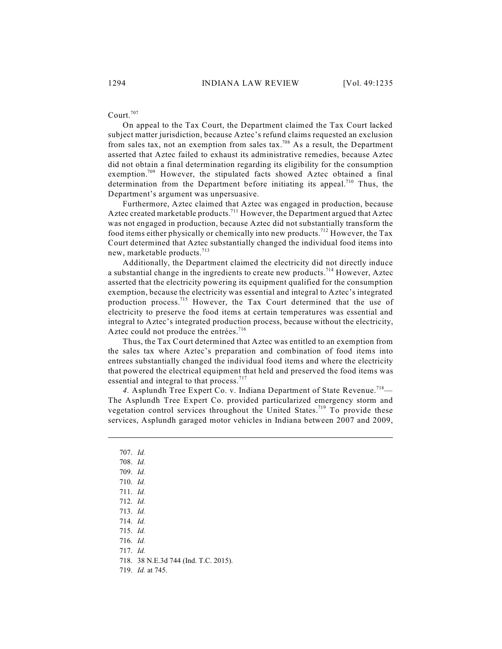# Court. 707

On appeal to the Tax Court, the Department claimed the Tax Court lacked subject matter jurisdiction, because Aztec's refund claims requested an exclusion from sales tax, not an exemption from sales tax.<sup>708</sup> As a result, the Department asserted that Aztec failed to exhaust its administrative remedies, because Aztec did not obtain a final determination regarding its eligibility for the consumption exemption.<sup>709</sup> However, the stipulated facts showed Aztec obtained a final determination from the Department before initiating its appeal.<sup>710</sup> Thus, the Department's argument was unpersuasive.

Furthermore, Aztec claimed that Aztec was engaged in production, because Aztec created marketable products.<sup>711</sup> However, the Department argued that Aztec was not engaged in production, because Aztec did not substantially transform the food items either physically or chemically into new products.<sup>712</sup> However, the Tax Court determined that Aztec substantially changed the individual food items into new, marketable products.<sup>713</sup>

Additionally, the Department claimed the electricity did not directly induce a substantial change in the ingredients to create new products.<sup>714</sup> However, Aztec asserted that the electricity powering its equipment qualified for the consumption exemption, because the electricity was essential and integral to Aztec's integrated production process.<sup>715</sup> However, the Tax Court determined that the use of electricity to preserve the food items at certain temperatures was essential and integral to Aztec's integrated production process, because without the electricity, Aztec could not produce the entrées.<sup>716</sup>

Thus, the Tax Court determined that Aztec was entitled to an exemption from the sales tax where Aztec's preparation and combination of food items into entrees substantially changed the individual food items and where the electricity that powered the electrical equipment that held and preserved the food items was essential and integral to that process.<sup>717</sup>

4. Asplundh Tree Expert Co. v. Indiana Department of State Revenue.<sup>718</sup>— The Asplundh Tree Expert Co. provided particularized emergency storm and vegetation control services throughout the United States.<sup>719</sup> To provide these services, Asplundh garaged motor vehicles in Indiana between 2007 and 2009,

- 707. *Id.*
- 708. *Id.*
- 709. *Id.*
- 710. *Id.*
- 711. *Id.*
- 712. *Id.*
- 713. *Id.*
- 714. *Id.*
- 715. *Id.*
- 716. *Id.*
- 717. *Id.*
- 718. 38 N.E.3d 744 (Ind. T.C. 2015).
- 719. *Id.* at 745.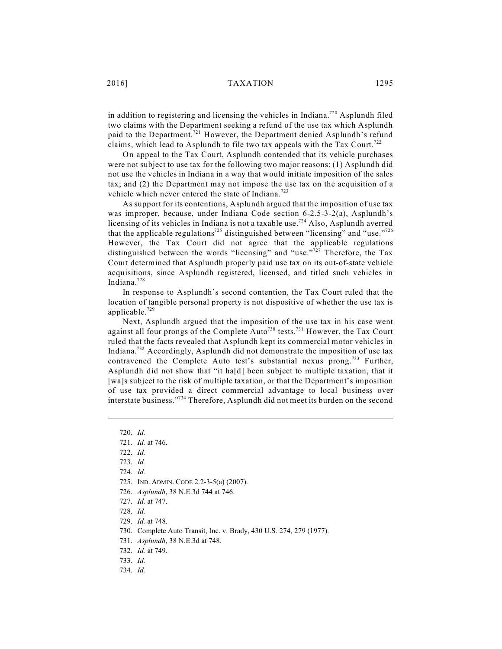in addition to registering and licensing the vehicles in Indiana.<sup>720</sup> Asplundh filed two claims with the Department seeking a refund of the use tax which Asplundh paid to the Department.<sup>721</sup> However, the Department denied Asplundh's refund claims, which lead to Asplundh to file two tax appeals with the Tax Court.<sup>722</sup>

On appeal to the Tax Court, Asplundh contended that its vehicle purchases were not subject to use tax for the following two major reasons: (1) Asplundh did not use the vehicles in Indiana in a way that would initiate imposition of the sales tax; and (2) the Department may not impose the use tax on the acquisition of a vehicle which never entered the state of Indiana.<sup>723</sup>

As support for its contentions, Asplundh argued that the imposition of use tax was improper, because, under Indiana Code section 6-2.5-3-2(a), Asplundh's licensing of its vehicles in Indiana is not a taxable use.<sup>724</sup> Also, Asplundh averred that the applicable regulations<sup>725</sup> distinguished between "licensing" and "use."<sup>726</sup> However, the Tax Court did not agree that the applicable regulations distinguished between the words "licensing" and "use."<sup>727</sup> Therefore, the Tax Court determined that Asplundh properly paid use tax on its out-of-state vehicle acquisitions, since Asplundh registered, licensed, and titled such vehicles in Indiana. 728

In response to Asplundh's second contention, the Tax Court ruled that the location of tangible personal property is not dispositive of whether the use tax is applicable. 729

Next, Asplundh argued that the imposition of the use tax in his case went against all four prongs of the Complete Auto<sup>730</sup> tests.<sup>731</sup> However, the Tax Court ruled that the facts revealed that Asplundh kept its commercial motor vehicles in Indiana.<sup>732</sup> Accordingly, Asplundh did not demonstrate the imposition of use tax contravened the Complete Auto test's substantial nexus prong.<sup>733</sup> Further, Asplundh did not show that "it ha[d] been subject to multiple taxation, that it [wa]s subject to the risk of multiple taxation, or that the Department's imposition of use tax provided a direct commercial advantage to local business over interstate business."<sup>734</sup> Therefore, Asplundh did not meet its burden on the second

<sup>720.</sup> *Id.*

<sup>721.</sup> *Id.* at 746.

<sup>722.</sup> *Id.*

<sup>723.</sup> *Id.* 

<sup>724.</sup> *Id.*

<sup>725.</sup> IND. ADMIN. CODE 2.2-3-5(a) (2007).

<sup>726.</sup> *Asplundh*, 38 N.E.3d 744 at 746.

<sup>727.</sup> *Id.* at 747.

<sup>728.</sup> *Id.*

<sup>729.</sup> *Id.* at 748.

<sup>730.</sup> Complete Auto Transit, Inc. v. Brady, 430 U.S. 274, 279 (1977).

<sup>731.</sup> *Asplundh*, 38 N.E.3d at 748.

<sup>732.</sup> *Id.* at 749.

<sup>733.</sup> *Id.*

<sup>734.</sup> *Id.*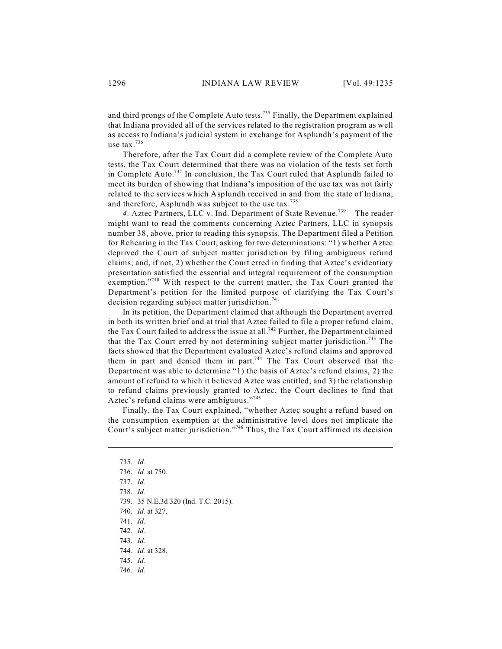and third prongs of the Complete Auto tests.<sup>735</sup> Finally, the Department explained that Indiana provided all of the services related to the registration program as well as access to Indiana's judicial system in exchange for Asplundh's payment of the use tax. 736

Therefore, after the Tax Court did a complete review of the Complete Auto tests, the Tax Court determined that there was no violation of the tests set forth in Complete Auto.<sup>737</sup> In conclusion, the Tax Court ruled that Asplundh failed to meet its burden of showing that Indiana's imposition of the use tax was not fairly related to the services which Asplundh received in and from the state of Indiana; and therefore, Asplundh was subject to the use tax.<sup>738</sup>

4. Aztec Partners, LLC v. Ind. Department of State Revenue.<sup>739</sup>—The reader might want to read the comments concerning Aztec Partners, LLC in synopsis number 38, above, prior to reading this synopsis. The Department filed a Petition for Rehearing in the Tax Court, asking for two determinations: "1) whether Aztec deprived the Court of subject matter jurisdiction by filing ambiguous refund claims; and, if not, 2) whether the Court erred in finding that Aztec's evidentiary presentation satisfied the essential and integral requirement of the consumption exemption."<sup>740</sup> With respect to the current matter, the Tax Court granted the Department's petition for the limited purpose of clarifying the Tax Court's decision regarding subject matter jurisdiction.<sup>741</sup>

In its petition, the Department claimed that although the Department averred in both its written brief and at trial that Aztec failed to file a proper refund claim, the Tax Court failed to address the issue at all.<sup>742</sup> Further, the Department claimed that the Tax Court erred by not determining subject matter jurisdiction.<sup>743</sup> The facts showed that the Department evaluated Aztec's refund claims and approved them in part and denied them in part.<sup>744</sup> The Tax Court observed that the Department was able to determine "1) the basis of Aztec's refund claims, 2) the amount of refund to which it believed Aztec was entitled, and 3) the relationship to refund claims previously granted to Aztec, the Court declines to find that Aztec's refund claims were ambiguous."<sup>745</sup>

Finally, the Tax Court explained, "whether Aztec sought a refund based on the consumption exemption at the administrative level does not implicate the Court's subject matter jurisdiction."<sup>746</sup> Thus, the Tax Court affirmed its decision

- 738. *Id.*
- 739. 35 N.E.3d 320 (Ind. T.C. 2015).
- 740. *Id.* at 327.
- 741. *Id.*
- 742. *Id.*
- 743. *Id.*
- 744. *Id.* at 328.
- 745. *Id.*
- 746. *Id.*

<sup>735.</sup> *Id.*

<sup>736.</sup> *Id.* at 750.

<sup>737.</sup> *Id.*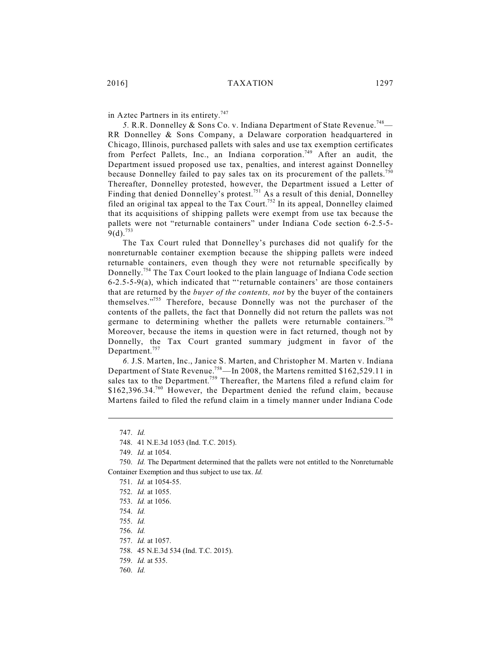in Aztec Partners in its entirety.<sup>747</sup>

5. R.R. Donnelley & Sons Co. v. Indiana Department of State Revenue.<sup>748</sup>— RR Donnelley & Sons Company, a Delaware corporation headquartered in Chicago, Illinois, purchased pallets with sales and use tax exemption certificates from Perfect Pallets, Inc., an Indiana corporation.<sup>749</sup> After an audit, the Department issued proposed use tax, penalties, and interest against Donnelley because Donnelley failed to pay sales tax on its procurement of the pallets.<sup>750</sup> Thereafter, Donnelley protested, however, the Department issued a Letter of Finding that denied Donnelley's protest.<sup>751</sup> As a result of this denial, Donnelley filed an original tax appeal to the Tax Court.<sup>752</sup> In its appeal, Donnelley claimed that its acquisitions of shipping pallets were exempt from use tax because the pallets were not "returnable containers" under Indiana Code section 6-2.5-5-  $9(d).^{753}$ 

The Tax Court ruled that Donnelley's purchases did not qualify for the nonreturnable container exemption because the shipping pallets were indeed returnable containers, even though they were not returnable specifically by Donnelly.<sup>754</sup> The Tax Court looked to the plain language of Indiana Code section 6-2.5-5-9(a), which indicated that "'returnable containers' are those containers that are returned by the *buyer of the contents, not* by the buyer of the containers themselves."<sup>755</sup> Therefore, because Donnelly was not the purchaser of the contents of the pallets, the fact that Donnelly did not return the pallets was not germane to determining whether the pallets were returnable containers.<sup>756</sup> Moreover, because the items in question were in fact returned, though not by Donnelly, the Tax Court granted summary judgment in favor of the Department.<sup>757</sup>

*6.* J.S. Marten, Inc., Janice S. Marten, and Christopher M. Marten v. Indiana Department of State Revenue.<sup>758</sup>—In 2008, the Martens remitted \$162,529.11 in sales tax to the Department.<sup>759</sup> Thereafter, the Martens filed a refund claim for  $$162,396.34.<sup>760</sup>$  However, the Department denied the refund claim, because Martens failed to filed the refund claim in a timely manner under Indiana Code

749. *Id.* at 1054.

<sup>747.</sup> *Id.*

<sup>748.</sup> 41 N.E.3d 1053 (Ind. T.C. 2015).

<sup>750.</sup> *Id.* The Department determined that the pallets were not entitled to the Nonreturnable Container Exemption and thus subject to use tax. *Id.*

<sup>751.</sup> *Id.* at 1054-55.

<sup>752.</sup> *Id.* at 1055.

<sup>753.</sup> *Id.* at 1056.

<sup>754.</sup> *Id.*

<sup>755.</sup> *Id.*

<sup>756.</sup> *Id.*

<sup>757.</sup> *Id.* at 1057.

<sup>758.</sup> 45 N.E.3d 534 (Ind. T.C. 2015).

<sup>759.</sup> *Id.* at 535.

<sup>760.</sup> *Id.*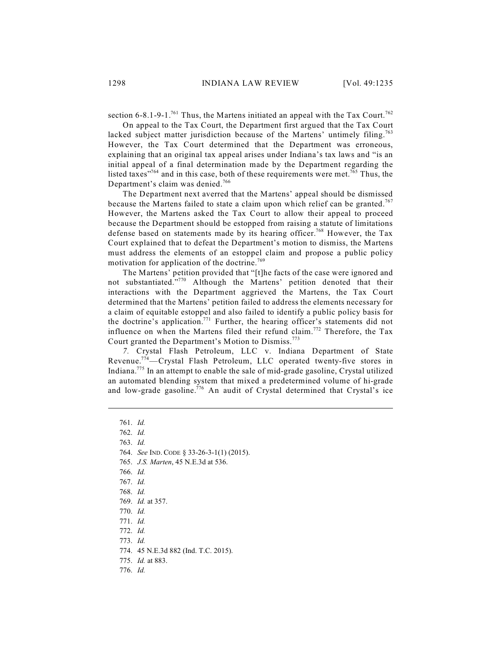section 6-8.1-9-1.<sup>761</sup> Thus, the Martens initiated an appeal with the Tax Court.<sup>762</sup>

On appeal to the Tax Court, the Department first argued that the Tax Court lacked subject matter jurisdiction because of the Martens' untimely filing.<sup>763</sup> However, the Tax Court determined that the Department was erroneous, explaining that an original tax appeal arises under Indiana's tax laws and "is an initial appeal of a final determination made by the Department regarding the listed taxes"<sup>764</sup> and in this case, both of these requirements were met.<sup>765</sup> Thus, the Department's claim was denied.<sup>766</sup>

The Department next averred that the Martens' appeal should be dismissed because the Martens failed to state a claim upon which relief can be granted.<sup>767</sup> However, the Martens asked the Tax Court to allow their appeal to proceed because the Department should be estopped from raising a statute of limitations defense based on statements made by its hearing officer.<sup>768</sup> However, the Tax Court explained that to defeat the Department's motion to dismiss, the Martens must address the elements of an estoppel claim and propose a public policy motivation for application of the doctrine.<sup>769</sup>

The Martens' petition provided that "[t]he facts of the case were ignored and not substantiated."<sup>770</sup> Although the Martens' petition denoted that their interactions with the Department aggrieved the Martens, the Tax Court determined that the Martens' petition failed to address the elements necessary for a claim of equitable estoppel and also failed to identify a public policy basis for the doctrine's application.<sup>771</sup> Further, the hearing officer's statements did not influence on when the Martens filed their refund claim.<sup>772</sup> Therefore, the Tax Court granted the Department's Motion to Dismiss.<sup>773</sup>

*7.* Crystal Flash Petroleum, LLC v. Indiana Department of State Revenue.<sup>774</sup>—Crystal Flash Petroleum, LLC operated twenty-five stores in Indiana.<sup>775</sup> In an attempt to enable the sale of mid-grade gasoline, Crystal utilized an automated blending system that mixed a predetermined volume of hi-grade and low-grade gasoline.<sup>776</sup> An audit of Crystal determined that Crystal's ice

763. *Id.*

- 772. *Id.*
- 773. *Id.*
- 774. 45 N.E.3d 882 (Ind. T.C. 2015).
- 775. *Id.* at 883.
- 776. *Id.*

<sup>761.</sup> *Id.*

<sup>762.</sup> *Id.*

<sup>764.</sup> *See* IND. CODE § 33-26-3-1(1) (2015).

<sup>765.</sup> *J.S. Marten*, 45 N.E.3d at 536.

<sup>766.</sup> *Id.*

<sup>767.</sup> *Id.*

<sup>769.</sup> *Id.* at 357.

<sup>770.</sup> *Id.*

<sup>771.</sup> *Id.*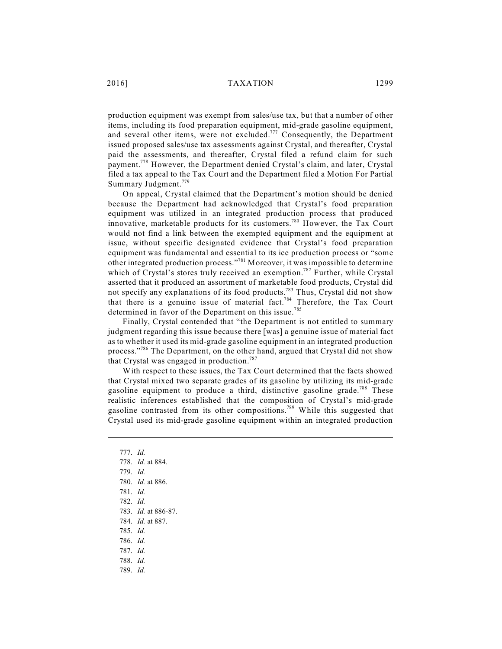production equipment was exempt from sales/use tax, but that a number of other items, including its food preparation equipment, mid-grade gasoline equipment, and several other items, were not excluded.<sup>777</sup> Consequently, the Department issued proposed sales/use tax assessments against Crystal, and thereafter, Crystal paid the assessments, and thereafter, Crystal filed a refund claim for such payment.<sup>778</sup> However, the Department denied Crystal's claim, and later, Crystal filed a tax appeal to the Tax Court and the Department filed a Motion For Partial Summary Judgment.<sup>779</sup>

On appeal, Crystal claimed that the Department's motion should be denied because the Department had acknowledged that Crystal's food preparation equipment was utilized in an integrated production process that produced innovative, marketable products for its customers.<sup>780</sup> However, the Tax Court would not find a link between the exempted equipment and the equipment at issue, without specific designated evidence that Crystal's food preparation equipment was fundamental and essential to its ice production process or "some other integrated production process."<sup>781</sup> Moreover, it was impossible to determine which of Crystal's stores truly received an exemption.<sup>782</sup> Further, while Crystal asserted that it produced an assortment of marketable food products, Crystal did not specify any explanations of its food products.<sup>783</sup> Thus, Crystal did not show that there is a genuine issue of material fact.<sup>784</sup> Therefore, the Tax Court determined in favor of the Department on this issue.<sup>785</sup>

Finally, Crystal contended that "the Department is not entitled to summary judgment regarding this issue because there [was] a genuine issue of material fact as to whether it used its mid-grade gasoline equipment in an integrated production process."<sup>786</sup> The Department, on the other hand, argued that Crystal did not show that Crystal was engaged in production.<sup>787</sup>

With respect to these issues, the Tax Court determined that the facts showed that Crystal mixed two separate grades of its gasoline by utilizing its mid-grade gasoline equipment to produce a third, distinctive gasoline grade.<sup>788</sup> These realistic inferences established that the composition of Crystal's mid-grade gasoline contrasted from its other compositions.<sup>789</sup> While this suggested that Crystal used its mid-grade gasoline equipment within an integrated production

- 777. *Id.*
- 778. *Id.* at 884.
- 779. *Id.*
- 780. *Id.* at 886.
- 781. *Id.*
- 782. *Id.*
- 783. *Id.* at 886-87.
- 784. *Id.* at 887.
- 785. *Id.*
- 786. *Id.*
- 787. *Id.*
- 788. *Id.*
- 789. *Id.*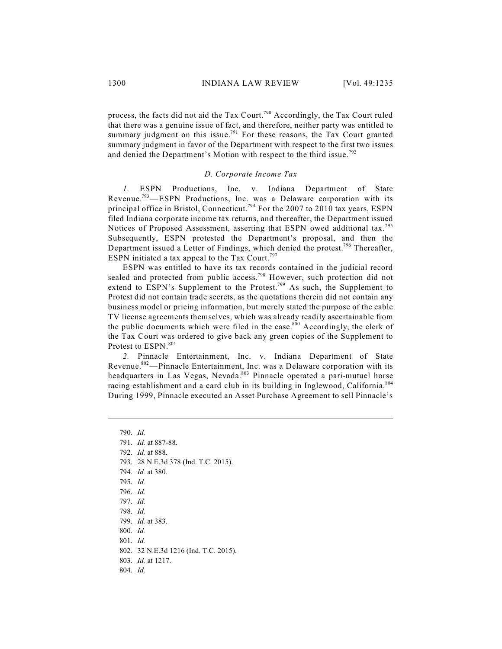process, the facts did not aid the Tax Court.<sup>790</sup> Accordingly, the Tax Court ruled that there was a genuine issue of fact, and therefore, neither party was entitled to summary judgment on this issue.<sup>791</sup> For these reasons, the Tax Court granted summary judgment in favor of the Department with respect to the first two issues and denied the Department's Motion with respect to the third issue.<sup>792</sup>

#### *D. Corporate Income Tax*

*1.* ESPN Productions, Inc. v. Indiana Department of State Revenue.<sup>793</sup>—ESPN Productions, Inc. was a Delaware corporation with its principal office in Bristol, Connecticut.<sup>794</sup> For the 2007 to 2010 tax years, ESPN filed Indiana corporate income tax returns, and thereafter, the Department issued Notices of Proposed Assessment, asserting that ESPN owed additional tax.<sup>795</sup> Subsequently, ESPN protested the Department's proposal, and then the Department issued a Letter of Findings, which denied the protest.<sup>796</sup> Thereafter, ESPN initiated a tax appeal to the Tax Court.<sup>797</sup>

ESPN was entitled to have its tax records contained in the judicial record sealed and protected from public access.<sup>798</sup> However, such protection did not extend to ESPN's Supplement to the Protest.<sup>799</sup> As such, the Supplement to Protest did not contain trade secrets, as the quotations therein did not contain any business model or pricing information, but merely stated the purpose of the cable TV license agreements themselves, which was already readily ascertainable from the public documents which were filed in the case. $800$  Accordingly, the clerk of the Tax Court was ordered to give back any green copies of the Supplement to Protest to ESPN.<sup>801</sup>

*2.* Pinnacle Entertainment, Inc. v. Indiana Department of State Revenue.<sup>802</sup>—Pinnacle Entertainment, Inc. was a Delaware corporation with its headquarters in Las Vegas, Nevada. 803 Pinnacle operated a pari-mutuel horse racing establishment and a card club in its building in Inglewood, California.<sup>804</sup> During 1999, Pinnacle executed an Asset Purchase Agreement to sell Pinnacle's

794. *Id.* at 380.

- 797. *Id.*
- 798. *Id.*
- 799. *Id.* at 383.
- 800. *Id.*
- 801. *Id.*
- 802. 32 N.E.3d 1216 (Ind. T.C. 2015).
- 803. *Id.* at 1217.
- 804. *Id.*

<sup>790.</sup> *Id.*

<sup>791.</sup> *Id.* at 887-88.

<sup>792.</sup> *Id.* at 888.

<sup>793.</sup> 28 N.E.3d 378 (Ind. T.C. 2015).

<sup>795.</sup> *Id.*

<sup>796.</sup> *Id.*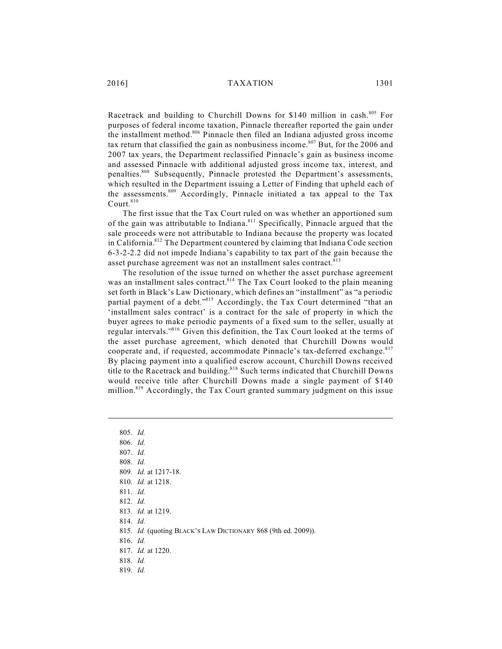Racetrack and building to Churchill Downs for \$140 million in cash.<sup>805</sup> For purposes of federal income taxation, Pinnacle thereafter reported the gain under the installment method.<sup>806</sup> Pinnacle then filed an Indiana adjusted gross income tax return that classified the gain as nonbusiness income.<sup>807</sup> But, for the 2006 and 2007 tax years, the Department reclassified Pinnacle's gain as business income and assessed Pinnacle with additional adjusted gross income tax, interest, and penalties.<sup>808</sup> Subsequently, Pinnacle protested the Department's assessments, which resulted in the Department issuing a Letter of Finding that upheld each of the assessments.<sup>809</sup> Accordingly, Pinnacle initiated a tax appeal to the Tax Court. 810

The first issue that the Tax Court ruled on was whether an apportioned sum of the gain was attributable to Indiana.<sup>811</sup> Specifically, Pinnacle argued that the sale proceeds were not attributable to Indiana because the property was located in California.<sup>812</sup> The Department countered by claiming that Indiana Code section 6-3-2-2.2 did not impede Indiana's capability to tax part of the gain because the asset purchase agreement was not an installment sales contract.<sup>813</sup>

The resolution of the issue turned on whether the asset purchase agreement was an installment sales contract.<sup>814</sup> The Tax Court looked to the plain meaning set forth in Black's Law Dictionary, which defines an "installment" as "a periodic partial payment of a debt."<sup>815</sup> Accordingly, the Tax Court determined "that an 'installment sales contract' is a contract for the sale of property in which the buyer agrees to make periodic payments of a fixed sum to the seller, usually at regular intervals."<sup>816</sup> Given this definition, the Tax Court looked at the terms of the asset purchase agreement, which denoted that Churchill Downs would cooperate and, if requested, accommodate Pinnacle's tax-deferred exchange.<sup>817</sup> By placing payment into a qualified escrow account, Churchill Downs received title to the Racetrack and building.<sup>818</sup> Such terms indicated that Churchill Downs would receive title after Churchill Downs made a single payment of \$140 million.<sup>819</sup> Accordingly, the Tax Court granted summary judgment on this issue

805. *Id.* 806. *Id.* 807. *Id.* 808. *Id.* 809. *Id.* at 1217-18. 810. *Id.* at 1218. 811. *Id.* 812. *Id.* 813. *Id.* at 1219. 814. *Id.* 815. *Id.* (quoting BLACK'S LAW DICTIONARY 868 (9th ed. 2009)). 816. *Id.* 817. *Id.* at 1220. 818. *Id.*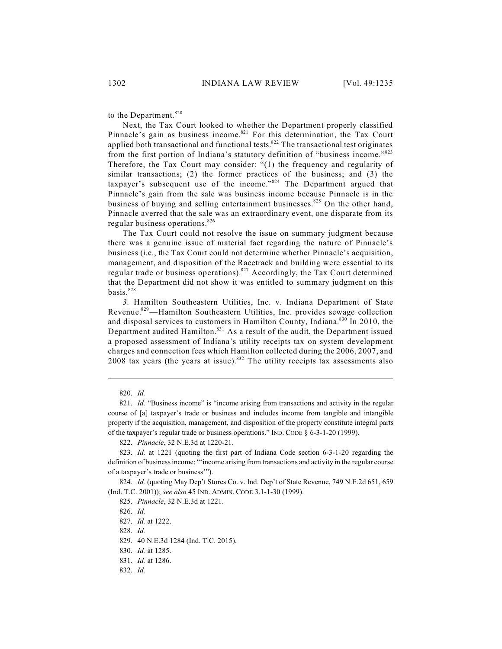to the Department.<sup>820</sup>

Next, the Tax Court looked to whether the Department properly classified Pinnacle's gain as business income.<sup>821</sup> For this determination, the Tax Court applied both transactional and functional tests. $822$  The transactional test originates from the first portion of Indiana's statutory definition of "business income."<sup>823</sup> Therefore, the Tax Court may consider: "(1) the frequency and regularity of similar transactions; (2) the former practices of the business; and (3) the taxpayer's subsequent use of the income." $824$  The Department argued that Pinnacle's gain from the sale was business income because Pinnacle is in the business of buying and selling entertainment businesses.<sup>825</sup> On the other hand, Pinnacle averred that the sale was an extraordinary event, one disparate from its regular business operations. 826

The Tax Court could not resolve the issue on summary judgment because there was a genuine issue of material fact regarding the nature of Pinnacle's business (i.e., the Tax Court could not determine whether Pinnacle's acquisition, management, and disposition of the Racetrack and building were essential to its regular trade or business operations).  $827$  Accordingly, the Tax Court determined that the Department did not show it was entitled to summary judgment on this basis. 828

*3.* Hamilton Southeastern Utilities, Inc. v. Indiana Department of State Revenue.<sup>829</sup>—Hamilton Southeastern Utilities, Inc. provides sewage collection and disposal services to customers in Hamilton County, Indiana.<sup>830</sup> In 2010, the Department audited Hamilton. $831$  As a result of the audit, the Department issued a proposed assessment of Indiana's utility receipts tax on system development charges and connection fees which Hamilton collected during the 2006, 2007, and 2008 tax years (the years at issue).  $832$  The utility receipts tax assessments also

828. *Id.*

829. 40 N.E.3d 1284 (Ind. T.C. 2015).

<sup>820.</sup> *Id.*

<sup>821.</sup> *Id.* "Business income" is "income arising from transactions and activity in the regular course of [a] taxpayer's trade or business and includes income from tangible and intangible property if the acquisition, management, and disposition of the property constitute integral parts of the taxpayer's regular trade or business operations." IND. CODE § 6-3-1-20 (1999).

<sup>822.</sup> *Pinnacle*, 32 N.E.3d at 1220-21.

<sup>823.</sup> *Id.* at 1221 (quoting the first part of Indiana Code section 6-3-1-20 regarding the definition of business income: "'income arising from transactions and activity in the regular course of a taxpayer's trade or business'").

<sup>824.</sup> *Id.* (quoting May Dep't Stores Co. v. Ind. Dep't of State Revenue, 749 N.E.2d 651, 659 (Ind. T.C. 2001)); *see also* 45 IND. ADMIN. CODE 3.1-1-30 (1999).

<sup>825.</sup> *Pinnacle*, 32 N.E.3d at 1221.

<sup>826.</sup> *Id.*

<sup>827.</sup> *Id.* at 1222.

<sup>830.</sup> *Id.* at 1285.

<sup>831.</sup> *Id.* at 1286.

<sup>832.</sup> *Id.*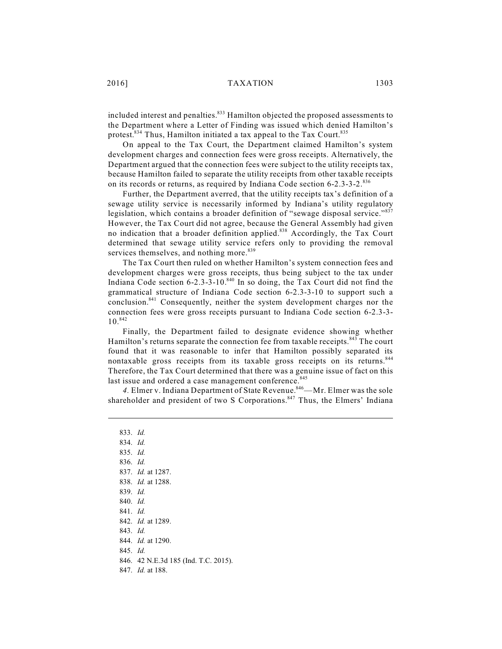included interest and penalties.<sup>833</sup> Hamilton objected the proposed assessments to the Department where a Letter of Finding was issued which denied Hamilton's protest.<sup>834</sup> Thus, Hamilton initiated a tax appeal to the Tax Court.<sup>835</sup>

On appeal to the Tax Court, the Department claimed Hamilton's system development charges and connection fees were gross receipts. Alternatively, the Department argued that the connection fees were subject to the utility receipts tax, because Hamilton failed to separate the utility receipts from other taxable receipts on its records or returns, as required by Indiana Code section 6-2.3-3-2.<sup>836</sup>

Further, the Department averred, that the utility receipts tax's definition of a sewage utility service is necessarily informed by Indiana's utility regulatory legislation, which contains a broader definition of "sewage disposal service."837 However, the Tax Court did not agree, because the General Assembly had given no indication that a broader definition applied.<sup>838</sup> Accordingly, the Tax Court determined that sewage utility service refers only to providing the removal services themselves, and nothing more.<sup>839</sup>

The Tax Court then ruled on whether Hamilton's system connection fees and development charges were gross receipts, thus being subject to the tax under Indiana Code section  $6-2.3-3-10.^{840}$  In so doing, the Tax Court did not find the grammatical structure of Indiana Code section 6-2.3-3-10 to support such a conclusion.<sup>841</sup> Consequently, neither the system development charges nor the connection fees were gross receipts pursuant to Indiana Code section 6-2.3-3- 10. 842

Finally, the Department failed to designate evidence showing whether Hamilton's returns separate the connection fee from taxable receipts.<sup>843</sup> The court found that it was reasonable to infer that Hamilton possibly separated its nontaxable gross receipts from its taxable gross receipts on its returns.<sup>844</sup> Therefore, the Tax Court determined that there was a genuine issue of fact on this last issue and ordered a case management conference. 845

4. Elmer v. Indiana Department of State Revenue.<sup>846</sup>—Mr. Elmer was the sole shareholder and president of two S Corporations.<sup>847</sup> Thus, the Elmers' Indiana

833. *Id.* 834. *Id.* 835. *Id.* 836. *Id.* 837. *Id.* at 1287. 838. *Id.* at 1288. 839. *Id.* 840. *Id.* 841. *Id.* 842. *Id.* at 1289. 843. *Id.*  844. *Id.* at 1290. 845. *Id.* 846. 42 N.E.3d 185 (Ind. T.C. 2015). 847. *Id.* at 188.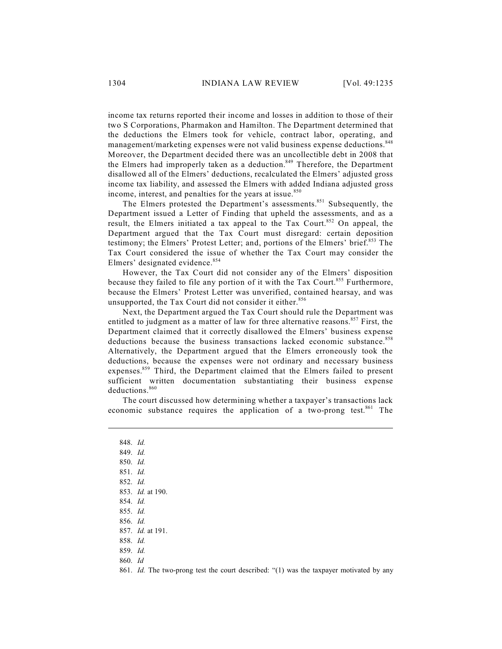income tax returns reported their income and losses in addition to those of their two S Corporations, Pharmakon and Hamilton. The Department determined that the deductions the Elmers took for vehicle, contract labor, operating, and management/marketing expenses were not valid business expense deductions.<sup>848</sup> Moreover, the Department decided there was an uncollectible debt in 2008 that the Elmers had improperly taken as a deduction.<sup>849</sup> Therefore, the Department disallowed all of the Elmers' deductions, recalculated the Elmers' adjusted gross income tax liability, and assessed the Elmers with added Indiana adjusted gross income, interest, and penalties for the years at issue.<sup>850</sup>

The Elmers protested the Department's assessments.<sup>851</sup> Subsequently, the Department issued a Letter of Finding that upheld the assessments, and as a result, the Elmers initiated a tax appeal to the Tax Court.<sup>852</sup> On appeal, the Department argued that the Tax Court must disregard: certain deposition testimony; the Elmers' Protest Letter; and, portions of the Elmers' brief.<sup>853</sup> The Tax Court considered the issue of whether the Tax Court may consider the Elmers' designated evidence.<sup>854</sup>

However, the Tax Court did not consider any of the Elmers' disposition because they failed to file any portion of it with the Tax Court.<sup>855</sup> Furthermore, because the Elmers' Protest Letter was unverified, contained hearsay, and was unsupported, the Tax Court did not consider it either.<sup>856</sup>

Next, the Department argued the Tax Court should rule the Department was entitled to judgment as a matter of law for three alternative reasons.<sup>857</sup> First, the Department claimed that it correctly disallowed the Elmers' business expense deductions because the business transactions lacked economic substance. 858 Alternatively, the Department argued that the Elmers erroneously took the deductions, because the expenses were not ordinary and necessary business expenses.<sup>859</sup> Third, the Department claimed that the Elmers failed to present sufficient written documentation substantiating their business expense deductions. 860

The court discussed how determining whether a taxpayer's transactions lack economic substance requires the application of a two-prong test.<sup>861</sup> The

848. *Id.* 849. *Id.* 850. *Id.* 851. *Id.*  852. *Id.* 853. *Id.* at 190. 854. *Id.* 855. *Id.* 856. *Id.* 857. *Id.* at 191. 858. *Id.* 859. *Id.* 860. *Id*

861. *Id.* The two-prong test the court described: "(1) was the taxpayer motivated by any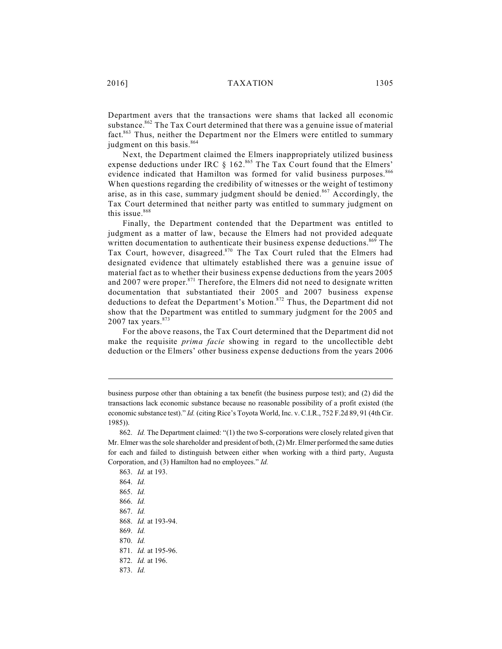Department avers that the transactions were shams that lacked all economic substance.<sup>862</sup> The Tax Court determined that there was a genuine issue of material fact.<sup>863</sup> Thus, neither the Department nor the Elmers were entitled to summary judgment on this basis.<sup>864</sup>

Next, the Department claimed the Elmers inappropriately utilized business expense deductions under IRC  $\S$  162.<sup>865</sup> The Tax Court found that the Elmers' evidence indicated that Hamilton was formed for valid business purposes.<sup>866</sup> When questions regarding the credibility of witnesses or the weight of testimony arise, as in this case, summary judgment should be denied.<sup>867</sup> Accordingly, the Tax Court determined that neither party was entitled to summary judgment on this issue. 868

Finally, the Department contended that the Department was entitled to judgment as a matter of law, because the Elmers had not provided adequate written documentation to authenticate their business expense deductions.<sup>869</sup> The Tax Court, however, disagreed.<sup>870</sup> The Tax Court ruled that the Elmers had designated evidence that ultimately established there was a genuine issue of material fact as to whether their business expense deductions from the years 2005 and 2007 were proper. $871$  Therefore, the Elmers did not need to designate written documentation that substantiated their 2005 and 2007 business expense deductions to defeat the Department's Motion.<sup>872</sup> Thus, the Department did not show that the Department was entitled to summary judgment for the 2005 and 2007 tax years.<sup>873</sup>

For the above reasons, the Tax Court determined that the Department did not make the requisite *prima facie* showing in regard to the uncollectible debt deduction or the Elmers' other business expense deductions from the years 2006

business purpose other than obtaining a tax benefit (the business purpose test); and (2) did the transactions lack economic substance because no reasonable possibility of a profit existed (the economic substance test)." *Id.* (citing Rice's Toyota World, Inc. v. C.I.R., 752 F.2d 89, 91 (4th Cir. 1985)).

<sup>862.</sup> *Id.* The Department claimed: "(1) the two S-corporations were closely related given that Mr. Elmer was the sole shareholder and president of both, (2) Mr. Elmer performed the same duties for each and failed to distinguish between either when working with a third party, Augusta Corporation, and (3) Hamilton had no employees." *Id.*

<sup>863.</sup> *Id.* at 193. 864. *Id.* 865. *Id.*

<sup>866.</sup> *Id.*

<sup>867.</sup> *Id.*

<sup>868.</sup> *Id.* at 193-94.

<sup>869.</sup> *Id.*

<sup>870.</sup> *Id.*

<sup>871.</sup> *Id.* at 195-96.

<sup>872.</sup> *Id.* at 196.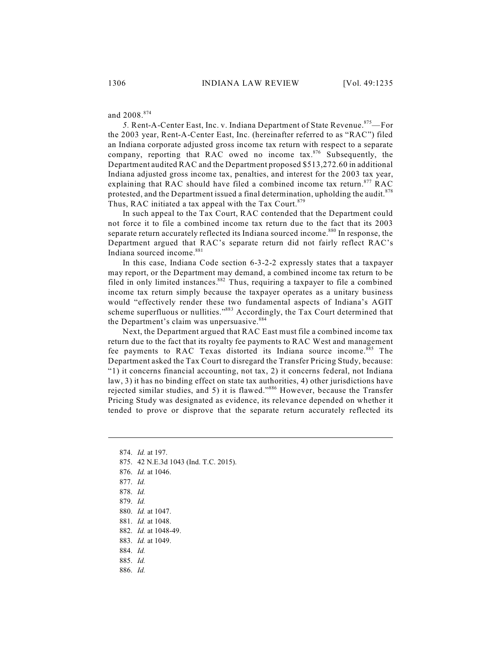and 2008. 874

5. Rent-A-Center East, Inc. v. Indiana Department of State Revenue.<sup>875</sup>—For the 2003 year, Rent-A-Center East, Inc. (hereinafter referred to as "RAC") filed an Indiana corporate adjusted gross income tax return with respect to a separate company, reporting that RAC owed no income  $\text{tax.}^{876}$  Subsequently, the Department audited RAC and the Department proposed \$513,272.60 in additional Indiana adjusted gross income tax, penalties, and interest for the 2003 tax year, explaining that RAC should have filed a combined income tax return.<sup>877</sup> RAC protested, and the Department issued a final determination, upholding the audit.  $878$ Thus, RAC initiated a tax appeal with the Tax Court.<sup>879</sup>

In such appeal to the Tax Court, RAC contended that the Department could not force it to file a combined income tax return due to the fact that its 2003 separate return accurately reflected its Indiana sourced income.<sup>880</sup> In response, the Department argued that RAC's separate return did not fairly reflect RAC's Indiana sourced income. 881

In this case, Indiana Code section 6-3-2-2 expressly states that a taxpayer may report, or the Department may demand, a combined income tax return to be filed in only limited instances.<sup>882</sup> Thus, requiring a taxpayer to file a combined income tax return simply because the taxpayer operates as a unitary business would "effectively render these two fundamental aspects of Indiana's AGIT scheme superfluous or nullities."<sup>883</sup> Accordingly, the Tax Court determined that the Department's claim was unpersuasive.<sup>884</sup>

Next, the Department argued that RAC East must file a combined income tax return due to the fact that its royalty fee payments to RAC West and management fee payments to RAC Texas distorted its Indiana source income.<sup>885</sup> The Department asked the Tax Court to disregard the Transfer Pricing Study, because: "1) it concerns financial accounting, not tax, 2) it concerns federal, not Indiana law, 3) it has no binding effect on state tax authorities, 4) other jurisdictions have rejected similar studies, and 5) it is flawed."<sup>886</sup> However, because the Transfer Pricing Study was designated as evidence, its relevance depended on whether it tended to prove or disprove that the separate return accurately reflected its

- 875. 42 N.E.3d 1043 (Ind. T.C. 2015).
- 876. *Id.* at 1046.
- 877. *Id.*
- 878. *Id.*
- 879. *Id.*
- 880. *Id.* at 1047.
- 881. *Id.* at 1048.
- 882. *Id.* at 1048-49.
- 883. *Id.* at 1049.
- 884. *Id.*
- 885. *Id.*
- 886. *Id.*

<sup>874.</sup> *Id.* at 197.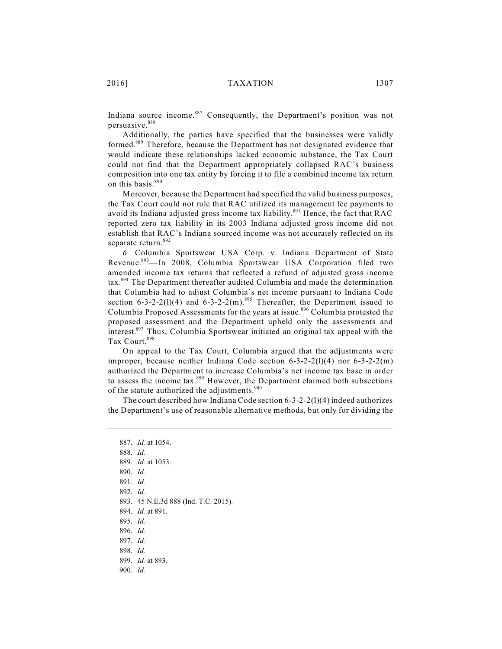Indiana source income.<sup>887</sup> Consequently, the Department's position was not persuasive. 888

Additionally, the parties have specified that the businesses were validly formed.<sup>889</sup> Therefore, because the Department has not designated evidence that would indicate these relationships lacked economic substance, the Tax Court could not find that the Department appropriately collapsed RAC's business composition into one tax entity by forcing it to file a combined income tax return on this basis. 890

Moreover, because the Department had specified the valid business purposes, the Tax Court could not rule that RAC utilized its management fee payments to avoid its Indiana adjusted gross income tax liability.<sup>891</sup> Hence, the fact that RAC reported zero tax liability in its 2003 Indiana adjusted gross income did not establish that RAC's Indiana sourced income was not accurately reflected on its separate return.<sup>892</sup>

*6.* Columbia Sportswear USA Corp. v. Indiana Department of State Revenue.<sup>893</sup>—In 2008, Columbia Sportswear USA Corporation filed two amended income tax returns that reflected a refund of adjusted gross income tax.<sup>894</sup> The Department thereafter audited Columbia and made the determination that Columbia had to adjust Columbia's net income pursuant to Indiana Code section 6-3-2-2(1)(4) and 6-3-2-2(m).<sup>895</sup> Thereafter, the Department issued to Columbia Proposed Assessments for the years at issue.<sup>896</sup> Columbia protested the proposed assessment and the Department upheld only the assessments and interest.<sup>897</sup> Thus, Columbia Sportswear initiated an original tax appeal with the Tax Court. 898

On appeal to the Tax Court, Columbia argued that the adjustments were improper, because neither Indiana Code section  $6-3-2-2(1)(4)$  nor  $6-3-2-2(m)$ authorized the Department to increase Columbia's net income tax base in order to assess the income tax. $899$  However, the Department claimed both subsections of the statute authorized the adjustments.<sup>900</sup>

The court described how Indiana Code section 6-3-2-2(l)(4) indeed authorizes the Department's use of reasonable alternative methods, but only for dividing the

887. *Id.* at 1054. 888. *Id.* 889. *Id.* at 1053. 890. *Id.* 891. *Id.* 892. *Id.* 893. 45 N.E.3d 888 (Ind. T.C. 2015). 894. *Id.* at 891. 895. *Id.*  896. *Id.* 897. *Id.* 898. *Id.* 899. *Id.* at 893. 900. *Id.*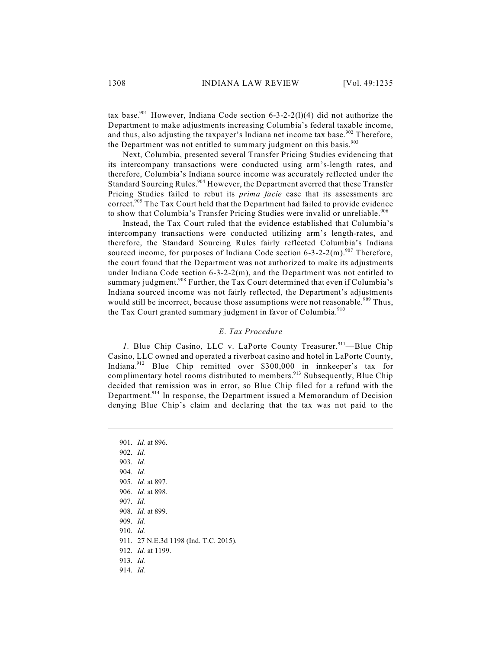tax base.<sup>901</sup> However, Indiana Code section 6-3-2-2(1)(4) did not authorize the Department to make adjustments increasing Columbia's federal taxable income, and thus, also adjusting the taxpayer's Indiana net income tax base.<sup>902</sup> Therefore, the Department was not entitled to summary judgment on this basis.<sup>903</sup>

Next, Columbia, presented several Transfer Pricing Studies evidencing that its intercompany transactions were conducted using arm's-length rates, and therefore, Columbia's Indiana source income was accurately reflected under the Standard Sourcing Rules.<sup>904</sup> However, the Department averred that these Transfer Pricing Studies failed to rebut its *prima facie* case that its assessments are correct.<sup>905</sup> The Tax Court held that the Department had failed to provide evidence to show that Columbia's Transfer Pricing Studies were invalid or unreliable.<sup>906</sup>

Instead, the Tax Court ruled that the evidence established that Columbia's intercompany transactions were conducted utilizing arm's length-rates, and therefore, the Standard Sourcing Rules fairly reflected Columbia's Indiana sourced income, for purposes of Indiana Code section  $6-3-2-2(m)$ .<sup>907</sup> Therefore, the court found that the Department was not authorized to make its adjustments under Indiana Code section  $6-3-2-2(m)$ , and the Department was not entitled to summary judgment.<sup>908</sup> Further, the Tax Court determined that even if Columbia's Indiana sourced income was not fairly reflected, the Department's adjustments would still be incorrect, because those assumptions were not reasonable.<sup>909</sup> Thus, the Tax Court granted summary judgment in favor of Columbia.<sup>910</sup>

## *E. Tax Procedure*

1. Blue Chip Casino, LLC v. LaPorte County Treasurer.<sup>911</sup>-Blue Chip Casino, LLC owned and operated a riverboat casino and hotel in LaPorte County, Indiana.<sup>912</sup> Blue Chip remitted over \$300,000 in innkeeper's tax for complimentary hotel rooms distributed to members.<sup>913</sup> Subsequently, Blue Chip decided that remission was in error, so Blue Chip filed for a refund with the Department.<sup>914</sup> In response, the Department issued a Memorandum of Decision denying Blue Chip's claim and declaring that the tax was not paid to the

901. *Id.* at 896. 902. *Id.* 903. *Id.* 904. *Id.* 905. *Id.* at 897. 906. *Id.* at 898. 907. *Id.* 908. *Id.* at 899. 909. *Id.* 910. *Id.* 911. 27 N.E.3d 1198 (Ind. T.C. 2015). 912. *Id.* at 1199. 913. *Id.*  914. *Id.*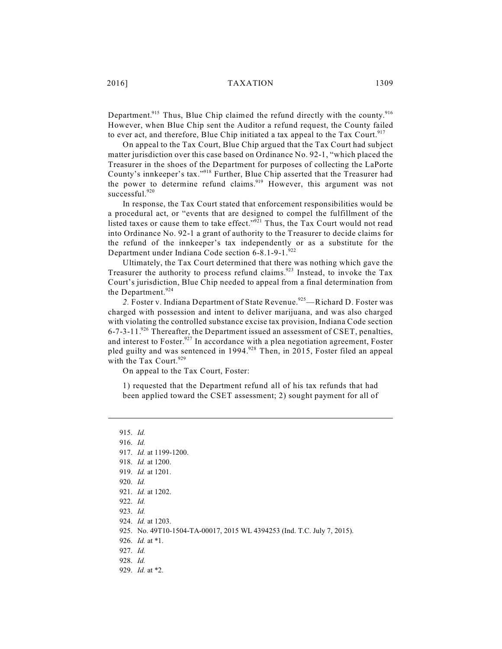2016] TAXATION 1309

Department.<sup>915</sup> Thus, Blue Chip claimed the refund directly with the county.<sup>916</sup> However, when Blue Chip sent the Auditor a refund request, the County failed to ever act, and therefore, Blue Chip initiated a tax appeal to the Tax Court.<sup>917</sup>

On appeal to the Tax Court, Blue Chip argued that the Tax Court had subject matter jurisdiction over this case based on Ordinance No. 92-1, "which placed the Treasurer in the shoes of the Department for purposes of collecting the LaPorte County's innkeeper's tax."<sup>918</sup> Further, Blue Chip asserted that the Treasurer had the power to determine refund claims.<sup>919</sup> However, this argument was not successful. 920

In response, the Tax Court stated that enforcement responsibilities would be a procedural act, or "events that are designed to compel the fulfillment of the listed taxes or cause them to take effect."<sup>921</sup> Thus, the Tax Court would not read into Ordinance No. 92-1 a grant of authority to the Treasurer to decide claims for the refund of the innkeeper's tax independently or as a substitute for the Department under Indiana Code section 6-8.1-9-1. 922

Ultimately, the Tax Court determined that there was nothing which gave the Treasurer the authority to process refund claims.<sup>923</sup> Instead, to invoke the Tax Court's jurisdiction, Blue Chip needed to appeal from a final determination from the Department.<sup>924</sup>

2. Foster v. Indiana Department of State Revenue.<sup>925</sup>—Richard D. Foster was charged with possession and intent to deliver marijuana, and was also charged with violating the controlled substance excise tax provision, Indiana Code section 6-7-3-11.<sup>926</sup> Thereafter, the Department issued an assessment of CSET, penalties, and interest to Foster.<sup>927</sup> In accordance with a plea negotiation agreement, Foster pled guilty and was sentenced in 1994.<sup>928</sup> Then, in 2015, Foster filed an appeal with the Tax Court.<sup>929</sup>

On appeal to the Tax Court, Foster:

1) requested that the Department refund all of his tax refunds that had been applied toward the CSET assessment; 2) sought payment for all of

915. *Id.*  916. *Id.* 917. *Id.* at 1199-1200. 918. *Id.* at 1200. 919. *Id.* at 1201. 920. *Id.* 921. *Id.* at 1202. 922. *Id.*  923. *Id.* 924. *Id.* at 1203. 925. No. 49T10-1504-TA-00017, 2015 WL 4394253 (Ind. T.C. July 7, 2015). 926. *Id.* at \*1. 927. *Id.* 928. *Id.* 929. *Id.* at \*2.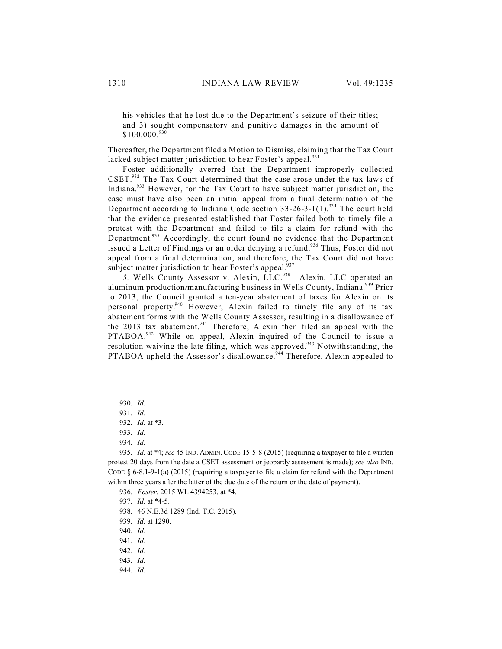his vehicles that he lost due to the Department's seizure of their titles; and 3) sought compensatory and punitive damages in the amount of  $$100,000.<sup>930</sup>$ 

Thereafter, the Department filed a Motion to Dismiss, claiming that the Tax Court lacked subject matter jurisdiction to hear Foster's appeal.<sup>931</sup>

Foster additionally averred that the Department improperly collected  $CSET.^{932}$  The Tax Court determined that the case arose under the tax laws of Indiana. $933$  However, for the Tax Court to have subject matter jurisdiction, the case must have also been an initial appeal from a final determination of the Department according to Indiana Code section  $33-26-3-1(1)$ .<sup>934</sup> The court held that the evidence presented established that Foster failed both to timely file a protest with the Department and failed to file a claim for refund with the Department.<sup>935</sup> Accordingly, the court found no evidence that the Department issued a Letter of Findings or an order denying a refund.<sup>936</sup> Thus, Foster did not appeal from a final determination, and therefore, the Tax Court did not have subject matter jurisdiction to hear Foster's appeal.<sup>937</sup>

3. Wells County Assessor v. Alexin, LLC.<sup>938</sup>—Alexin, LLC operated an aluminum production/manufacturing business in Wells County, Indiana.<sup>939</sup> Prior to 2013, the Council granted a ten-year abatement of taxes for Alexin on its personal property.<sup>940</sup> However, Alexin failed to timely file any of its tax abatement forms with the Wells County Assessor, resulting in a disallowance of the 2013 tax abatement. <sup>941</sup> Therefore, Alexin then filed an appeal with the PTABOA.<sup>942</sup> While on appeal, Alexin inquired of the Council to issue a resolution waiving the late filing, which was approved.<sup>943</sup> Notwithstanding, the PTABOA upheld the Assessor's disallowance.<sup>944</sup> Therefore, Alexin appealed to

944. *Id.*

<sup>930.</sup> *Id.*

<sup>931.</sup> *Id.*

<sup>932.</sup> *Id.* at \*3.

<sup>933.</sup> *Id.*

<sup>934.</sup> *Id.*

<sup>935.</sup> *Id.* at \*4; *see* 45 IND. ADMIN. CODE 15-5-8 (2015) (requiring a taxpayer to file a written protest 20 days from the date a CSET assessment or jeopardy assessment is made); *see also* IND. CODE § 6-8.1-9-1(a) (2015) (requiring a taxpayer to file a claim for refund with the Department within three years after the latter of the due date of the return or the date of payment).

<sup>936.</sup> *Foster*, 2015 WL 4394253, at \*4.

<sup>937.</sup> *Id.* at \*4-5.

<sup>938.</sup> 46 N.E.3d 1289 (Ind. T.C. 2015).

<sup>939.</sup> *Id.* at 1290.

<sup>940.</sup> *Id.*

<sup>941.</sup> *Id.*

<sup>942.</sup> *Id.*

<sup>943.</sup> *Id.*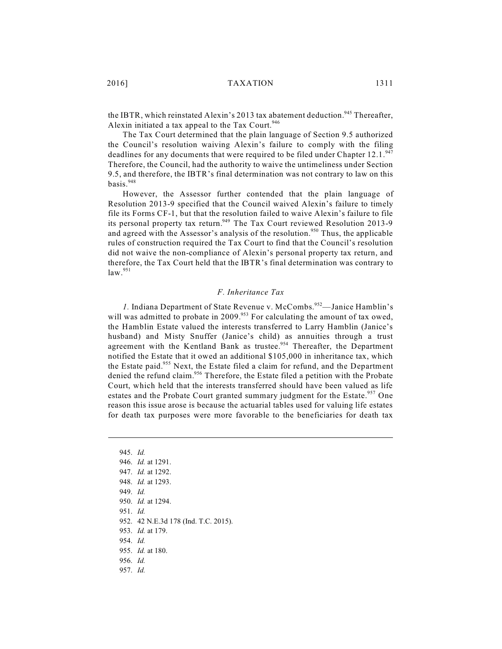the IBTR, which reinstated Alexin's 2013 tax abatement deduction.<sup>945</sup> Thereafter, Alexin initiated a tax appeal to the Tax Court.<sup>946</sup>

The Tax Court determined that the plain language of Section 9.5 authorized the Council's resolution waiving Alexin's failure to comply with the filing deadlines for any documents that were required to be filed under Chapter 12.1.<sup>947</sup> Therefore, the Council, had the authority to waive the untimeliness under Section 9.5, and therefore, the IBTR's final determination was not contrary to law on this basis. 948

However, the Assessor further contended that the plain language of Resolution 2013-9 specified that the Council waived Alexin's failure to timely file its Forms CF-1, but that the resolution failed to waive Alexin's failure to file its personal property tax return.<sup>949</sup> The Tax Court reviewed Resolution 2013-9 and agreed with the Assessor's analysis of the resolution.<sup>950</sup> Thus, the applicable rules of construction required the Tax Court to find that the Council's resolution did not waive the non-compliance of Alexin's personal property tax return, and therefore, the Tax Court held that the IBTR's final determination was contrary to law. 951

## *F. Inheritance Tax*

1. Indiana Department of State Revenue v. McCombs.<sup>952</sup>—Janice Hamblin's will was admitted to probate in 2009. $953$  For calculating the amount of tax owed, the Hamblin Estate valued the interests transferred to Larry Hamblin (Janice's husband) and Misty Snuffer (Janice's child) as annuities through a trust agreement with the Kentland Bank as trustee.<sup>954</sup> Thereafter, the Department notified the Estate that it owed an additional \$105,000 in inheritance tax, which the Estate paid.<sup>955</sup> Next, the Estate filed a claim for refund, and the Department denied the refund claim.<sup>956</sup> Therefore, the Estate filed a petition with the Probate Court, which held that the interests transferred should have been valued as life estates and the Probate Court granted summary judgment for the Estate.<sup>957</sup> One reason this issue arose is because the actuarial tables used for valuing life estates for death tax purposes were more favorable to the beneficiaries for death tax

945. *Id.* 946. *Id.* at 1291. 947. *Id.* at 1292. 948. *Id.* at 1293. 949. *Id.* 950. *Id.* at 1294. 951. *Id.* 952. 42 N.E.3d 178 (Ind. T.C. 2015). 953. *Id.* at 179. 954. *Id.* 955. *Id.* at 180. 956. *Id.* 957. *Id.*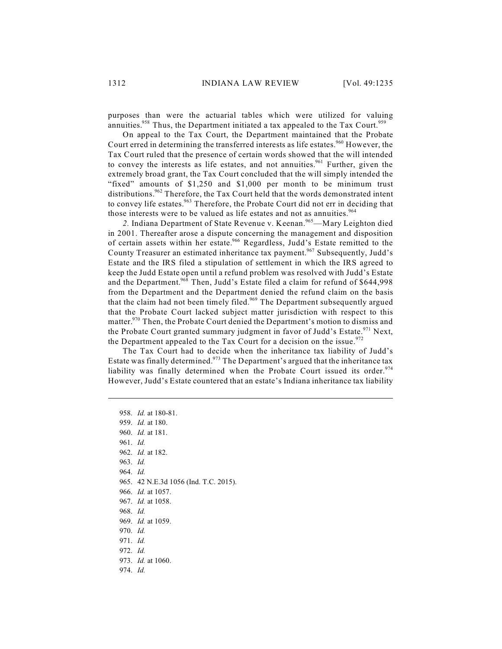purposes than were the actuarial tables which were utilized for valuing annuities.<sup>958</sup> Thus, the Department initiated a tax appealed to the Tax Court.<sup>959</sup>

On appeal to the Tax Court, the Department maintained that the Probate Court erred in determining the transferred interests as life estates.<sup>960</sup> However, the Tax Court ruled that the presence of certain words showed that the will intended to convey the interests as life estates, and not annuities.<sup>961</sup> Further, given the extremely broad grant, the Tax Court concluded that the will simply intended the "fixed" amounts of \$1,250 and \$1,000 per month to be minimum trust distributions.<sup>962</sup> Therefore, the Tax Court held that the words demonstrated intent to convey life estates.<sup>963</sup> Therefore, the Probate Court did not err in deciding that those interests were to be valued as life estates and not as annuities.<sup>964</sup>

2. Indiana Department of State Revenue v. Keenan.<sup>965</sup>—Mary Leighton died in 2001. Thereafter arose a dispute concerning the management and disposition of certain assets within her estate.<sup>966</sup> Regardless, Judd's Estate remitted to the County Treasurer an estimated inheritance tax payment.<sup>967</sup> Subsequently, Judd's Estate and the IRS filed a stipulation of settlement in which the IRS agreed to keep the Judd Estate open until a refund problem was resolved with Judd's Estate and the Department.<sup>968</sup> Then, Judd's Estate filed a claim for refund of \$644,998 from the Department and the Department denied the refund claim on the basis that the claim had not been timely filed.<sup>969</sup> The Department subsequently argued that the Probate Court lacked subject matter jurisdiction with respect to this matter.  $970$  Then, the Probate Court denied the Department's motion to dismiss and the Probate Court granted summary judgment in favor of Judd's Estate.<sup>971</sup> Next, the Department appealed to the Tax Court for a decision on the issue. $972$ 

The Tax Court had to decide when the inheritance tax liability of Judd's Estate was finally determined.<sup>973</sup> The Department's argued that the inheritance tax liability was finally determined when the Probate Court issued its order.<sup>974</sup> However, Judd's Estate countered that an estate's Indiana inheritance tax liability

958. *Id.* at 180-81. 959. *Id.* at 180. 960. *Id.* at 181. 961. *Id.* 962. *Id.* at 182. 963. *Id.* 964. *Id.* 965. 42 N.E.3d 1056 (Ind. T.C. 2015). 966. *Id.* at 1057. 967. *Id.* at 1058. 968. *Id.* 969. *Id.* at 1059. 970. *Id.*  971. *Id.* 972. *Id.* 973. *Id.* at 1060. 974. *Id.*